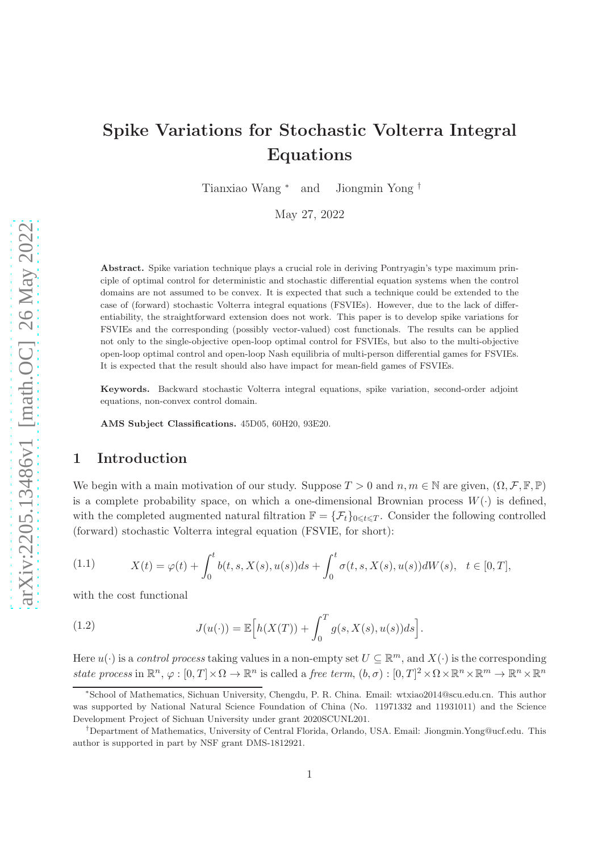# Spike Variations for Stochastic Volterra Integral Equations

Tianxiao Wang <sup>∗</sup> and Jiongmin Yong †

May 27, 2022

Abstract. Spike variation technique plays a crucial role in deriving Pontryagin's type maximum principle of optimal control for deterministic and stochastic differential equation systems when the control domains are not assumed to be convex. It is expected that such a technique could be extended to the case of (forward) stochastic Volterra integral equations (FSVIEs). However, due to the lack of differentiability, the straightforward extension does not work. This paper is to develop spike variations for FSVIEs and the corresponding (possibly vector-valued) cost functionals. The results can be applied not only to the single-objective open-loop optimal control for FSVIEs, but also to the multi-objective open-loop optimal control and open-loop Nash equilibria of multi-person differential games for FSVIEs. It is expected that the result should also have impact for mean-field games of FSVIEs.

Keywords. Backward stochastic Volterra integral equations, spike variation, second-order adjoint equations, non-convex control domain.

AMS Subject Classifications. 45D05, 60H20, 93E20.

## 1 Introduction

We begin with a main motivation of our study. Suppose  $T > 0$  and  $n, m \in \mathbb{N}$  are given,  $(\Omega, \mathcal{F}, \mathbb{F}, \mathbb{P})$ is a complete probability space, on which a one-dimensional Brownian process  $W(\cdot)$  is defined, with the completed augmented natural filtration  $\mathbb{F} = {\mathcal{F}_t}_{0 \leq t \leq T}$ . Consider the following controlled (forward) stochastic Volterra integral equation (FSVIE, for short):

<span id="page-0-0"></span>(1.1) 
$$
X(t) = \varphi(t) + \int_0^t b(t, s, X(s), u(s))ds + \int_0^t \sigma(t, s, X(s), u(s))dW(s), \quad t \in [0, T],
$$

with the cost functional

<span id="page-0-1"></span>(1.2) 
$$
J(u(\cdot)) = \mathbb{E}\Big[h(X(T)) + \int_0^T g(s, X(s), u(s))ds\Big].
$$

Here  $u(\cdot)$  is a control process taking values in a non-empty set  $U \subseteq \mathbb{R}^m$ , and  $X(\cdot)$  is the corresponding state process in  $\mathbb{R}^n$ ,  $\varphi : [0, T] \times \Omega \to \mathbb{R}^n$  is called a free term,  $(b, \sigma) : [0, T]^2 \times \Omega \times \mathbb{R}^n \times \mathbb{R}^m \to \mathbb{R}^n \times \mathbb{R}^n$ 

<sup>∗</sup> School of Mathematics, Sichuan University, Chengdu, P. R. China. Email: wtxiao2014@scu.edu.cn. This author was supported by National Natural Science Foundation of China (No. 11971332 and 11931011) and the Science Development Project of Sichuan University under grant 2020SCUNL201.

<sup>†</sup>Department of Mathematics, University of Central Florida, Orlando, USA. Email: Jiongmin.Yong@ucf.edu. This author is supported in part by NSF grant DMS-1812921.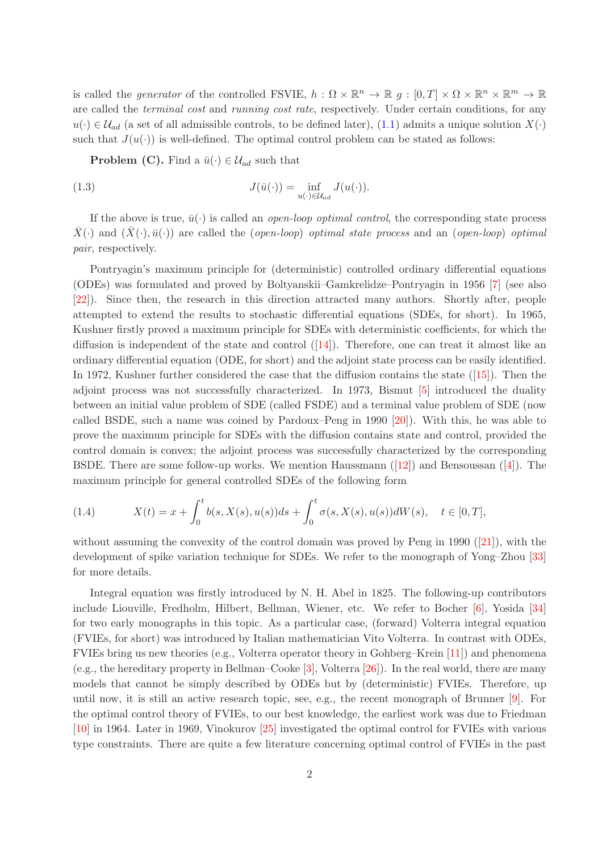is called the *generator* of the controlled FSVIE,  $h : \Omega \times \mathbb{R}^n \to \mathbb{R}$   $g : [0, T] \times \Omega \times \mathbb{R}^n \times \mathbb{R}^m \to \mathbb{R}$ are called the *terminal cost* and *running cost rate*, respectively. Under certain conditions, for any  $u(\cdot) \in \mathcal{U}_{ad}$  (a set of all admissible controls, to be defined later), [\(1.1\)](#page-0-0) admits a unique solution  $X(\cdot)$ such that  $J(u(\cdot))$  is well-defined. The optimal control problem can be stated as follows:

**Problem (C).** Find a  $\bar{u}(\cdot) \in \mathcal{U}_{ad}$  such that

(1.3) 
$$
J(\bar{u}(\cdot)) = \inf_{u(\cdot) \in \mathcal{U}_{ad}} J(u(\cdot)).
$$

If the above is true,  $\bar{u}(\cdot)$  is called an *open-loop optimal control*, the corresponding state process  $\bar{X}(\cdot)$  and  $(\bar{X}(\cdot), \bar{u}(\cdot))$  are called the (open-loop) optimal state process and an (open-loop) optimal pair, respectively.

Pontryagin's maximum principle for (deterministic) controlled ordinary differential equations (ODEs) was formulated and proved by Boltyanskii–Gamkrelidze–Pontryagin in 1956 [\[7\]](#page-42-0) (see also [\[22\]](#page-43-0)). Since then, the research in this direction attracted many authors. Shortly after, people attempted to extend the results to stochastic differential equations (SDEs, for short). In 1965, Kushner firstly proved a maximum principle for SDEs with deterministic coefficients, for which the diffusionis independent of the state and control  $(14)$ . Therefore, one can treat it almost like an ordinary differential equation (ODE, for short) and the adjoint state process can be easily identified. In 1972, Kushner further considered the case that the diffusion contains the state([\[15\]](#page-42-2)). Then the adjoint process was not successfully characterized. In 1973, Bismut [\[5\]](#page-42-3) introduced the duality between an initial value problem of SDE (called FSDE) and a terminal value problem of SDE (now called BSDE, such a name was coined by Pardoux–Peng in 1990 [\[20\]](#page-43-1)). With this, he was able to prove the maximum principle for SDEs with the diffusion contains state and control, provided the control domain is convex; the adjoint process was successfully characterized by the corresponding BSDE.There are some follow-up works. We mention Haussmann  $([12])$  $([12])$  $([12])$  and Bensoussan  $([4])$  $([4])$  $([4])$ . The maximum principle for general controlled SDEs of the following form

(1.4) 
$$
X(t) = x + \int_0^t b(s, X(s), u(s))ds + \int_0^t \sigma(s, X(s), u(s))dW(s), \quad t \in [0, T],
$$

without assuming the convexity of the control domain was proved by Peng in 1990([\[21\]](#page-43-2)), with the development of spike variation technique for SDEs. We refer to the monograph of Yong–Zhou [\[33\]](#page-43-3) for more details.

Integral equation was firstly introduced by N. H. Abel in 1825. The following-up contributors include Liouville, Fredholm, Hilbert, Bellman, Wiener, etc. We refer to Bocher [\[6\]](#page-42-6), Yosida [\[34\]](#page-43-4) for two early monographs in this topic. As a particular case, (forward) Volterra integral equation (FVIEs, for short) was introduced by Italian mathematician Vito Volterra. In contrast with ODEs, FVIEs bring us new theories (e.g., Volterra operator theory in Gohberg–Krein [\[11\]](#page-42-7)) and phenomena (e.g., the hereditary property in Bellman–Cooke [\[3\]](#page-41-0), Volterra [\[26\]](#page-43-5)). In the real world, there are many models that cannot be simply described by ODEs but by (deterministic) FVIEs. Therefore, up until now, it is still an active research topic, see, e.g., the recent monograph of Brunner [\[9\]](#page-42-8). For the optimal control theory of FVIEs, to our best knowledge, the earliest work was due to Friedman [\[10\]](#page-42-9) in 1964. Later in 1969, Vinokurov [\[25\]](#page-43-6) investigated the optimal control for FVIEs with various type constraints. There are quite a few literature concerning optimal control of FVIEs in the past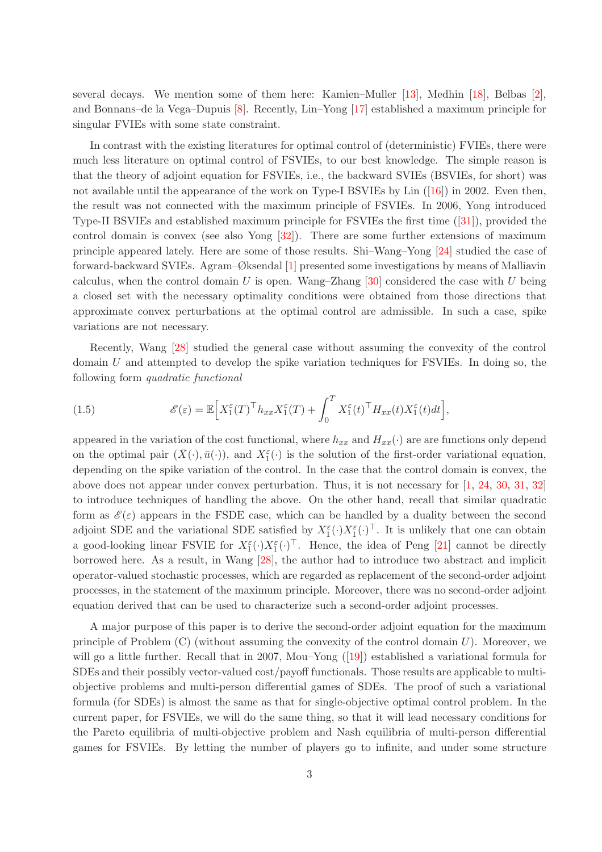several decays. We mention some of them here: Kamien–Muller [\[13\]](#page-42-10), Medhin [\[18\]](#page-42-11), Belbas [\[2\]](#page-41-1), and Bonnans–de la Vega–Dupuis [8]. Recently, Lin–Yong [\[17\]](#page-42-12) established a maximum principle for singular FVIEs with some state constraint.

In contrast with the existing literatures for optimal control of (deterministic) FVIEs, there were much less literature on optimal control of FSVIEs, to our best knowledge. The simple reason is that the theory of adjoint equation for FSVIEs, i.e., the backward SVIEs (BSVIEs, for short) was not available until the appearance of the work on Type-I BSVIEs by Lin([\[16\]](#page-42-13)) in 2002. Even then, the result was not connected with the maximum principle of FSVIEs. In 2006, Yong introduced Type-II BSVIEs and established maximum principle for FSVIEs the first time([\[31\]](#page-43-7)), provided the control domain is convex (see also Yong [\[32\]](#page-43-8)). There are some further extensions of maximum principle appeared lately. Here are some of those results. Shi–Wang–Yong [\[24\]](#page-43-9) studied the case of forward-backward SVIEs. Agram–Øksendal [\[1\]](#page-41-2) presented some investigations by means of Malliavin calculus, when the control domain  $U$  is open. Wang–Zhang [\[30\]](#page-43-10) considered the case with  $U$  being a closed set with the necessary optimality conditions were obtained from those directions that approximate convex perturbations at the optimal control are admissible. In such a case, spike variations are not necessary.

Recently, Wang [\[28\]](#page-43-11) studied the general case without assuming the convexity of the control domain U and attempted to develop the spike variation techniques for FSVIEs. In doing so, the following form quadratic functional

(1.5) 
$$
\mathscr{E}(\varepsilon) = \mathbb{E}\Big[X_1^{\varepsilon}(T)^{\top}h_{xx}X_1^{\varepsilon}(T) + \int_0^T X_1^{\varepsilon}(t)^{\top}H_{xx}(t)X_1^{\varepsilon}(t)dt\Big],
$$

appeared in the variation of the cost functional, where  $h_{xx}$  and  $H_{xx}(\cdot)$  are are functions only depend on the optimal pair  $(\bar{X}(\cdot), \bar{u}(\cdot))$ , and  $X_1^{\varepsilon}(\cdot)$  is the solution of the first-order variational equation, depending on the spike variation of the control. In the case that the control domain is convex, the above does not appear under convex perturbation. Thus, it is not necessary for [\[1,](#page-41-2) [24,](#page-43-9) [30,](#page-43-10) [31,](#page-43-7) [32\]](#page-43-8) to introduce techniques of handling the above. On the other hand, recall that similar quadratic form as  $\mathscr{E}(\varepsilon)$  appears in the FSDE case, which can be handled by a duality between the second adjoint SDE and the variational SDE satisfied by  $X_1^{\varepsilon}(\cdot)X_1^{\varepsilon}(\cdot)^{\top}$ . It is unlikely that one can obtain a good-looking linear FSVIE for  $X_1^{\varepsilon}(\cdot)X_1^{\varepsilon}(\cdot)^{\top}$ . Hence, the idea of Peng [\[21\]](#page-43-2) cannot be directly borrowed here. As a result, in Wang [\[28\]](#page-43-11), the author had to introduce two abstract and implicit operator-valued stochastic processes, which are regarded as replacement of the second-order adjoint processes, in the statement of the maximum principle. Moreover, there was no second-order adjoint equation derived that can be used to characterize such a second-order adjoint processes.

A major purpose of this paper is to derive the second-order adjoint equation for the maximum principle of Problem  $(C)$  (without assuming the convexity of the control domain U). Moreover, we willgo a little further. Recall that in 2007, Mou–Yong ([\[19\]](#page-42-14)) established a variational formula for SDEs and their possibly vector-valued cost/payoff functionals. Those results are applicable to multiobjective problems and multi-person differential games of SDEs. The proof of such a variational formula (for SDEs) is almost the same as that for single-objective optimal control problem. In the current paper, for FSVIEs, we will do the same thing, so that it will lead necessary conditions for the Pareto equilibria of multi-objective problem and Nash equilibria of multi-person differential games for FSVIEs. By letting the number of players go to infinite, and under some structure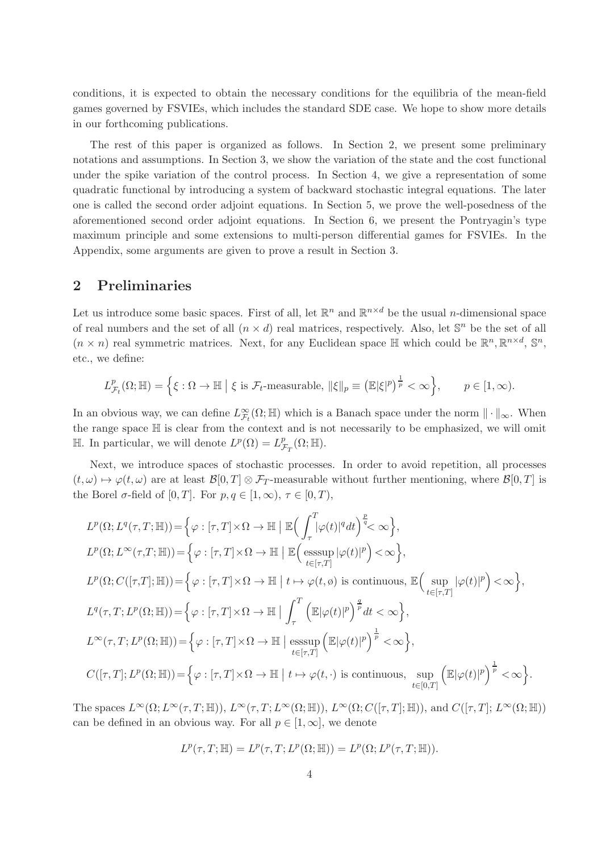conditions, it is expected to obtain the necessary conditions for the equilibria of the mean-field games governed by FSVIEs, which includes the standard SDE case. We hope to show more details in our forthcoming publications.

The rest of this paper is organized as follows. In Section 2, we present some preliminary notations and assumptions. In Section 3, we show the variation of the state and the cost functional under the spike variation of the control process. In Section 4, we give a representation of some quadratic functional by introducing a system of backward stochastic integral equations. The later one is called the second order adjoint equations. In Section 5, we prove the well-posedness of the aforementioned second order adjoint equations. In Section 6, we present the Pontryagin's type maximum principle and some extensions to multi-person differential games for FSVIEs. In the Appendix, some arguments are given to prove a result in Section 3.

## 2 Preliminaries

Let us introduce some basic spaces. First of all, let  $\mathbb{R}^n$  and  $\mathbb{R}^{n \times d}$  be the usual *n*-dimensional space of real numbers and the set of all  $(n \times d)$  real matrices, respectively. Also, let  $\mathbb{S}^n$  be the set of all  $(n \times n)$  real symmetric matrices. Next, for any Euclidean space  $\mathbb{H}$  which could be  $\mathbb{R}^n, \mathbb{R}^{n \times d}, \mathbb{S}^n$ , etc., we define:

$$
L_{\mathcal{F}_t}^p(\Omega;\mathbb{H}) = \left\{ \xi : \Omega \to \mathbb{H} \mid \xi \text{ is } \mathcal{F}_t\text{-measurable, } \|\xi\|_p \equiv \left(\mathbb{E}|\xi|^p\right)^{\frac{1}{p}} < \infty \right\}, \qquad p \in [1,\infty).
$$

In an obvious way, we can define  $L^{\infty}_{\mathcal{F}_t}(\Omega;\mathbb{H})$  which is a Banach space under the norm  $\|\cdot\|_{\infty}$ . When the range space  $\mathbb H$  is clear from the context and is not necessarily to be emphasized, we will omit H. In particular, we will denote  $L^p(\Omega) = L_p^p$  $_{\mathcal{F}_T}^p(\Omega;\mathbb{H}).$ 

Next, we introduce spaces of stochastic processes. In order to avoid repetition, all processes  $(t, \omega) \mapsto \varphi(t, \omega)$  are at least  $\mathcal{B}[0, T] \otimes \mathcal{F}_T$ -measurable without further mentioning, where  $\mathcal{B}[0, T]$  is the Borel  $\sigma$ -field of  $[0, T]$ . For  $p, q \in [1, \infty)$ ,  $\tau \in [0, T)$ ,

$$
L^{p}(\Omega; L^{q}(\tau, T; \mathbb{H})) = \Big\{ \varphi : [\tau, T] \times \Omega \to \mathbb{H} \Big| \mathbb{E} \Big( \int_{\tau}^{T} |\varphi(t)|^{q} dt \Big)^{\frac{p}{q}} < \infty \Big\},
$$
  
\n
$$
L^{p}(\Omega; L^{\infty}(\tau, T; \mathbb{H})) = \Big\{ \varphi : [\tau, T] \times \Omega \to \mathbb{H} \Big| \mathbb{E} \Big( \underset{t \in [\tau, T]}{\operatorname{esssup}} |\varphi(t)|^{p} \Big) < \infty \Big\},
$$
  
\n
$$
L^{p}(\Omega; C([\tau, T]; \mathbb{H})) = \Big\{ \varphi : [\tau, T] \times \Omega \to \mathbb{H} \Big| t \mapsto \varphi(t, \phi) \text{ is continuous, } \mathbb{E} \Big( \underset{t \in [\tau, T]}{\sup} |\varphi(t)|^{p} \Big) < \infty \Big\},
$$
  
\n
$$
L^{q}(\tau, T; L^{p}(\Omega; \mathbb{H})) = \Big\{ \varphi : [\tau, T] \times \Omega \to \mathbb{H} \Big| \int_{\tau}^{T} \Big( \mathbb{E} |\varphi(t)|^{p} \Big)^{\frac{q}{p}} dt < \infty \Big\},
$$
  
\n
$$
L^{\infty}(\tau, T; L^{p}(\Omega; \mathbb{H})) = \Big\{ \varphi : [\tau, T] \times \Omega \to \mathbb{H} \Big| \underset{t \in [\tau, T]}{\operatorname{esssup}} \Big( \mathbb{E} |\varphi(t)|^{p} \Big)^{\frac{1}{p}} < \infty \Big\},
$$
  
\n
$$
C([\tau, T]; L^{p}(\Omega; \mathbb{H})) = \Big\{ \varphi : [\tau, T] \times \Omega \to \mathbb{H} \Big| t \mapsto \varphi(t, \cdot) \text{ is continuous, } \underset{t \in [0, T]}{\sup} \Big( \mathbb{E} |\varphi(t)|^{p} \Big)^{\frac{1}{p}} < \infty \Big\}.
$$

The spaces  $L^{\infty}(\Omega; L^{\infty}(\tau, T; \mathbb{H}))$ ,  $L^{\infty}(\tau, T; L^{\infty}(\Omega; \mathbb{H}))$ ,  $L^{\infty}(\Omega; C([\tau, T]; \mathbb{H}))$ , and  $C([\tau, T]; L^{\infty}(\Omega; \mathbb{H}))$ can be defined in an obvious way. For all  $p \in [1,\infty]$ , we denote

$$
L^p(\tau, T; \mathbb{H}) = L^p(\tau, T; L^p(\Omega; \mathbb{H})) = L^p(\Omega; L^p(\tau, T; \mathbb{H})).
$$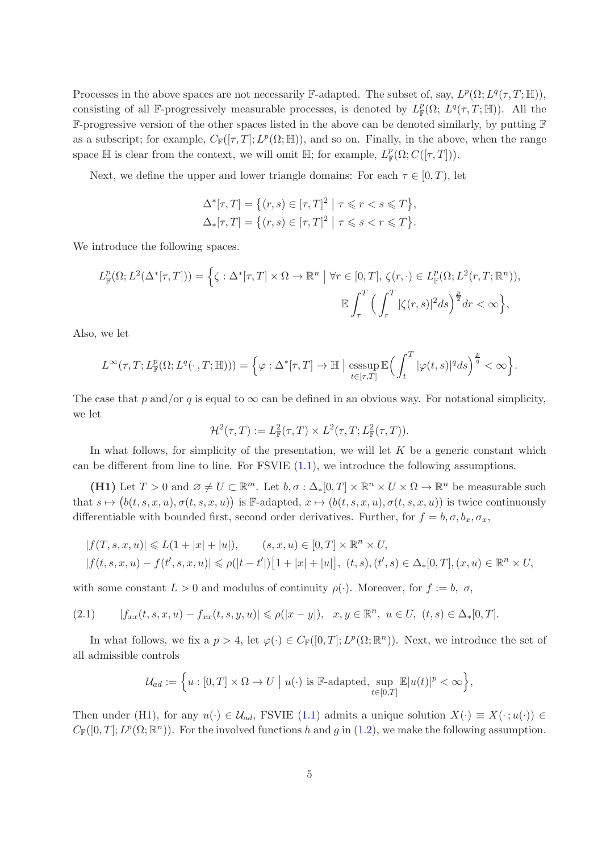Processes in the above spaces are not necessarily  $\mathbb{F}\text{-adapted}$ . The subset of, say,  $L^p(\Omega; L^q(\tau, T; \mathbb{H}))$ , consisting of all F-progressively measurable processes, is denoted by  $L^p_{\mathbb{F}}(\Omega; L^q(\tau,T;\mathbb{H}))$ . All the F-progressive version of the other spaces listed in the above can be denoted similarly, by putting F as a subscript; for example,  $C_{\mathbb{F}}([\tau, T]; L^p(\Omega; \mathbb{H}))$ , and so on. Finally, in the above, when the range space  $\mathbb H$  is clear from the context, we will omit  $\mathbb H$ ; for example,  $L^p_{\mathbb F}(\Omega;C([\tau,T]))$ .

Next, we define the upper and lower triangle domains: For each  $\tau \in [0, T)$ , let

$$
\Delta^*[\tau, T] = \left\{ (r, s) \in [\tau, T]^2 \mid \tau \leqslant r < s \leqslant T \right\},
$$
  

$$
\Delta_*[\tau, T] = \left\{ (r, s) \in [\tau, T]^2 \mid \tau \leqslant s < r \leqslant T \right\}.
$$

We introduce the following spaces.

$$
L_{\mathbb{F}}^p(\Omega; L^2(\Delta^*[\tau, T])) = \left\{ \zeta : \Delta^*[\tau, T] \times \Omega \to \mathbb{R}^n \mid \forall r \in [0, T], \zeta(r, \cdot) \in L_{\mathbb{F}}^p(\Omega; L^2(r, T; \mathbb{R}^n)), \mathbb{E} \int_{\tau}^T \left( \int_{r}^T |\zeta(r, s)|^2 ds \right)^{\frac{p}{2}} dr < \infty \right\},
$$

Also, we let

$$
L^{\infty}(\tau, T; L^{p}_{\mathbb{F}}(\Omega; L^{q}(\cdot, T; \mathbb{H}))) = \Big\{\varphi : \Delta^{*}[\tau, T] \to \mathbb{H} \Big| \operatorname{esssup}_{t \in [\tau, T]} \mathbb{E}\Big(\int_{t}^{T} |\varphi(t, s)|^{q} ds\Big)^{\frac{p}{q}} < \infty \Big\}.
$$

The case that p and/or q is equal to  $\infty$  can be defined in an obvious way. For notational simplicity, we let

$$
\mathcal{H}^2(\tau,T) := L^2_{\mathbb{F}}(\tau,T) \times L^2(\tau,T;L^2_{\mathbb{F}}(\tau,T)).
$$

In what follows, for simplicity of the presentation, we will let  $K$  be a generic constant which can be different from line to line. For  $\text{FSVIE} (1.1)$  $\text{FSVIE} (1.1)$ , we introduce the following assumptions.

(H1) Let  $T > 0$  and  $\emptyset \neq U \subset \mathbb{R}^m$ . Let  $b, \sigma : \Delta_*[0, T] \times \mathbb{R}^n \times U \times \Omega \to \mathbb{R}^n$  be measurable such that  $s \mapsto (b(t, s, x, u), \sigma(t, s, x, u))$  is F-adapted,  $x \mapsto (b(t, s, x, u), \sigma(t, s, x, u))$  is twice continuously differentiable with bounded first, second order derivatives. Further, for  $f = b, \sigma, b_x, \sigma_x$ ,

$$
|f(T, s, x, u)| \le L(1 + |x| + |u|), \qquad (s, x, u) \in [0, T] \times \mathbb{R}^n \times U,
$$
  

$$
|f(t, s, x, u) - f(t', s, x, u)| \le \rho(|t - t'|)[1 + |x| + |u|], (t, s), (t', s) \in \Delta_*[0, T], (x, u) \in \mathbb{R}^n \times U,
$$

with some constant  $L > 0$  and modulus of continuity  $\rho(\cdot)$ . Moreover, for  $f := b, \sigma$ ,

$$
(2.1) \qquad |f_{xx}(t,s,x,u)-f_{xx}(t,s,y,u)| \leq \rho(|x-y|), \quad x,y \in \mathbb{R}^n, \ u \in U, \ (t,s) \in \Delta_*[0,T].
$$

In what follows, we fix a  $p > 4$ , let  $\varphi(\cdot) \in C_{\mathbb{F}}([0,T]; L^p(\Omega; \mathbb{R}^n))$ . Next, we introduce the set of all admissible controls

$$
\mathcal{U}_{ad}:=\Big\{u:[0,T]\times \Omega\rightarrow U\ \big|\ u(\cdot)\text{ is }\mathbb{F}\text{-adapted},\sup_{t\in[0,T]}\mathbb{E}|u(t)|^p<\infty\Big\},
$$

Then under (H1), for any  $u(\cdot) \in \mathcal{U}_{ad}$ , FSVIE [\(1.1\)](#page-0-0) admits a unique solution  $X(\cdot) \equiv X(\cdot; u(\cdot)) \in$  $C_{\mathbb{F}}([0,T]; L^p(\Omega; \mathbb{R}^n))$ . For the involved functions h and g in [\(1.2\)](#page-0-1), we make the following assumption.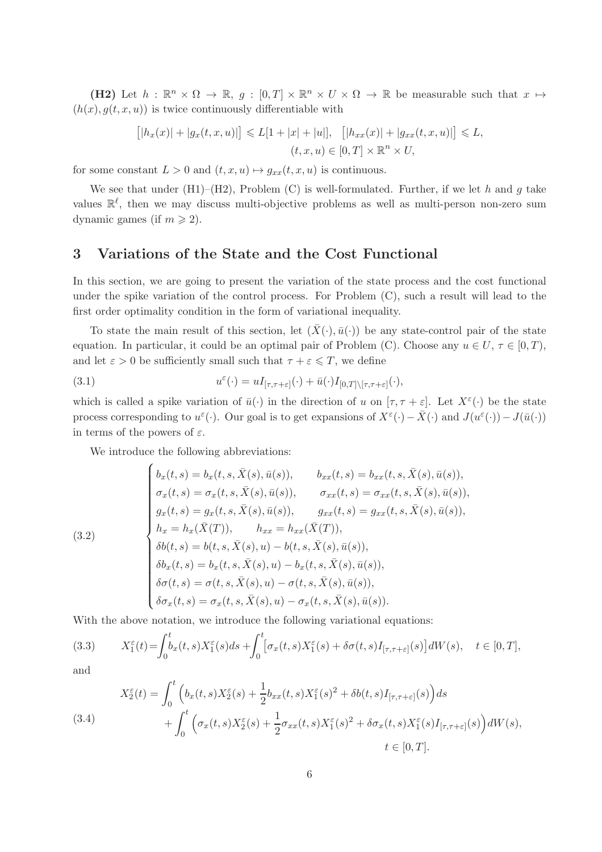(H2) Let  $h : \mathbb{R}^n \times \Omega \to \mathbb{R}, g : [0, T] \times \mathbb{R}^n \times U \times \Omega \to \mathbb{R}$  be measurable such that  $x \mapsto$  $(h(x), g(t, x, u))$  is twice continuously differentiable with

$$
[|h_x(x)| + |g_x(t, x, u)|] \le L[1 + |x| + |u|], \quad [|h_{xx}(x)| + |g_{xx}(t, x, u)|] \le L,
$$
  

$$
(t, x, u) \in [0, T] \times \mathbb{R}^n \times U,
$$

for some constant  $L > 0$  and  $(t, x, u) \mapsto g_{xx}(t, x, u)$  is continuous.

We see that under  $(H1)$ – $(H2)$ , Problem  $(C)$  is well-formulated. Further, if we let h and g take values  $\mathbb{R}^{\ell}$ , then we may discuss multi-objective problems as well as multi-person non-zero sum dynamic games (if  $m \geq 2$ ).

## 3 Variations of the State and the Cost Functional

In this section, we are going to present the variation of the state process and the cost functional under the spike variation of the control process. For Problem  $(C)$ , such a result will lead to the first order optimality condition in the form of variational inequality.

To state the main result of this section, let  $(\bar{X}(\cdot), \bar{u}(\cdot))$  be any state-control pair of the state equation. In particular, it could be an optimal pair of Problem (C). Choose any  $u \in U$ ,  $\tau \in [0, T)$ , and let  $\varepsilon > 0$  be sufficiently small such that  $\tau + \varepsilon \leq T$ , we define

(3.1) 
$$
u^{\varepsilon}(\cdot) = uI_{[\tau,\tau+\varepsilon]}(\cdot) + \bar{u}(\cdot)I_{[0,T]\setminus[\tau,\tau+\varepsilon]}(\cdot),
$$

which is called a spike variation of  $\bar{u}(\cdot)$  in the direction of u on  $[\tau, \tau + \varepsilon]$ . Let  $X^{\varepsilon}(\cdot)$  be the state process corresponding to  $u^{\varepsilon}(\cdot)$ . Our goal is to get expansions of  $X^{\varepsilon}(\cdot) - \bar{X}(\cdot)$  and  $J(u^{\varepsilon}(\cdot)) - J(\bar{u}(\cdot))$ in terms of the powers of  $\varepsilon$ .

We introduce the following abbreviations:

<span id="page-5-1"></span>(3.2)  
\n
$$
\begin{cases}\nb_x(t,s) = b_x(t,s,\bar{X}(s),\bar{u}(s)), & b_{xx}(t,s) = b_{xx}(t,s,\bar{X}(s),\bar{u}(s)), \\
\sigma_x(t,s) = \sigma_x(t,s,\bar{X}(s),\bar{u}(s)), & \sigma_{xx}(t,s) = \sigma_{xx}(t,s,\bar{X}(s),\bar{u}(s)), \\
g_x(t,s) = g_x(t,s,\bar{X}(s),\bar{u}(s)), & g_{xx}(t,s) = g_{xx}(t,s,\bar{X}(s),\bar{u}(s)), \\
h_x = h_x(\bar{X}(T)), & h_{xx} = h_{xx}(\bar{X}(T)), \\
\delta b(t,s) = b(t,s,\bar{X}(s),u) - b(t,s,\bar{X}(s),\bar{u}(s)), \\
\delta b_x(t,s) = b_x(t,s,\bar{X}(s),u) - b_x(t,s,\bar{X}(s),\bar{u}(s)), \\
\delta \sigma_x(t,s) = \sigma_t(t,s,\bar{X}(s),u) - \sigma(t,s,\bar{X}(s),\bar{u}(s)), \\
\delta \sigma_x(t,s) = \sigma_x(t,s,\bar{X}(s),u) - \sigma_x(t,s,\bar{X}(s),\bar{u}(s)).\n\end{cases}
$$

With the above notation, we introduce the following variational equations:

<span id="page-5-0"></span>(3.3) 
$$
X_1^{\varepsilon}(t) = \int_0^t b_x(t,s)X_1^{\varepsilon}(s)ds + \int_0^t [\sigma_x(t,s)X_1^{\varepsilon}(s) + \delta\sigma(t,s)I_{[\tau,\tau+\varepsilon]}(s)]dW(s), \quad t \in [0,T],
$$

and

<span id="page-5-2"></span>(3.4)  

$$
X_2^{\varepsilon}(t) = \int_0^t \left( b_x(t,s) X_2^{\varepsilon}(s) + \frac{1}{2} b_{xx}(t,s) X_1^{\varepsilon}(s)^2 + \delta b(t,s) I_{[\tau,\tau+\varepsilon]}(s) \right) ds + \int_0^t \left( \sigma_x(t,s) X_2^{\varepsilon}(s) + \frac{1}{2} \sigma_{xx}(t,s) X_1^{\varepsilon}(s)^2 + \delta \sigma_x(t,s) X_1^{\varepsilon}(s) I_{[\tau,\tau+\varepsilon]}(s) \right) dW(s),
$$
  
 $t \in [0,T].$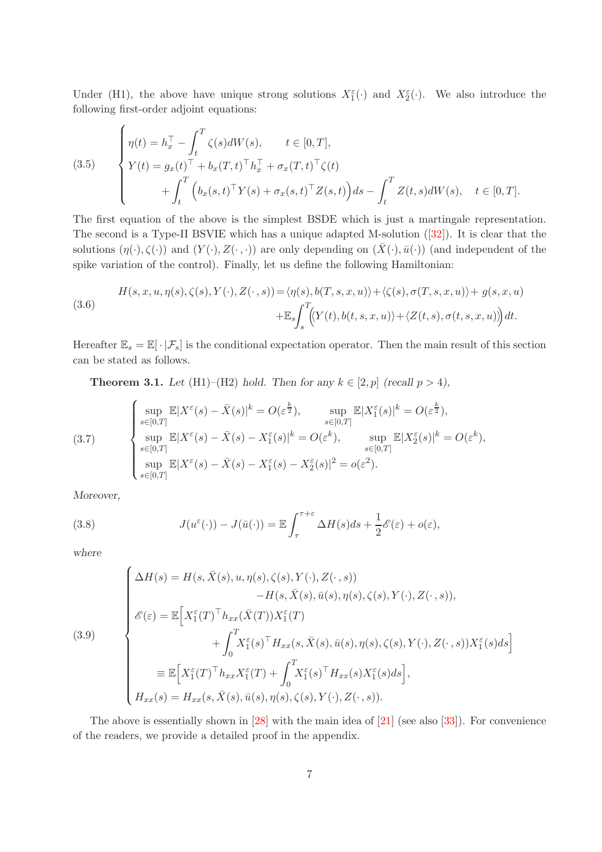Under (H1), the above have unique strong solutions  $X_1^{\varepsilon}(\cdot)$  and  $X_2^{\varepsilon}(\cdot)$ . We also introduce the following first-order adjoint equations:

<span id="page-6-3"></span>(3.5) 
$$
\begin{cases} \eta(t) = h_x^{\top} - \int_t^T \zeta(s) dW(s), & t \in [0, T], \\ Y(t) = g_x(t)^{\top} + b_x(T, t)^{\top} h_x^{\top} + \sigma_x(T, t)^{\top} \zeta(t) \\ + \int_t^T \left( b_x(s, t)^{\top} Y(s) + \sigma_x(s, t)^{\top} Z(s, t) \right) ds - \int_t^T Z(t, s) dW(s), & t \in [0, T]. \end{cases}
$$

The first equation of the above is the simplest BSDE which is just a martingale representation. The second is a Type-II BSVIE which has a unique adapted M-solution([\[32\]](#page-43-8)). It is clear that the solutions  $(\eta(\cdot), \zeta(\cdot))$  and  $(Y(\cdot), Z(\cdot, \cdot))$  are only depending on  $(\bar{X}(\cdot), \bar{u}(\cdot))$  (and independent of the spike variation of the control). Finally, let us define the following Hamiltonian:

<span id="page-6-2"></span>(3.6)  

$$
H(s, x, u, \eta(s), \zeta(s), Y(\cdot), Z(\cdot, s)) = \langle \eta(s), b(T, s, x, u) \rangle + \langle \zeta(s), \sigma(T, s, x, u) \rangle + g(s, x, u)
$$

$$
+ \mathbb{E}_s \int_s^T \langle Y(t), b(t, s, x, u) \rangle + \langle Z(t, s), \sigma(t, s, x, u) \rangle dt.
$$

Hereafter  $\mathbb{E}_s = \mathbb{E}[\cdot | \mathcal{F}_s]$  is the conditional expectation operator. Then the main result of this section can be stated as follows.

<span id="page-6-4"></span>**Theorem 3.1.** Let (H1)–(H2) hold. Then for any  $k \in [2, p]$  (recall  $p > 4$ ),

<span id="page-6-0"></span>(3.7) 
$$
\begin{cases}\n\sup_{s\in[0,T]} \mathbb{E}|X^{\varepsilon}(s) - \bar{X}(s)|^{k} = O(\varepsilon^{\frac{k}{2}}), & \sup_{s\in[0,T]} \mathbb{E}|X^{\varepsilon}_{1}(s)|^{k} = O(\varepsilon^{\frac{k}{2}}), \\
\sup_{s\in[0,T]} \mathbb{E}|X^{\varepsilon}(s) - \bar{X}(s) - X^{\varepsilon}_{1}(s)|^{k} = O(\varepsilon^{k}), & \sup_{s\in[0,T]} \mathbb{E}|X^{\varepsilon}_{2}(s)|^{k} = O(\varepsilon^{k}), \\
\sup_{s\in[0,T]} \mathbb{E}|X^{\varepsilon}(s) - \bar{X}(s) - X^{\varepsilon}_{1}(s) - X^{\varepsilon}_{2}(s)|^{2} = o(\varepsilon^{2}).\n\end{cases}
$$

Moreover,

<span id="page-6-5"></span>(3.8) 
$$
J(u^{\varepsilon}(\cdot)) - J(\bar{u}(\cdot)) = \mathbb{E} \int_{\tau}^{\tau+\varepsilon} \Delta H(s) ds + \frac{1}{2} \mathscr{E}(\varepsilon) + o(\varepsilon),
$$

where

<span id="page-6-1"></span>(3.9)  
\n
$$
\begin{cases}\n\Delta H(s) = H(s, \bar{X}(s), u, \eta(s), \zeta(s), Y(\cdot), Z(\cdot, s)) \\
\qquad - H(s, \bar{X}(s), \bar{u}(s), \eta(s), \zeta(s), Y(\cdot), Z(\cdot, s)), \\
\mathscr{E}(\varepsilon) = \mathbb{E}\Big[X_1^{\varepsilon}(T)^{\top} h_{xx}(\bar{X}(T))X_1^{\varepsilon}(T) \\
\qquad + \int_0^T X_1^{\varepsilon}(s)^{\top} H_{xx}(s, \bar{X}(s), \bar{u}(s), \eta(s), \zeta(s), Y(\cdot), Z(\cdot, s))X_1^{\varepsilon}(s)ds\Big] \\
\equiv \mathbb{E}\Big[X_1^{\varepsilon}(T)^{\top} h_{xx}X_1^{\varepsilon}(T) + \int_0^T X_1^{\varepsilon}(s)^{\top} H_{xx}(s)X_1^{\varepsilon}(s)ds\Big], \\
H_{xx}(s) = H_{xx}(s, \bar{X}(s), \bar{u}(s), \eta(s), \zeta(s), Y(\cdot), Z(\cdot, s)).\n\end{cases}
$$

The above is essentially shown in [\[28\]](#page-43-11) with the main idea of [\[21\]](#page-43-2) (see also [\[33\]](#page-43-3)). For convenience of the readers, we provide a detailed proof in the appendix.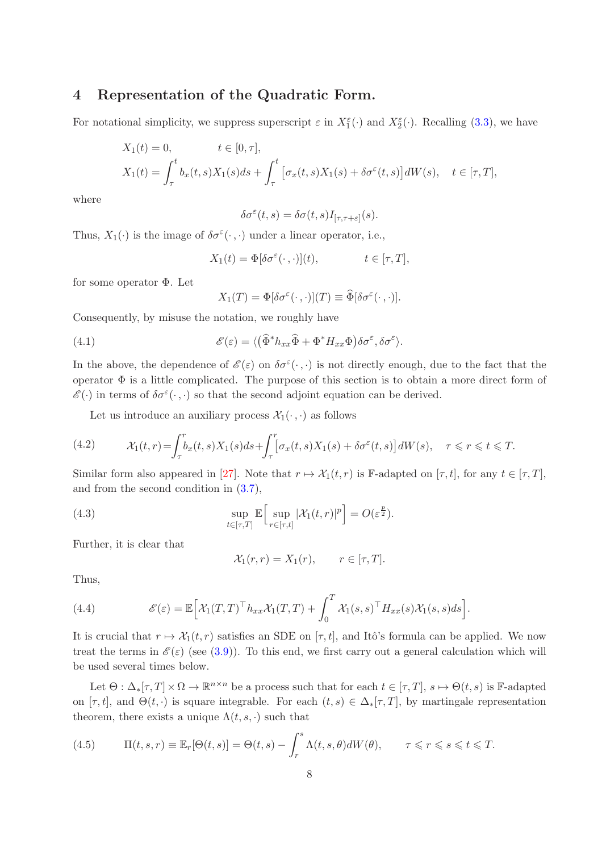## 4 Representation of the Quadratic Form.

For notational simplicity, we suppress superscript  $\varepsilon$  in  $X_1^{\varepsilon}(\cdot)$  and  $X_2^{\varepsilon}(\cdot)$ . Recalling [\(3.3\)](#page-5-0), we have

$$
X_1(t) = 0, \qquad t \in [0, \tau],
$$
  
\n
$$
X_1(t) = \int_{\tau}^t b_x(t, s) X_1(s) ds + \int_{\tau}^t \left[ \sigma_x(t, s) X_1(s) + \delta \sigma^{\varepsilon}(t, s) \right] dW(s), \quad t \in [\tau, T],
$$

where

$$
\delta\sigma^\varepsilon(t,s)=\delta\sigma(t,s)I_{[\tau,\tau+\varepsilon]}(s).
$$

Thus,  $X_1(\cdot)$  is the image of  $\delta\sigma^{\varepsilon}(\cdot,\cdot)$  under a linear operator, i.e.,

$$
X_1(t) = \Phi[\delta \sigma^{\varepsilon}(\cdot, \cdot)](t), \qquad t \in [\tau, T],
$$

for some operator  $\Phi$ . Let

$$
X_1(T) = \Phi[\delta \sigma^{\varepsilon}(\cdot, \cdot)](T) \equiv \widehat{\Phi}[\delta \sigma^{\varepsilon}(\cdot, \cdot)].
$$

Consequently, by misuse the notation, we roughly have

(4.1) 
$$
\mathscr{E}(\varepsilon) = \langle (\widehat{\Phi}^* h_{xx} \widehat{\Phi} + \Phi^* H_{xx} \Phi) \delta \sigma^\varepsilon, \delta \sigma^\varepsilon \rangle.
$$

In the above, the dependence of  $\mathscr{E}(\varepsilon)$  on  $\delta\sigma^{\varepsilon}(\cdot,\cdot)$  is not directly enough, due to the fact that the operator Φ is a little complicated. The purpose of this section is to obtain a more direct form of  $\mathscr{E}(\cdot)$  in terms of  $\delta\sigma^{\varepsilon}(\cdot,\cdot)$  so that the second adjoint equation can be derived.

Let us introduce an auxiliary process  $\mathcal{X}_1(\cdot,\cdot)$  as follows

(4.2) 
$$
\mathcal{X}_1(t,r) = \int_{\tau}^r b_x(t,s)X_1(s)ds + \int_{\tau}^r [\sigma_x(t,s)X_1(s) + \delta\sigma^{\varepsilon}(t,s)]dW(s), \quad \tau \leq r \leq t \leq T.
$$

Similar form also appeared in [\[27\]](#page-43-12). Note that  $r \mapsto \mathcal{X}_1(t, r)$  is F-adapted on  $[\tau, t]$ , for any  $t \in [\tau, T]$ , and from the second condition in [\(3.7\)](#page-6-0),

(4.3) 
$$
\sup_{t \in [\tau, T]} \mathbb{E} \Big[ \sup_{r \in [\tau, t]} |\mathcal{X}_1(t, r)|^p \Big] = O(\varepsilon^{\frac{p}{2}}).
$$

Further, it is clear that

$$
\mathcal{X}_1(r,r) = X_1(r), \qquad r \in [\tau, T].
$$

Thus,

<span id="page-7-1"></span>(4.4) 
$$
\mathscr{E}(\varepsilon) = \mathbb{E}\Big[\mathcal{X}_1(T,T)^\top h_{xx}\mathcal{X}_1(T,T) + \int_0^T \mathcal{X}_1(s,s)^\top H_{xx}(s)\mathcal{X}_1(s,s)ds\Big].
$$

It is crucial that  $r \mapsto \mathcal{X}_1(t, r)$  satisfies an SDE on  $[\tau, t]$ , and Itô's formula can be applied. We now treat the terms in  $\mathscr{E}(\varepsilon)$  (see [\(3.9\)](#page-6-1)). To this end, we first carry out a general calculation which will be used several times below.

Let  $\Theta: \Delta_*[\tau, T] \times \Omega \to \mathbb{R}^{n \times n}$  be a process such that for each  $t \in [\tau, T]$ ,  $s \mapsto \Theta(t, s)$  is F-adapted on  $[\tau, t]$ , and  $\Theta(t, \cdot)$  is square integrable. For each  $(t, s) \in \Delta_*[\tau, T]$ , by martingale representation theorem, there exists a unique  $\Lambda(t, s, \cdot)$  such that

<span id="page-7-0"></span>(4.5) 
$$
\Pi(t,s,r) \equiv \mathbb{E}_r[\Theta(t,s)] = \Theta(t,s) - \int_r^s \Lambda(t,s,\theta)dW(\theta), \qquad \tau \leqslant r \leqslant s \leqslant t \leqslant T.
$$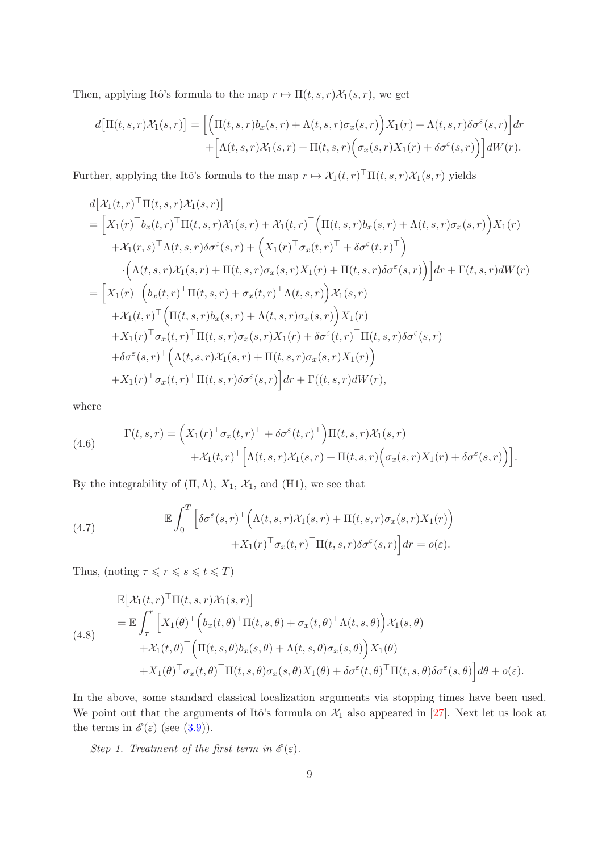Then, applying Itô's formula to the map  $r \mapsto \Pi(t, s, r) \mathcal{X}_1(s, r)$ , we get

$$
d\big[\Pi(t,s,r)\mathcal{X}_1(s,r)\big] = \bigg[\bigg(\Pi(t,s,r)b_x(s,r) + \Lambda(t,s,r)\sigma_x(s,r)\bigg)X_1(r) + \Lambda(t,s,r)\delta\sigma^{\varepsilon}(s,r)\bigg]dr + \bigg[\Lambda(t,s,r)\mathcal{X}_1(s,r) + \Pi(t,s,r)\bigg(\sigma_x(s,r)X_1(r) + \delta\sigma^{\varepsilon}(s,r)\bigg)\bigg]dW(r).
$$

Further, applying the Itô's formula to the map  $r \mapsto \mathcal{X}_1(t,r)^\top \Pi(t,s,r) \mathcal{X}_1(s,r)$  yields

$$
d[\mathcal{X}_1(t,r)^\top \Pi(t,s,r)\mathcal{X}_1(s,r)]
$$
  
\n
$$
= [\mathcal{X}_1(r)^\top b_x(t,r)^\top \Pi(t,s,r)\mathcal{X}_1(s,r) + \mathcal{X}_1(t,r)^\top (\Pi(t,s,r)b_x(s,r) + \Lambda(t,s,r)\sigma_x(s,r))\mathcal{X}_1(r)
$$
  
\n
$$
+ \mathcal{X}_1(r,s)^\top \Lambda(t,s,r)\delta\sigma^{\varepsilon}(s,r) + (\mathcal{X}_1(r)^\top \sigma_x(t,r)^\top + \delta\sigma^{\varepsilon}(t,r)^\top)
$$
  
\n
$$
\cdot (\Lambda(t,s,r)\mathcal{X}_1(s,r) + \Pi(t,s,r)\sigma_x(s,r)\mathcal{X}_1(r) + \Pi(t,s,r)\delta\sigma^{\varepsilon}(s,r))] dr + \Gamma(t,s,r) dW(r)
$$
  
\n
$$
= [\mathcal{X}_1(r)^\top (b_x(t,r)^\top \Pi(t,s,r) + \sigma_x(t,r)^\top \Lambda(t,s,r))\mathcal{X}_1(s,r)
$$
  
\n
$$
+ \mathcal{X}_1(t,r)^\top (\Pi(t,s,r)b_x(s,r) + \Lambda(t,s,r)\sigma_x(s,r))\mathcal{X}_1(r)
$$
  
\n
$$
+ \mathcal{X}_1(r)^\top \sigma_x(t,r)^\top \Pi(t,s,r)\sigma_x(s,r)\mathcal{X}_1(r) + \delta\sigma^{\varepsilon}(t,r)^\top \Pi(t,s,r)\delta\sigma^{\varepsilon}(s,r)
$$
  
\n
$$
+ \delta\sigma^{\varepsilon}(s,r)^\top (\Lambda(t,s,r)\mathcal{X}_1(s,r) + \Pi(t,s,r)\sigma_x(s,r)\mathcal{X}_1(r))
$$
  
\n
$$
+ \mathcal{X}_1(r)^\top \sigma_x(t,r)^\top \Pi(t,s,r)\delta\sigma^{\varepsilon}(s,r)] dr + \Gamma((t,s,r)dW(r),
$$

where

(4.6) 
$$
\Gamma(t,s,r) = \left(X_1(r)^\top \sigma_x(t,r)^\top + \delta \sigma^\varepsilon(t,r)^\top\right) \Pi(t,s,r) \mathcal{X}_1(s,r) +\mathcal{X}_1(t,r)^\top \Big[\Lambda(t,s,r) \mathcal{X}_1(s,r) + \Pi(t,s,r) \Big(\sigma_x(s,r) X_1(r) + \delta \sigma^\varepsilon(s,r)\Big)\Big].
$$

By the integrability of  $(\Pi, \Lambda)$ ,  $X_1$ ,  $X_1$ , and  $(\text{H1})$ , we see that

<span id="page-8-0"></span>(4.7) 
$$
\mathbb{E} \int_0^T \left[ \delta \sigma^{\varepsilon}(s,r)^{\top} \Big( \Lambda(t,s,r) \mathcal{X}_1(s,r) + \Pi(t,s,r) \sigma_x(s,r) X_1(r) \Big) + X_1(r)^{\top} \sigma_x(t,r)^{\top} \Pi(t,s,r) \delta \sigma^{\varepsilon}(s,r) \right] dr = o(\varepsilon).
$$

Thus, (noting  $\tau \leqslant r \leqslant s \leqslant t \leqslant T$ )

<span id="page-8-1"></span>
$$
\mathbb{E}\left[\mathcal{X}_1(t,r)^\top\Pi(t,s,r)\mathcal{X}_1(s,r)\right]
$$
\n
$$
= \mathbb{E}\int_{\tau}^r \left[X_1(\theta)^\top \left(b_x(t,\theta)^\top\Pi(t,s,\theta) + \sigma_x(t,\theta)^\top\Lambda(t,s,\theta)\right)\mathcal{X}_1(s,\theta) + \mathcal{X}_1(t,\theta)^\top \left(\Pi(t,s,\theta)b_x(s,\theta) + \Lambda(t,s,\theta)\sigma_x(s,\theta)\right)X_1(\theta) + X_1(\theta)^\top\sigma_x(t,\theta)^\top\Pi(t,s,\theta)\sigma_x(s,\theta)X_1(\theta) + \delta\sigma^\varepsilon(t,\theta)^\top\Pi(t,s,\theta)\delta\sigma^\varepsilon(s,\theta)\right]d\theta + o(\varepsilon).
$$
\n(4.8)

In the above, some standard classical localization arguments via stopping times have been used. We point out that the arguments of Itô's formula on  $\mathcal{X}_1$  also appeared in [\[27\]](#page-43-12). Next let us look at the terms in  $\mathscr{E}(\varepsilon)$  (see [\(3.9\)](#page-6-1)).

Step 1. Treatment of the first term in  $\mathscr{E}(\varepsilon)$ .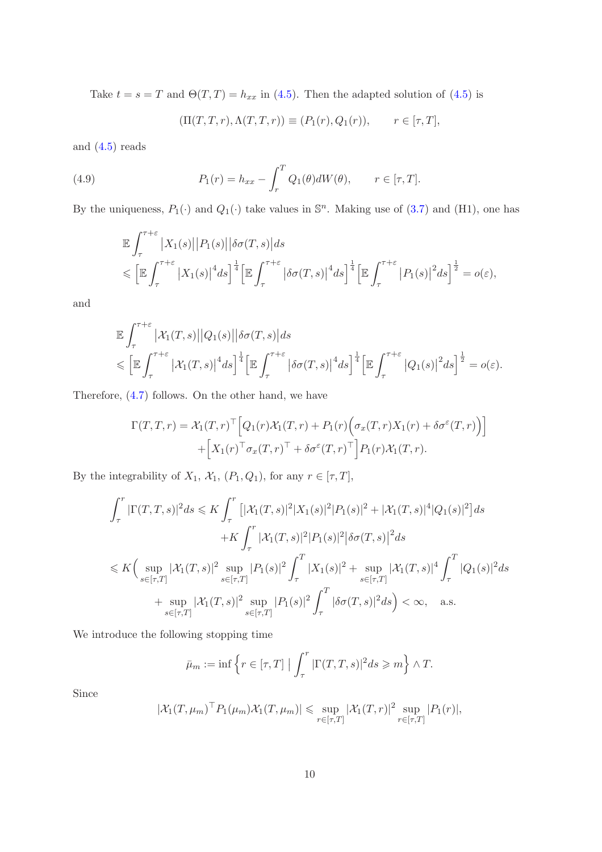Take  $t = s = T$  and  $\Theta(T, T) = h_{xx}$  in [\(4.5\)](#page-7-0). Then the adapted solution of (4.5) is

$$
(\Pi(T, T, r), \Lambda(T, T, r)) \equiv (P_1(r), Q_1(r)), \qquad r \in [\tau, T],
$$

and  $(4.5)$  reads

(4.9) 
$$
P_1(r) = h_{xx} - \int_r^T Q_1(\theta) dW(\theta), \qquad r \in [\tau, T].
$$

By the uniqueness,  $P_1(\cdot)$  and  $Q_1(\cdot)$  take values in  $\mathbb{S}^n$ . Making use of [\(3.7\)](#page-6-0) and (H1), one has

$$
\mathbb{E} \int_{\tau}^{\tau+\varepsilon} |X_1(s)||P_1(s)||\delta\sigma(T,s)|ds \n\leqslant \left[\mathbb{E} \int_{\tau}^{\tau+\varepsilon} |X_1(s)|^4 ds\right]^{\frac{1}{4}} \left[\mathbb{E} \int_{\tau}^{\tau+\varepsilon} |\delta\sigma(T,s)|^4 ds\right]^{\frac{1}{4}} \left[\mathbb{E} \int_{\tau}^{\tau+\varepsilon} |P_1(s)|^2 ds\right]^{\frac{1}{2}} = o(\varepsilon),
$$

and

$$
\mathbb{E} \int_{\tau}^{\tau+\varepsilon} |\mathcal{X}_1(T,s)||Q_1(s)||\delta\sigma(T,s)|ds \n\leqslant \left[\mathbb{E} \int_{\tau}^{\tau+\varepsilon} |\mathcal{X}_1(T,s)|^4 ds\right]^{\frac{1}{4}} \left[\mathbb{E} \int_{\tau}^{\tau+\varepsilon} |\delta\sigma(T,s)|^4 ds\right]^{\frac{1}{4}} \left[\mathbb{E} \int_{\tau}^{\tau+\varepsilon} |Q_1(s)|^2 ds\right]^{\frac{1}{2}} = o(\varepsilon).
$$

Therefore, [\(4.7\)](#page-8-0) follows. On the other hand, we have

$$
\Gamma(T,T,r) = \mathcal{X}_1(T,r)^\top \Big[ Q_1(r) \mathcal{X}_1(T,r) + P_1(r) \Big( \sigma_x(T,r) X_1(r) + \delta \sigma^\varepsilon(T,r) \Big) \Big] + \Big[ X_1(r)^\top \sigma_x(T,r)^\top + \delta \sigma^\varepsilon(T,r)^\top \Big] P_1(r) \mathcal{X}_1(T,r).
$$

By the integrability of  $X_1$ ,  $\mathcal{X}_1$ ,  $(P_1, Q_1)$ , for any  $r \in [\tau, T]$ ,

$$
\int_{\tau}^{r} |\Gamma(T,T,s)|^2 ds \leq K \int_{\tau}^{r} \left[ |\mathcal{X}_1(T,s)|^2 |X_1(s)|^2 |P_1(s)|^2 + |\mathcal{X}_1(T,s)|^4 |Q_1(s)|^2 \right] ds
$$
  
+K 
$$
\int_{\tau}^{r} |\mathcal{X}_1(T,s)|^2 |P_1(s)|^2 |\delta \sigma(T,s)|^2 ds
$$
  

$$
\leq K \Big( \sup_{s \in [\tau,T]} |\mathcal{X}_1(T,s)|^2 \sup_{s \in [\tau,T]} |P_1(s)|^2 \int_{\tau}^{T} |X_1(s)|^2 + \sup_{s \in [\tau,T]} |\mathcal{X}_1(T,s)|^4 \int_{\tau}^{T} |Q_1(s)|^2 ds
$$
  
+ sup 
$$
|\mathcal{X}_1(T,s)|^2 \sup_{s \in [\tau,T]} |P_1(s)|^2 \int_{\tau}^{T} |\delta \sigma(T,s)|^2 ds \Big) < \infty, \quad \text{a.s.}
$$

We introduce the following stopping time

$$
\bar{\mu}_m := \inf \left\{ r \in [\tau, T] \mid \int_{\tau}^{\tau} |\Gamma(T, T, s)|^2 ds \geqslant m \right\} \wedge T.
$$

Since

$$
|\mathcal{X}_1(T,\mu_m)^{\top} P_1(\mu_m) \mathcal{X}_1(T,\mu_m)| \leq \sup_{r \in [\tau,T]} |\mathcal{X}_1(T,r)|^2 \sup_{r \in [\tau,T]} |P_1(r)|,
$$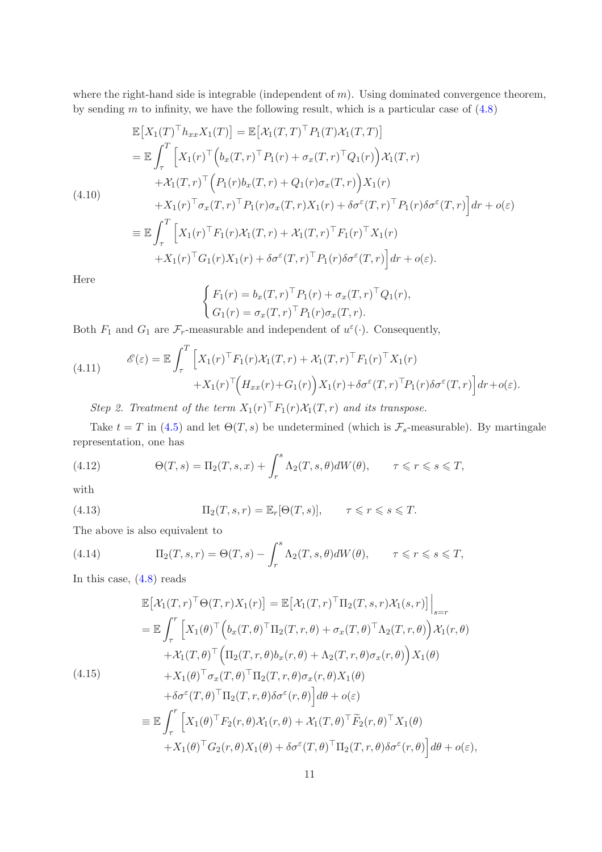where the right-hand side is integrable (independent of  $m$ ). Using dominated convergence theorem, by sending  $m$  to infinity, we have the following result, which is a particular case of  $(4.8)$ 

$$
\mathbb{E}\left[X_1(T)^{\top}h_{xx}X_1(T)\right] = \mathbb{E}\left[\mathcal{X}_1(T,T)^{\top}P_1(T)\mathcal{X}_1(T,T)\right]
$$
\n
$$
= \mathbb{E}\int_{\tau}^{T}\left[X_1(r)^{\top}\left(b_x(T,r)^{\top}P_1(r) + \sigma_x(T,r)^{\top}Q_1(r)\right)\mathcal{X}_1(T,r)\right] + \mathcal{X}_1(T,r)^{\top}\left(P_1(r)b_x(T,r) + Q_1(r)\sigma_x(T,r)\right)X_1(r)
$$
\n
$$
+ X_1(r)^{\top}\sigma_x(T,r)^{\top}P_1(r)\sigma_x(T,r)X_1(r) + \delta\sigma^{\varepsilon}(T,r)^{\top}P_1(r)\delta\sigma^{\varepsilon}(T,r)\right]dr + o(\varepsilon)
$$
\n
$$
\equiv \mathbb{E}\int_{\tau}^{T}\left[X_1(r)^{\top}F_1(r)\mathcal{X}_1(T,r) + \mathcal{X}_1(T,r)^{\top}F_1(r)^{\top}X_1(r)\right]
$$

$$
\begin{aligned} J_{\tau} \downarrow^{\tau} \downarrow^{\tau} \downarrow^{\tau} \downarrow^{\tau} \downarrow^{\tau} \downarrow^{\tau} \downarrow^{\tau} \downarrow^{\tau} \downarrow^{\tau} \downarrow^{\tau} \downarrow^{\tau} \\ + X_1(r)^\top G_1(r) X_1(r) + \delta \sigma^{\varepsilon}(T, r)^\top P_1(r) \delta \sigma^{\varepsilon}(T, r) \Big] dr + o(\varepsilon). \end{aligned}
$$

Here

 $(4.10)$ 

$$
\begin{cases} F_1(r) = b_x(T,r)^\top P_1(r) + \sigma_x(T,r)^\top Q_1(r), \\ G_1(r) = \sigma_x(T,r)^\top P_1(r) \sigma_x(T,r). \end{cases}
$$

Both  $F_1$  and  $G_1$  are  $\mathcal{F}_r$ -measurable and independent of  $u^{\varepsilon}(\cdot)$ . Consequently,

(4.11) 
$$
\mathscr{E}(\varepsilon) = \mathbb{E} \int_{\tau}^{T} \left[ X_1(r)^{\top} F_1(r) \mathcal{X}_1(T, r) + \mathcal{X}_1(T, r)^{\top} F_1(r)^{\top} X_1(r) + X_1(r)^{\top} \left( H_{xx}(r) + G_1(r) \right) X_1(r) + \delta \sigma^{\varepsilon}(T, r)^{\top} P_1(r) \delta \sigma^{\varepsilon}(T, r) \right] dr + o(\varepsilon).
$$

Step 2. Treatment of the term  $X_1(r)^\top F_1(r)X_1(T,r)$  and its transpose.

Take  $t = T$  in [\(4.5\)](#page-7-0) and let  $\Theta(T, s)$  be undetermined (which is  $\mathcal{F}_s$ -measurable). By martingale representation, one has

<span id="page-10-2"></span>(4.12) 
$$
\Theta(T,s) = \Pi_2(T,s,x) + \int_r^s \Lambda_2(T,s,\theta)dW(\theta), \qquad \tau \leqslant r \leqslant s \leqslant T,
$$

with

<span id="page-10-1"></span>(4.13) 
$$
\Pi_2(T, s, r) = \mathbb{E}_r[\Theta(T, s)], \qquad \tau \leqslant r \leqslant s \leqslant T.
$$

The above is also equivalent to

(4.14) 
$$
\Pi_2(T, s, r) = \Theta(T, s) - \int_r^s \Lambda_2(T, s, \theta) dW(\theta), \qquad \tau \leq r \leq s \leq T,
$$

In this case, [\(4.8\)](#page-8-1) reads

<span id="page-10-0"></span>
$$
\mathbb{E}\left[\mathcal{X}_1(T,r)^\top\Theta(T,r)X_1(r)\right] = \mathbb{E}\left[\mathcal{X}_1(T,r)^\top\Pi_2(T,s,r)\mathcal{X}_1(s,r)\right]\Big|_{s=r}
$$
\n
$$
= \mathbb{E}\int_{\tau}^r \left[X_1(\theta)^\top \left(b_x(T,\theta)^\top\Pi_2(T,r,\theta) + \sigma_x(T,\theta)^\top\Lambda_2(T,r,\theta)\right)\mathcal{X}_1(r,\theta) + \mathcal{X}_1(T,\theta)^\top \left(\Pi_2(T,r,\theta)b_x(r,\theta) + \Lambda_2(T,r,\theta)\sigma_x(r,\theta)\right)X_1(\theta) + X_1(\theta)^\top\sigma_x(T,\theta)^\top\Pi_2(T,r,\theta)\sigma_x(r,\theta)X_1(\theta) + \delta\sigma^{\varepsilon}(T,\theta)^\top\Pi_2(T,r,\theta)\delta\sigma^{\varepsilon}(r,\theta)\right]d\theta + o(\varepsilon)
$$
\n
$$
\equiv \mathbb{E}\int_{\tau}^r \left[X_1(\theta)^\top F_2(r,\theta)\mathcal{X}_1(r,\theta) + \mathcal{X}_1(T,\theta)^\top\widetilde{F}_2(r,\theta)^\top X_1(\theta) + X_1(\theta)^\top G_2(r,\theta)X_1(\theta) + \delta\sigma^{\varepsilon}(T,\theta)^\top\Pi_2(T,r,\theta)\delta\sigma^{\varepsilon}(r,\theta)\right]d\theta + o(\varepsilon),
$$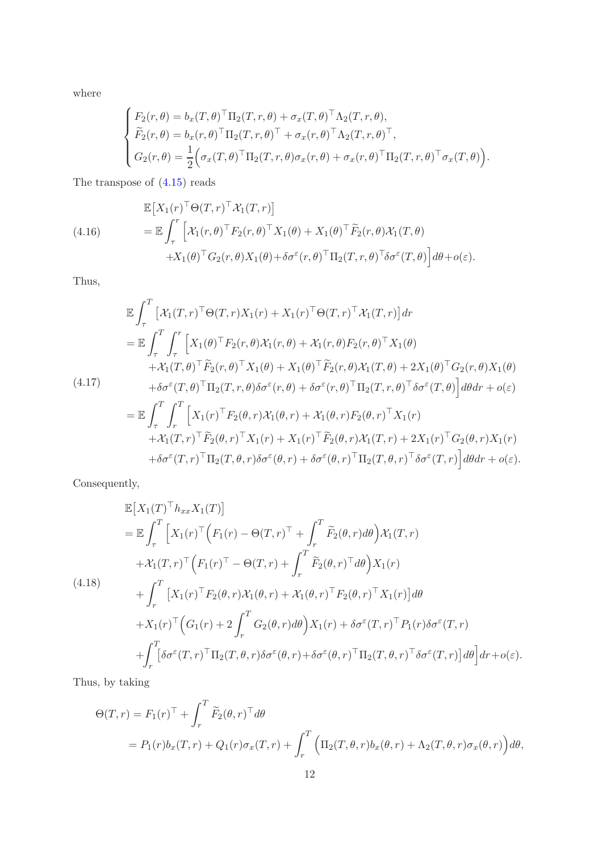where

$$
\begin{cases}\nF_2(r,\theta) = b_x(T,\theta)^\top \Pi_2(T,r,\theta) + \sigma_x(T,\theta)^\top \Lambda_2(T,r,\theta), \\
\widetilde{F}_2(r,\theta) = b_x(r,\theta)^\top \Pi_2(T,r,\theta)^\top + \sigma_x(r,\theta)^\top \Lambda_2(T,r,\theta)^\top, \\
G_2(r,\theta) = \frac{1}{2} \Big( \sigma_x(T,\theta)^\top \Pi_2(T,r,\theta) \sigma_x(r,\theta) + \sigma_x(r,\theta)^\top \Pi_2(T,r,\theta)^\top \sigma_x(T,\theta) \Big).\n\end{cases}
$$

The transpose of [\(4.15\)](#page-10-0) reads

(4.16)  
\n
$$
\mathbb{E}\left[X_1(r)^{\top}\Theta(T,r)^{\top}\mathcal{X}_1(T,r)\right]
$$
\n
$$
= \mathbb{E}\int_{\tau}^{r} \left[\mathcal{X}_1(r,\theta)^{\top}F_2(r,\theta)^{\top}X_1(\theta) + X_1(\theta)^{\top}\widetilde{F}_2(r,\theta)\mathcal{X}_1(T,\theta) + X_1(\theta)^{\top}G_2(r,\theta)X_1(\theta) + \delta\sigma^{\varepsilon}(r,\theta)^{\top}\Pi_2(T,r,\theta)^{\top}\delta\sigma^{\varepsilon}(T,\theta)\right]d\theta + o(\varepsilon).
$$

Thus,

$$
\mathbb{E} \int_{\tau}^{T} \left[ \mathcal{X}_{1}(T,r)^{\top} \Theta(T,r) X_{1}(r) + X_{1}(r)^{\top} \Theta(T,r)^{\top} \mathcal{X}_{1}(T,r) \right] dr \n= \mathbb{E} \int_{\tau}^{T} \int_{\tau}^{r} \left[ X_{1}(\theta)^{\top} F_{2}(r,\theta) \mathcal{X}_{1}(r,\theta) + \mathcal{X}_{1}(r,\theta) F_{2}(r,\theta)^{\top} X_{1}(\theta) \right. \n+ \mathcal{X}_{1}(T,\theta)^{\top} \widetilde{F}_{2}(r,\theta)^{\top} X_{1}(\theta) + X_{1}(\theta)^{\top} \widetilde{F}_{2}(r,\theta) \mathcal{X}_{1}(T,\theta) + 2X_{1}(\theta)^{\top} G_{2}(r,\theta) X_{1}(\theta) \n+ \delta \sigma^{\varepsilon}(T,\theta)^{\top} \Pi_{2}(T,r,\theta) \delta \sigma^{\varepsilon}(r,\theta) + \delta \sigma^{\varepsilon}(r,\theta)^{\top} \Pi_{2}(T,r,\theta)^{\top} \delta \sigma^{\varepsilon}(T,\theta) \right] d\theta dr + o(\varepsilon) \n= \mathbb{E} \int_{\tau}^{T} \int_{r}^{T} \left[ X_{1}(r)^{\top} F_{2}(\theta,r) \mathcal{X}_{1}(\theta,r) + \mathcal{X}_{1}(\theta,r) F_{2}(\theta,r)^{\top} X_{1}(r) \right. \n+ \mathcal{X}_{1}(T,r)^{\top} \widetilde{F}_{2}(\theta,r)^{\top} X_{1}(r) + X_{1}(r)^{\top} \widetilde{F}_{2}(\theta,r) \mathcal{X}_{1}(T,r) + 2X_{1}(r)^{\top} G_{2}(\theta,r) X_{1}(r) \right. \n+ \delta \sigma^{\varepsilon}(T,r)^{\top} \Pi_{2}(T,\theta,r) \delta \sigma^{\varepsilon}(\theta,r) + \delta \sigma^{\varepsilon}(\theta,r)^{\top} \Pi_{2}(T,\theta,r)^{\top} \delta \sigma^{\varepsilon}(T,r) \Big] d\theta dr + o(\varepsilon).
$$

Consequently,

$$
\mathbb{E}\left[X_1(T)^{\top}h_{xx}X_1(T)\right]
$$
\n
$$
= \mathbb{E}\int_{\tau}^{T}\left[X_1(r)^{\top}\left(F_1(r) - \Theta(T,r)^{\top} + \int_{r}^{T}\widetilde{F}_2(\theta,r)d\theta\right)\mathcal{X}_1(T,r)\right] + \mathcal{X}_1(T,r)^{\top}\left(F_1(r)^{\top} - \Theta(T,r) + \int_{r}^{T}\widetilde{F}_2(\theta,r)^{\top}d\theta\right)X_1(r) + \int_{r}^{T}\left[X_1(r)^{\top}F_2(\theta,r)\mathcal{X}_1(\theta,r) + \mathcal{X}_1(\theta,r)^{\top}F_2(\theta,r)^{\top}X_1(r)\right]d\theta + X_1(r)^{\top}\left(G_1(r) + 2\int_{r}^{T}G_2(\theta,r)d\theta\right)X_1(r) + \delta\sigma^{\varepsilon}(T,r)^{\top}P_1(r)\delta\sigma^{\varepsilon}(T,r) + \int_{r}^{T}\left[\delta\sigma^{\varepsilon}(T,r)^{\top}\Pi_2(T,\theta,r)\delta\sigma^{\varepsilon}(\theta,r) + \delta\sigma^{\varepsilon}(\theta,r)^{\top}\Pi_2(T,\theta,r)^{\top}\delta\sigma^{\varepsilon}(T,r)\right]d\theta\right]dr + o(\varepsilon).
$$

Thus, by taking

$$
\Theta(T,r) = F_1(r)^\top + \int_r^T \widetilde{F}_2(\theta, r)^\top d\theta
$$
  
=  $P_1(r)b_x(T,r) + Q_1(r)\sigma_x(T,r) + \int_r^T \left(\Pi_2(T,\theta,r)b_x(\theta,r) + \Lambda_2(T,\theta,r)\sigma_x(\theta,r)\right)d\theta,$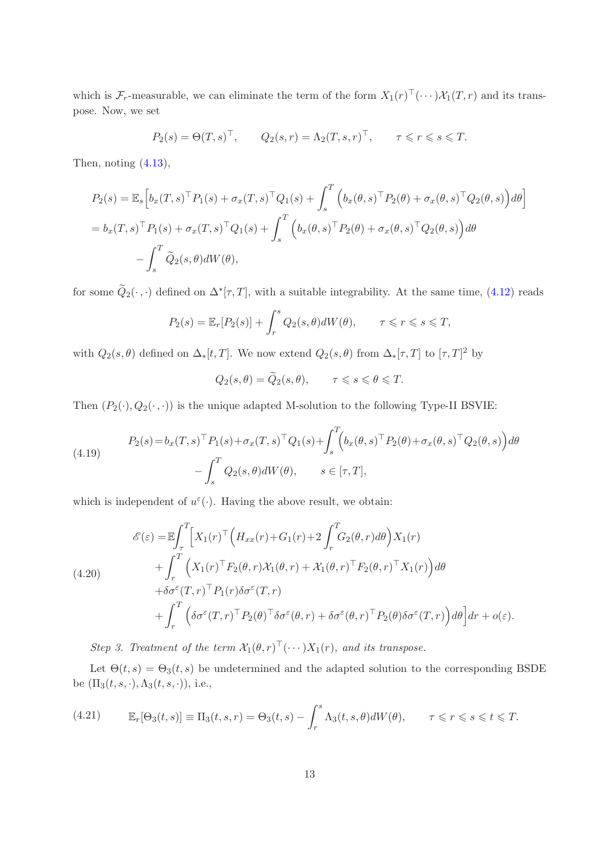which is  $\mathcal{F}_r$ -measurable, we can eliminate the term of the form  $X_1(r)^\top(\cdots)\mathcal{X}_1(T,r)$  and its transpose. Now, we set

$$
P_2(s) = \Theta(T, s)^\top
$$
,  $Q_2(s, r) = \Lambda_2(T, s, r)^\top$ ,  $\tau \leq r \leq s \leq T$ .

Then, noting [\(4.13\)](#page-10-1),

$$
P_2(s) = \mathbb{E}_s \Big[ b_x(T, s)^\top P_1(s) + \sigma_x(T, s)^\top Q_1(s) + \int_s^T \Big( b_x(\theta, s)^\top P_2(\theta) + \sigma_x(\theta, s)^\top Q_2(\theta, s) \Big) d\theta \Big]
$$
  
=  $b_x(T, s)^\top P_1(s) + \sigma_x(T, s)^\top Q_1(s) + \int_s^T \Big( b_x(\theta, s)^\top P_2(\theta) + \sigma_x(\theta, s)^\top Q_2(\theta, s) \Big) d\theta$   
-  $\int_s^T \widetilde{Q}_2(s, \theta) dW(\theta),$ 

for some  $Q_2(\cdot, \cdot)$  defined on  $\Delta^*[\tau, T]$ , with a suitable integrability. At the same time, [\(4.12\)](#page-10-2) reads

$$
P_2(s) = \mathbb{E}_r[P_2(s)] + \int_r^s Q_2(s,\theta)dW(\theta), \qquad \tau \leq r \leq s \leq T,
$$

with  $Q_2(s,\theta)$  defined on  $\Delta_*[t,T]$ . We now extend  $Q_2(s,\theta)$  from  $\Delta_*[\tau,T]$  to  $[\tau,T]^2$  by

$$
Q_2(s,\theta) = \widetilde{Q}_2(s,\theta), \qquad \tau \leq s \leq \theta \leq T.
$$

Then  $(P_2(\cdot), Q_2(\cdot, \cdot))$  is the unique adapted M-solution to the following Type-II BSVIE:

(4.19) 
$$
P_2(s) = b_x(T, s)^\top P_1(s) + \sigma_x(T, s)^\top Q_1(s) + \int_s^T \left(b_x(\theta, s)^\top P_2(\theta) + \sigma_x(\theta, s)^\top Q_2(\theta, s)\right) d\theta - \int_s^T Q_2(s, \theta) dW(\theta), \qquad s \in [\tau, T],
$$

which is independent of  $u^{\varepsilon}(\cdot)$ . Having the above result, we obtain:

(4.20)  
\n
$$
\mathcal{E}(\varepsilon) = \mathbb{E} \int_{\tau}^{T} \Big[ X_{1}(r)^{\top} \Big( H_{xx}(r) + G_{1}(r) + 2 \int_{r}^{T} G_{2}(\theta, r) d\theta \Big) X_{1}(r) + \int_{r}^{T} \Big( X_{1}(r)^{\top} F_{2}(\theta, r) \mathcal{X}_{1}(\theta, r) + \mathcal{X}_{1}(\theta, r)^{\top} F_{2}(\theta, r)^{\top} X_{1}(r) \Big) d\theta + \delta \sigma^{\varepsilon}(T, r)^{\top} P_{1}(r) \delta \sigma^{\varepsilon}(T, r) + \int_{r}^{T} \Big( \delta \sigma^{\varepsilon}(T, r)^{\top} P_{2}(\theta)^{\top} \delta \sigma^{\varepsilon}(\theta, r) + \delta \sigma^{\varepsilon}(\theta, r)^{\top} P_{2}(\theta) \delta \sigma^{\varepsilon}(T, r) \Big) d\theta \Big] dr + o(\varepsilon).
$$

Step 3. Treatment of the term  $\mathcal{X}_1(\theta,r)^\top(\cdots)X_1(r)$ , and its transpose.

Let  $\Theta(t,s) = \Theta_3(t,s)$  be undetermined and the adapted solution to the corresponding BSDE be  $(\Pi_3(t, s, \cdot), \Lambda_3(t, s, \cdot)),$  i.e.,

(4.21) 
$$
\mathbb{E}_r[\Theta_3(t,s)] \equiv \Pi_3(t,s,r) = \Theta_3(t,s) - \int_r^s \Lambda_3(t,s,\theta) dW(\theta), \qquad \tau \leqslant r \leqslant s \leqslant t \leqslant T.
$$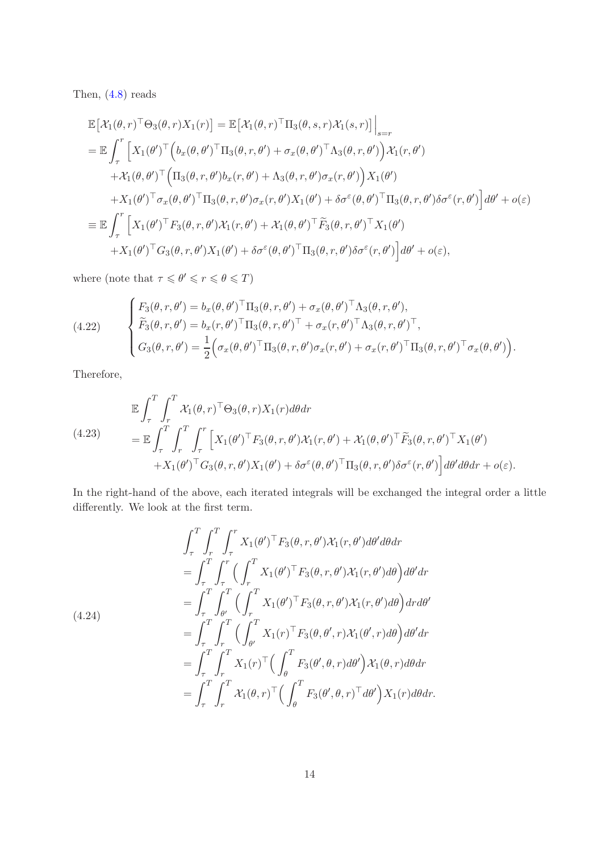Then, [\(4.8\)](#page-8-1) reads

$$
\mathbb{E}\left[\mathcal{X}_{1}(\theta,r)^{\top}\Theta_{3}(\theta,r)X_{1}(r)\right] = \mathbb{E}\left[\mathcal{X}_{1}(\theta,r)^{\top}\Pi_{3}(\theta,s,r)\mathcal{X}_{1}(s,r)\right]\Big|_{s=r}
$$
\n
$$
= \mathbb{E}\int_{\tau}^{r}\left[X_{1}(\theta')^{\top}\left(b_{x}(\theta,\theta')^{\top}\Pi_{3}(\theta,r,\theta') + \sigma_{x}(\theta,\theta')^{\top}\Lambda_{3}(\theta,r,\theta')\right)\mathcal{X}_{1}(r,\theta')\right] + \mathcal{X}_{1}(\theta,\theta')^{\top}\left(\Pi_{3}(\theta,r,\theta')b_{x}(r,\theta') + \Lambda_{3}(\theta,r,\theta')\sigma_{x}(r,\theta')\right)X_{1}(\theta')\right] + X_{1}(\theta')^{\top}\sigma_{x}(\theta,\theta')^{\top}\Pi_{3}(\theta,r,\theta')\sigma_{x}(r,\theta')X_{1}(\theta') + \delta\sigma^{\varepsilon}(\theta,\theta')^{\top}\Pi_{3}(\theta,r,\theta')\delta\sigma^{\varepsilon}(r,\theta')\right]d\theta' + o(\varepsilon)
$$
\n
$$
\equiv \mathbb{E}\int_{\tau}^{r}\left[X_{1}(\theta')^{\top}F_{3}(\theta,r,\theta')\mathcal{X}_{1}(r,\theta') + \mathcal{X}_{1}(\theta,\theta')^{\top}\widetilde{F}_{3}(\theta,r,\theta')^{\top}X_{1}(\theta')\right]d\theta' + o(\varepsilon) + X_{1}(\theta')^{\top}G_{3}(\theta,r,\theta')X_{1}(\theta') + \delta\sigma^{\varepsilon}(\theta,\theta')^{\top}\Pi_{3}(\theta,r,\theta')\delta\sigma^{\varepsilon}(r,\theta')\right]d\theta' + o(\varepsilon),
$$

where (note that  $\tau \leq \theta' \leqslant r \leqslant \theta \leqslant T$ )

(4.22) 
$$
\begin{cases} F_3(\theta, r, \theta') = b_x(\theta, \theta')^\top \Pi_3(\theta, r, \theta') + \sigma_x(\theta, \theta')^\top \Lambda_3(\theta, r, \theta'), \\ \widetilde{F}_3(\theta, r, \theta') = b_x(r, \theta')^\top \Pi_3(\theta, r, \theta')^\top + \sigma_x(r, \theta')^\top \Lambda_3(\theta, r, \theta')^\top, \\ G_3(\theta, r, \theta') = \frac{1}{2} \Big( \sigma_x(\theta, \theta')^\top \Pi_3(\theta, r, \theta') \sigma_x(r, \theta') + \sigma_x(r, \theta')^\top \Pi_3(\theta, r, \theta')^\top \sigma_x(\theta, \theta') \Big). \end{cases}
$$

Therefore,

<span id="page-13-0"></span>(4.23)  
\n
$$
\mathbb{E} \int_{\tau}^{T} \int_{r}^{T} \mathcal{X}_{1}(\theta, r)^{\top} \Theta_{3}(\theta, r) X_{1}(r) d\theta dr\n= \mathbb{E} \int_{\tau}^{T} \int_{r}^{T} \int_{\tau}^{T} \left[ X_{1}(\theta')^{\top} F_{3}(\theta, r, \theta') \mathcal{X}_{1}(r, \theta') + \mathcal{X}_{1}(\theta, \theta')^{\top} \widetilde{F}_{3}(\theta, r, \theta')^{\top} X_{1}(\theta') \right. \\
\left. + X_{1}(\theta')^{\top} G_{3}(\theta, r, \theta') X_{1}(\theta') + \delta \sigma^{\varepsilon}(\theta, \theta')^{\top} \Pi_{3}(\theta, r, \theta') \delta \sigma^{\varepsilon}(r, \theta') \right] d\theta' d\theta dr + o(\varepsilon).
$$

In the right-hand of the above, each iterated integrals will be exchanged the integral order a little differently. We look at the first term.

$$
\int_{\tau}^{T} \int_{r}^{T} \int_{\tau}^{r} X_{1}(\theta')^{\top} F_{3}(\theta, r, \theta') \mathcal{X}_{1}(r, \theta') d\theta' d\theta dr \n= \int_{\tau}^{T} \int_{\tau}^{r} \Big( \int_{r}^{T} X_{1}(\theta')^{\top} F_{3}(\theta, r, \theta') \mathcal{X}_{1}(r, \theta') d\theta \Big) d\theta' dr \n= \int_{\tau}^{T} \int_{\theta'}^{T} \Big( \int_{r}^{T} X_{1}(\theta')^{\top} F_{3}(\theta, r, \theta') \mathcal{X}_{1}(r, \theta') d\theta \Big) dr d\theta' \n= \int_{\tau}^{T} \int_{r}^{T} \Big( \int_{\theta'}^{T} X_{1}(r)^{\top} F_{3}(\theta, \theta', r) \mathcal{X}_{1}(\theta', r) d\theta \Big) d\theta' dr \n= \int_{\tau}^{T} \int_{r}^{T} X_{1}(r)^{\top} \Big( \int_{\theta}^{T} F_{3}(\theta', \theta, r) d\theta' \Big) \mathcal{X}_{1}(\theta, r) d\theta dr \n= \int_{\tau}^{T} \int_{r}^{T} \mathcal{X}_{1}(\theta, r)^{\top} \Big( \int_{\theta}^{T} F_{3}(\theta', \theta, r)^{\top} d\theta' \Big) X_{1}(r) d\theta dr.
$$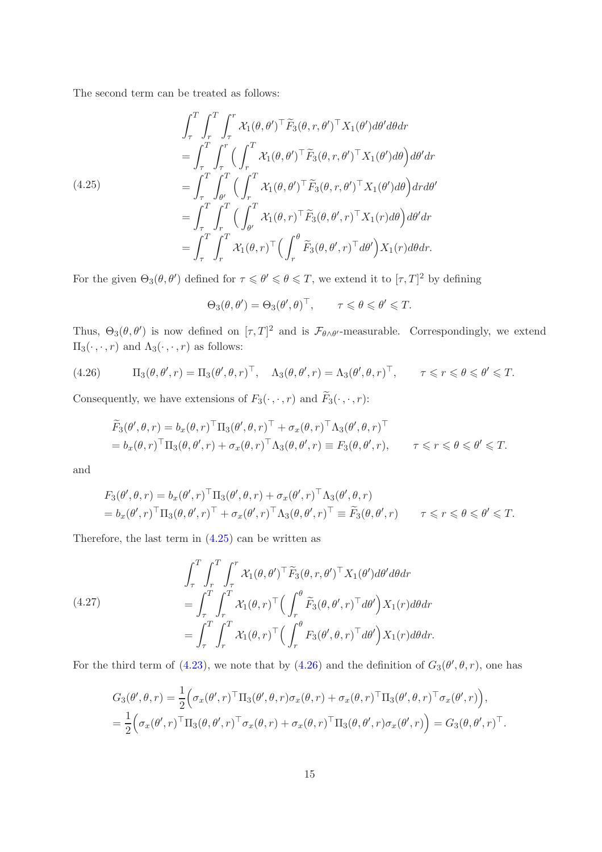The second term can be treated as follows:

<span id="page-14-0"></span>
$$
\int_{\tau}^{T} \int_{\tau}^{T} \int_{\tau}^{r} \mathcal{X}_{1}(\theta, \theta')^{\top} \widetilde{F}_{3}(\theta, r, \theta')^{\top} \mathcal{X}_{1}(\theta') d\theta' d\theta dr \n= \int_{\tau}^{T} \int_{\tau}^{r} \Big( \int_{r}^{T} \mathcal{X}_{1}(\theta, \theta')^{\top} \widetilde{F}_{3}(\theta, r, \theta')^{\top} \mathcal{X}_{1}(\theta') d\theta \Big) d\theta' dr \n= \int_{\tau}^{T} \int_{\theta'}^{T} \Big( \int_{r}^{T} \mathcal{X}_{1}(\theta, \theta')^{\top} \widetilde{F}_{3}(\theta, r, \theta')^{\top} \mathcal{X}_{1}(\theta') d\theta \Big) dr d\theta' \n= \int_{\tau}^{T} \int_{r}^{T} \Big( \int_{\theta'}^{T} \mathcal{X}_{1}(\theta, r)^{\top} \widetilde{F}_{3}(\theta, \theta', r)^{\top} \mathcal{X}_{1}(r) d\theta \Big) d\theta' dr \n= \int_{\tau}^{T} \int_{r}^{T} \mathcal{X}_{1}(\theta, r)^{\top} \Big( \int_{r}^{\theta} \widetilde{F}_{3}(\theta, \theta', r)^{\top} d\theta' \Big) \mathcal{X}_{1}(r) d\theta dr.
$$

For the given  $\Theta_3(\theta, \theta')$  defined for  $\tau \leq \theta' \leq \theta \leq T$ , we extend it to  $[\tau, T]^2$  by defining

$$
\Theta_3(\theta, \theta') = \Theta_3(\theta', \theta)^{\top}, \qquad \tau \leq \theta \leq \theta' \leq T.
$$

Thus,  $\Theta_3(\theta, \theta')$  is now defined on  $[\tau, T]^2$  and is  $\mathcal{F}_{\theta \wedge \theta'}$ -measurable. Correspondingly, we extend  $\Pi_3(\cdot,\cdot,r)$  and  $\Lambda_3(\cdot,\cdot,r)$  as follows:

<span id="page-14-1"></span>(4.26) 
$$
\Pi_3(\theta, \theta', r) = \Pi_3(\theta', \theta, r)^\top, \quad \Lambda_3(\theta, \theta', r) = \Lambda_3(\theta', \theta, r)^\top, \quad \tau \leq r \leq \theta \leq \theta' \leq T.
$$

Consequently, we have extensions of  $F_3(\cdot, \cdot, r)$  and  $\widetilde{F}_3(\cdot, \cdot, r)$ :

$$
\widetilde{F}_3(\theta', \theta, r) = b_x(\theta, r)^\top \Pi_3(\theta', \theta, r)^\top + \sigma_x(\theta, r)^\top \Lambda_3(\theta', \theta, r)^\top \n= b_x(\theta, r)^\top \Pi_3(\theta, \theta', r) + \sigma_x(\theta, r)^\top \Lambda_3(\theta, \theta', r) \equiv F_3(\theta, \theta', r), \qquad \tau \leq r \leq \theta \leq \theta' \leq T.
$$

and

$$
F_3(\theta', \theta, r) = b_x(\theta', r)^\top \Pi_3(\theta', \theta, r) + \sigma_x(\theta', r)^\top \Lambda_3(\theta', \theta, r)
$$
  
=  $b_x(\theta', r)^\top \Pi_3(\theta, \theta', r)^\top + \sigma_x(\theta', r)^\top \Lambda_3(\theta, \theta', r)^\top \equiv \widetilde{F}_3(\theta, \theta', r) \qquad \tau \leq r \leq \theta \leq \theta' \leq T.$ 

Therefore, the last term in  $(4.25)$  can be written as

(4.27)  
\n
$$
\int_{\tau}^{T} \int_{r}^{T} \int_{\tau}^{r} \mathcal{X}_{1}(\theta, \theta')^{\top} \widetilde{F}_{3}(\theta, r, \theta')^{\top} X_{1}(\theta') d\theta' d\theta dr
$$
\n
$$
= \int_{\tau}^{T} \int_{r}^{T} \mathcal{X}_{1}(\theta, r)^{\top} \Big( \int_{r}^{\theta} \widetilde{F}_{3}(\theta, \theta', r)^{\top} d\theta' \Big) X_{1}(r) d\theta dr
$$
\n
$$
= \int_{\tau}^{T} \int_{r}^{T} \mathcal{X}_{1}(\theta, r)^{\top} \Big( \int_{r}^{\theta} F_{3}(\theta', \theta, r)^{\top} d\theta' \Big) X_{1}(r) d\theta dr.
$$

For the third term of [\(4.23\)](#page-13-0), we note that by [\(4.26\)](#page-14-1) and the definition of  $G_3(\theta', \theta, r)$ , one has

$$
G_3(\theta', \theta, r) = \frac{1}{2} \Big( \sigma_x(\theta', r)^\top \Pi_3(\theta', \theta, r) \sigma_x(\theta, r) + \sigma_x(\theta, r)^\top \Pi_3(\theta', \theta, r)^\top \sigma_x(\theta', r) \Big),
$$
  
= 
$$
\frac{1}{2} \Big( \sigma_x(\theta', r)^\top \Pi_3(\theta, \theta', r)^\top \sigma_x(\theta, r) + \sigma_x(\theta, r)^\top \Pi_3(\theta, \theta', r) \sigma_x(\theta', r) \Big) = G_3(\theta, \theta', r)^\top.
$$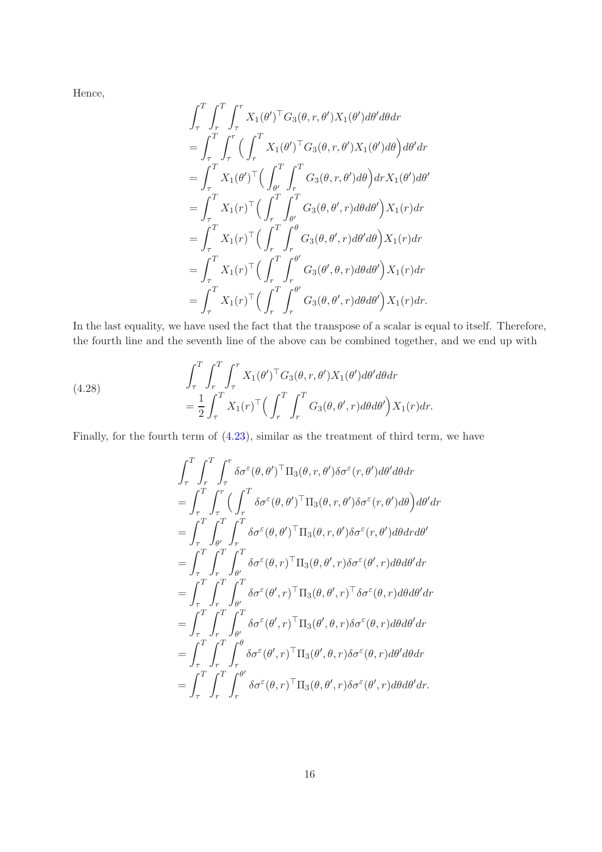Hence,

$$
\int_{\tau}^{T} \int_{r}^{T} \int_{\tau}^{r} X_{1}(\theta')^{\top} G_{3}(\theta, r, \theta') X_{1}(\theta') d\theta' d\theta dr \n= \int_{\tau}^{T} \int_{\tau}^{r} \Big( \int_{r}^{T} X_{1}(\theta')^{\top} G_{3}(\theta, r, \theta') X_{1}(\theta') d\theta \Big) d\theta' dr \n= \int_{\tau}^{T} X_{1}(\theta')^{\top} \Big( \int_{\theta'}^{T} \int_{r}^{T} G_{3}(\theta, r, \theta') d\theta \Big) dr X_{1}(\theta') d\theta' \n= \int_{\tau}^{T} X_{1}(r)^{\top} \Big( \int_{r}^{T} \int_{\theta'}^{T} G_{3}(\theta, \theta', r) d\theta d\theta' \Big) X_{1}(r) dr \n= \int_{\tau}^{T} X_{1}(r)^{\top} \Big( \int_{r}^{T} \int_{r}^{\theta} G_{3}(\theta, \theta', r) d\theta' d\theta \Big) X_{1}(r) dr \n= \int_{\tau}^{T} X_{1}(r)^{\top} \Big( \int_{r}^{T} \int_{r}^{\theta'} G_{3}(\theta', \theta, r) d\theta d\theta' \Big) X_{1}(r) dr \n= \int_{\tau}^{T} X_{1}(r)^{\top} \Big( \int_{r}^{T} \int_{r}^{\theta'} G_{3}(\theta, \theta', r) d\theta d\theta' \Big) X_{1}(r) dr.
$$

In the last equality, we have used the fact that the transpose of a scalar is equal to itself. Therefore, the fourth line and the seventh line of the above can be combined together, and we end up with

(4.28) 
$$
\int_{\tau}^{T} \int_{\tau}^{T} \int_{\tau}^{T} X_{1}(\theta')^{\top} G_{3}(\theta, r, \theta') X_{1}(\theta') d\theta' d\theta dr \n= \frac{1}{2} \int_{\tau}^{T} X_{1}(r)^{\top} \Big( \int_{r}^{T} \int_{r}^{T} G_{3}(\theta, \theta', r) d\theta d\theta' \Big) X_{1}(r) dr.
$$

Finally, for the fourth term of [\(4.23\)](#page-13-0), similar as the treatment of third term, we have

$$
\int_{\tau}^{T} \int_{r}^{T} \int_{\tau}^{r} \delta \sigma^{\varepsilon}(\theta, \theta')^{\top} \Pi_{3}(\theta, r, \theta') \delta \sigma^{\varepsilon}(r, \theta') d\theta' d\theta dr \n= \int_{\tau}^{T} \int_{\tau}^{r} \Big( \int_{r}^{T} \delta \sigma^{\varepsilon}(\theta, \theta')^{\top} \Pi_{3}(\theta, r, \theta') \delta \sigma^{\varepsilon}(r, \theta') d\theta \Big) d\theta' dr \n= \int_{\tau}^{T} \int_{\theta'}^{T} \int_{r}^{T} \delta \sigma^{\varepsilon}(\theta, \theta')^{\top} \Pi_{3}(\theta, r, \theta') \delta \sigma^{\varepsilon}(r, \theta') d\theta dr d\theta' \n= \int_{\tau}^{T} \int_{r}^{T} \int_{\theta'}^{T} \delta \sigma^{\varepsilon}(\theta, r)^{\top} \Pi_{3}(\theta, \theta', r) \delta \sigma^{\varepsilon}(\theta', r) d\theta d\theta' dr \n= \int_{\tau}^{T} \int_{r}^{T} \int_{\theta'}^{T} \delta \sigma^{\varepsilon}(\theta', r)^{\top} \Pi_{3}(\theta, \theta', r)^{\top} \delta \sigma^{\varepsilon}(\theta, r) d\theta d\theta' dr \n= \int_{\tau}^{T} \int_{r}^{T} \int_{\theta'}^{T} \delta \sigma^{\varepsilon}(\theta', r)^{\top} \Pi_{3}(\theta', \theta, r) \delta \sigma^{\varepsilon}(\theta, r) d\theta d\theta' dr \n= \int_{\tau}^{T} \int_{r}^{T} \int_{r}^{\theta} \delta \sigma^{\varepsilon}(\theta', r)^{\top} \Pi_{3}(\theta', \theta, r) \delta \sigma^{\varepsilon}(\theta, r) d\theta' d\theta dr \n= \int_{\tau}^{T} \int_{r}^{T} \int_{r}^{\theta'} \delta \sigma^{\varepsilon}(\theta, r)^{\top} \Pi_{3}(\theta, \theta', r) \delta \sigma^{\varepsilon}(\theta', r) d\theta d\theta' dr.
$$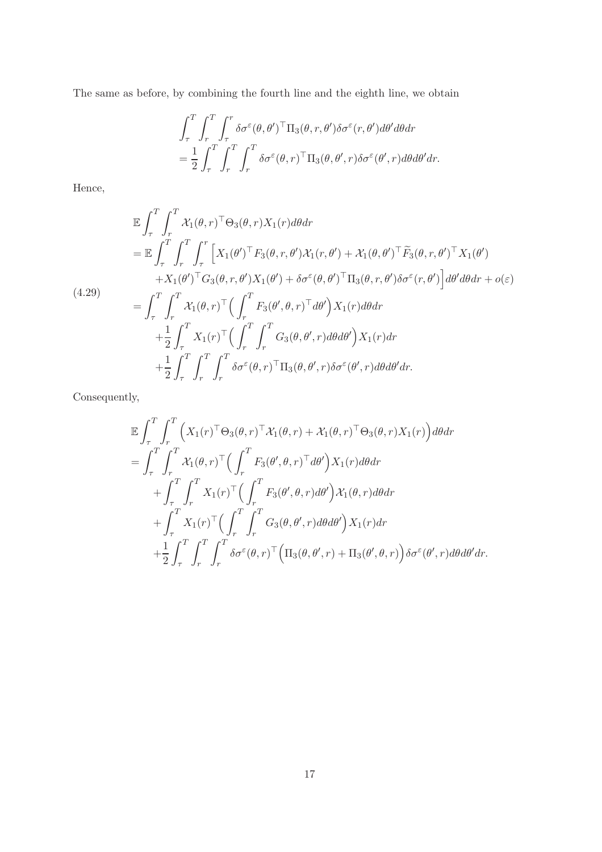The same as before, by combining the fourth line and the eighth line, we obtain

$$
\int_{\tau}^{T} \int_{r}^{T} \int_{\tau}^{r} \delta \sigma^{\varepsilon}(\theta, \theta')^{\top} \Pi_{3}(\theta, r, \theta') \delta \sigma^{\varepsilon}(r, \theta') d\theta' d\theta dr \n= \frac{1}{2} \int_{\tau}^{T} \int_{r}^{T} \int_{r}^{T} \delta \sigma^{\varepsilon}(\theta, r)^{\top} \Pi_{3}(\theta, \theta', r) \delta \sigma^{\varepsilon}(\theta', r) d\theta d\theta' dr.
$$

Hence,

$$
\mathbb{E} \int_{\tau}^{T} \int_{r}^{T} \mathcal{X}_{1}(\theta, r)^{\top} \Theta_{3}(\theta, r) X_{1}(r) d\theta dr \n= \mathbb{E} \int_{\tau}^{T} \int_{r}^{T} \int_{\tau}^{r} \left[ X_{1}(\theta')^{\top} F_{3}(\theta, r, \theta') \mathcal{X}_{1}(r, \theta') + \mathcal{X}_{1}(\theta, \theta')^{\top} \tilde{F}_{3}(\theta, r, \theta')^{\top} X_{1}(\theta') \right. \n+ X_{1}(\theta')^{\top} G_{3}(\theta, r, \theta') X_{1}(\theta') + \delta \sigma^{\varepsilon}(\theta, \theta')^{\top} \Pi_{3}(\theta, r, \theta') \delta \sigma^{\varepsilon}(r, \theta') \right] d\theta' d\theta dr + o(\varepsilon) \n= \int_{\tau}^{T} \int_{r}^{T} \mathcal{X}_{1}(\theta, r)^{\top} \Big( \int_{r}^{T} F_{3}(\theta', \theta, r)^{\top} d\theta' \Big) X_{1}(r) d\theta dr \n+ \frac{1}{2} \int_{\tau}^{T} X_{1}(r)^{\top} \Big( \int_{r}^{T} \int_{r}^{T} G_{3}(\theta, \theta', r) d\theta d\theta' \Big) X_{1}(r) dr \n+ \frac{1}{2} \int_{\tau}^{T} \int_{r}^{T} \int_{r}^{T} \delta \sigma^{\varepsilon}(\theta, r)^{\top} \Pi_{3}(\theta, \theta', r) \delta \sigma^{\varepsilon}(\theta', r) d\theta d\theta' dr.
$$

Consequently,

$$
\mathbb{E} \int_{\tau}^{T} \int_{r}^{T} \Big( X_{1}(r)^{\top} \Theta_{3}(\theta, r)^{\top} \mathcal{X}_{1}(\theta, r) + \mathcal{X}_{1}(\theta, r)^{\top} \Theta_{3}(\theta, r) X_{1}(r) \Big) d\theta dr \n= \int_{\tau}^{T} \int_{r}^{T} \mathcal{X}_{1}(\theta, r)^{\top} \Big( \int_{r}^{T} F_{3}(\theta', \theta, r)^{\top} d\theta' \Big) X_{1}(r) d\theta dr \n+ \int_{\tau}^{T} \int_{r}^{T} X_{1}(r)^{\top} \Big( \int_{r}^{T} F_{3}(\theta', \theta, r) d\theta' \Big) \mathcal{X}_{1}(\theta, r) d\theta dr \n+ \int_{\tau}^{T} X_{1}(r)^{\top} \Big( \int_{r}^{T} \int_{r}^{T} G_{3}(\theta, \theta', r) d\theta d\theta' \Big) X_{1}(r) dr \n+ \frac{1}{2} \int_{\tau}^{T} \int_{r}^{T} \int_{r}^{T} \delta \sigma^{\varepsilon}(\theta, r)^{\top} \Big( \Pi_{3}(\theta, \theta', r) + \Pi_{3}(\theta', \theta, r) \Big) \delta \sigma^{\varepsilon}(\theta', r) d\theta d\theta' dr.
$$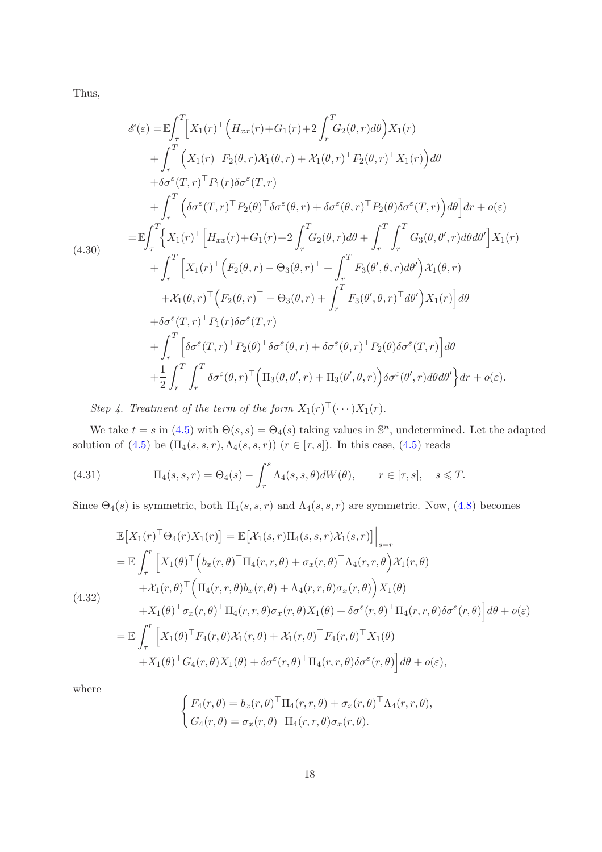Thus,

$$
\mathcal{E}(\varepsilon) = \mathbb{E} \int_{\tau}^{T} \left[ X_{1}(r)^{\top} \left( H_{xx}(r) + G_{1}(r) + 2 \int_{r}^{T} G_{2}(\theta, r) d\theta \right) X_{1}(r) \right. \\ \left. + \int_{r}^{T} \left( X_{1}(r)^{\top} F_{2}(\theta, r) \mathcal{X}_{1}(\theta, r) + \mathcal{X}_{1}(\theta, r)^{\top} F_{2}(\theta, r)^{\top} X_{1}(r) \right) d\theta \right. \\ \left. + \delta \sigma^{\varepsilon}(T, r)^{\top} P_{1}(r) \delta \sigma^{\varepsilon}(T, r) \right. \\ \left. + \int_{r}^{T} \left( \delta \sigma^{\varepsilon}(T, r)^{\top} P_{2}(\theta)^{\top} \delta \sigma^{\varepsilon}(\theta, r) + \delta \sigma^{\varepsilon}(\theta, r)^{\top} P_{2}(\theta) \delta \sigma^{\varepsilon}(T, r) \right) d\theta \right] dr + o(\varepsilon)
$$
  
\n
$$
= \mathbb{E} \int_{\tau}^{T} \left\{ X_{1}(r)^{\top} \left[ H_{xx}(r) + G_{1}(r) + 2 \int_{r}^{T} G_{2}(\theta, r) d\theta + \int_{r}^{T} \int_{r}^{T} G_{3}(\theta, \theta', r) d\theta d\theta' \right] X_{1}(r) \right. \\ \left. + \int_{r}^{T} \left[ X_{1}(r)^{\top} \left( F_{2}(\theta, r) - \Theta_{3}(\theta, r)^{\top} + \int_{r}^{T} F_{3}(\theta', \theta, r) d\theta' \right) X_{1}(\theta, r) \right. \\ \left. + \mathcal{X}_{1}(\theta, r)^{\top} \left( F_{2}(\theta, r)^{\top} - \Theta_{3}(\theta, r) + \int_{r}^{T} F_{3}(\theta', \theta, r)^{\top} d\theta' \right) X_{1}(r) \right] d\theta \right. \\ \left. + \delta \sigma^{\varepsilon}(T, r)^{\top} P_{1}(r) \delta \sigma^{\varepsilon}(T, r)
$$
  
\n
$$
+ \int_{r}^{T} \left[ \delta \sigma^{\varepsilon}(T, r)^{\top} P_{2}(\theta)^{\top} \delta \sigma^{\varepsilon}(\theta, r) +
$$

Step 4. Treatment of the term of the form  $X_1(r)^\top (\cdots) X_1(r)$ .

We take  $t = s$  in [\(4.5\)](#page-7-0) with  $\Theta(s, s) = \Theta_4(s)$  taking values in  $\mathbb{S}^n$ , undetermined. Let the adapted solution of [\(4.5\)](#page-7-0) be  $(\Pi_4(s, s, r), \Lambda_4(s, s, r))$   $(r \in [\tau, s])$ . In this case, (4.5) reads

(4.31) 
$$
\Pi_4(s,s,r) = \Theta_4(s) - \int_r^s \Lambda_4(s,s,\theta) dW(\theta), \qquad r \in [\tau,s], \quad s \leq T.
$$

Since  $\Theta_4(s)$  is symmetric, both  $\Pi_4(s,s,r)$  and  $\Lambda_4(s,s,r)$  are symmetric. Now, [\(4.8\)](#page-8-1) becomes

$$
\mathbb{E}\left[X_{1}(r)^{\top}\Theta_{4}(r)X_{1}(r)\right] = \mathbb{E}\left[\mathcal{X}_{1}(s,r)\Pi_{4}(s,s,r)\mathcal{X}_{1}(s,r)\right]\Big|_{s=r}
$$
\n
$$
= \mathbb{E}\int_{\tau}^{r}\left[X_{1}(\theta)^{\top}\Big(b_{x}(r,\theta)^{\top}\Pi_{4}(r,r,\theta)+\sigma_{x}(r,\theta)^{\top}\Lambda_{4}(r,r,\theta)\mathcal{X}_{1}(r,\theta)\right] + \mathcal{X}_{1}(r,\theta)^{\top}\Big(\Pi_{4}(r,r,\theta)b_{x}(r,\theta)+\Lambda_{4}(r,r,\theta)\sigma_{x}(r,\theta)\Big)X_{1}(\theta) + X_{1}(\theta)^{\top}\sigma_{x}(r,\theta)^{\top}\Pi_{4}(r,r,\theta)\sigma_{x}(r,\theta)X_{1}(\theta) + \delta\sigma^{\varepsilon}(r,\theta)^{\top}\Pi_{4}(r,r,\theta)\delta\sigma^{\varepsilon}(r,\theta)\Big]d\theta + o(\varepsilon)
$$
\n
$$
= \mathbb{E}\int_{\tau}^{r}\left[X_{1}(\theta)^{\top}F_{4}(r,\theta)\mathcal{X}_{1}(r,\theta)+\mathcal{X}_{1}(r,\theta)^{\top}F_{4}(r,\theta)^{\top}X_{1}(\theta)\right] + X_{1}(\theta)^{\top}G_{4}(r,\theta)X_{1}(\theta) + \delta\sigma^{\varepsilon}(r,\theta)^{\top}\Pi_{4}(r,r,\theta)\delta\sigma^{\varepsilon}(r,\theta)\Big]d\theta + o(\varepsilon),
$$

where

$$
\begin{cases} F_4(r,\theta) = b_x(r,\theta)^\top \Pi_4(r,r,\theta) + \sigma_x(r,\theta)^\top \Lambda_4(r,r,\theta), \\ G_4(r,\theta) = \sigma_x(r,\theta)^\top \Pi_4(r,r,\theta) \sigma_x(r,\theta). \end{cases}
$$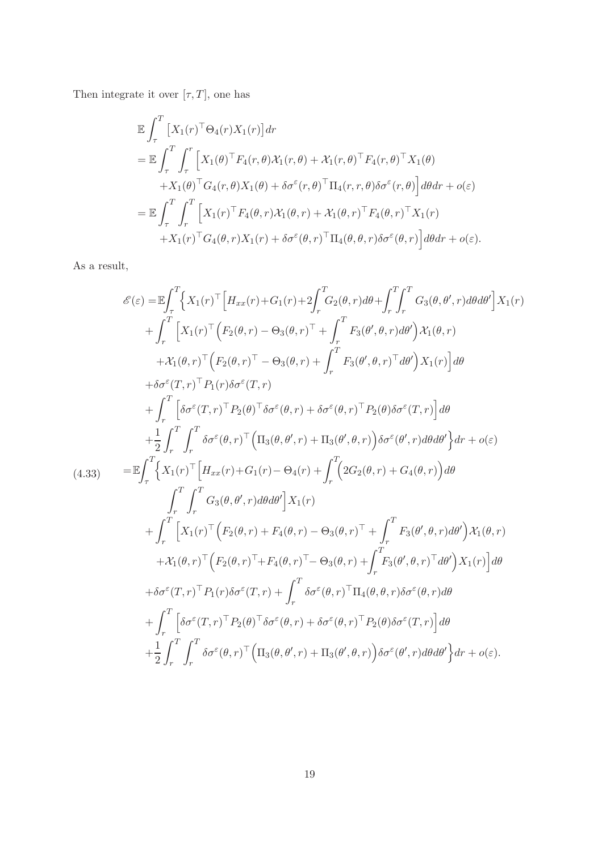Then integrate it over  $[\tau,T],$  one has

$$
\mathbb{E} \int_{\tau}^{T} \left[ X_{1}(r)^{\top} \Theta_{4}(r) X_{1}(r) \right] dr \n= \mathbb{E} \int_{\tau}^{T} \int_{\tau}^{r} \left[ X_{1}(\theta)^{\top} F_{4}(r, \theta) \mathcal{X}_{1}(r, \theta) + \mathcal{X}_{1}(r, \theta)^{\top} F_{4}(r, \theta)^{\top} X_{1}(\theta) \right. \n+ X_{1}(\theta)^{\top} G_{4}(r, \theta) X_{1}(\theta) + \delta \sigma^{\varepsilon}(r, \theta)^{\top} \Pi_{4}(r, r, \theta) \delta \sigma^{\varepsilon}(r, \theta) \right] d\theta dr + o(\varepsilon) \n= \mathbb{E} \int_{\tau}^{T} \int_{r}^{T} \left[ X_{1}(r)^{\top} F_{4}(\theta, r) \mathcal{X}_{1}(\theta, r) + \mathcal{X}_{1}(\theta, r)^{\top} F_{4}(\theta, r)^{\top} X_{1}(r) \right. \n+ X_{1}(r)^{\top} G_{4}(\theta, r) X_{1}(r) + \delta \sigma^{\varepsilon}(\theta, r)^{\top} \Pi_{4}(\theta, \theta, r) \delta \sigma^{\varepsilon}(\theta, r) \right] d\theta dr + o(\varepsilon).
$$

As a result,

$$
\mathcal{E}(\varepsilon) = \mathbb{E} \int_{\tau}^{T} \left\{ X_{1}(r)^{\top} \left[ H_{xx}(r) + G_{1}(r) + 2 \int_{r}^{T} G_{2}(\theta, r) d\theta + \int_{r}^{T} \int_{r}^{T} G_{3}(\theta, \theta', r) d\theta d\theta' \right] X_{1}(r) \right. \\ \left. + \int_{r}^{T} \left[ X_{1}(r)^{\top} \left( F_{2}(\theta, r) - \Theta_{3}(\theta, r)^{\top} + \int_{r}^{T} F_{3}(\theta', \theta, r) d\theta' \right) X_{1}(\theta, r) \right. \\ \left. + \mathcal{X}_{1}(\theta, r)^{\top} \left( F_{2}(\theta, r)^{\top} - \Theta_{3}(\theta, r) + \int_{r}^{T} F_{3}(\theta', \theta, r)^{\top} d\theta' \right) X_{1}(r) \right] d\theta \right. \\ \left. + \delta \sigma^{\varepsilon}(T, r)^{\top} P_{1}(r) \delta \sigma^{\varepsilon}(T, r) \\ \left. + \int_{r}^{T} \left[ \delta \sigma^{\varepsilon}(T, r)^{\top} P_{2}(\theta)^{\top} \delta \sigma^{\varepsilon}(\theta, r) + \delta \sigma^{\varepsilon}(\theta, r)^{\top} P_{2}(\theta) \delta \sigma^{\varepsilon}(T, r) \right] d\theta \right. \\ \left. + \frac{1}{2} \int_{r}^{T} \int_{r}^{T} \delta \sigma^{\varepsilon}(\theta, r)^{\top} \left( \Pi_{3}(\theta, \theta', r) + \Pi_{3}(\theta', \theta, r) \right) \delta \sigma^{\varepsilon}(\theta', r) d\theta d\theta' \right\} dr + o(\varepsilon) \right. \\ \left. \left. (4.33) \qquad \qquad = \mathbb{E} \int_{\tau}^{T} \left\{ X_{1}(r)^{\top} \left[ H_{xx}(r) + G_{1}(r) - \Theta_{4}(r) + \int_{r}^{T} (2G_{2}(\theta, r) + G_{4}(\theta, r)) \right) d\theta \right. \\ \left. + \int_{r}^{T} \left[ X_{1}(r)^{\top} \left( F_{2}(\theta, r) + F_{4}(\theta, r) - \Theta_{3}(\theta, r)^{\top} + \int_{r}^{T} F_{3
$$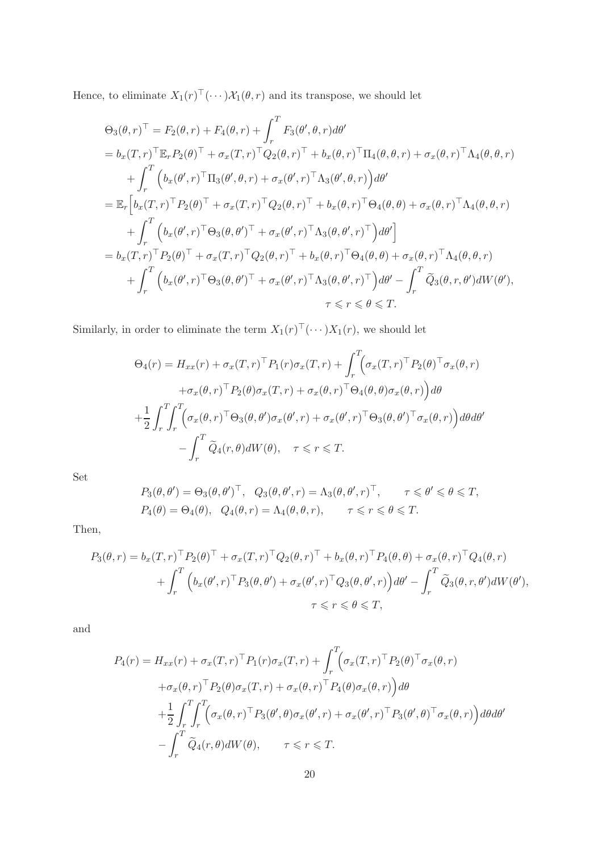Hence, to eliminate  $X_1(r)^\top(\cdots)\mathcal{X}_1(\theta,r)$  and its transpose, we should let

$$
\Theta_{3}(\theta,r)^{\top} = F_{2}(\theta,r) + F_{4}(\theta,r) + \int_{r}^{T} F_{3}(\theta',\theta,r) d\theta'
$$
  
\n
$$
= b_{x}(T,r)^{\top} \mathbb{E}_{r} P_{2}(\theta)^{\top} + \sigma_{x}(T,r)^{\top} Q_{2}(\theta,r)^{\top} + b_{x}(\theta,r)^{\top} \Pi_{4}(\theta,\theta,r) + \sigma_{x}(\theta,r)^{\top} \Lambda_{4}(\theta,\theta,r)
$$
  
\n
$$
+ \int_{r}^{T} \left( b_{x}(\theta',r)^{\top} \Pi_{3}(\theta',\theta,r) + \sigma_{x}(\theta',r)^{\top} \Lambda_{3}(\theta',\theta,r) \right) d\theta'
$$
  
\n
$$
= \mathbb{E}_{r} \left[ b_{x}(T,r)^{\top} P_{2}(\theta)^{\top} + \sigma_{x}(T,r)^{\top} Q_{2}(\theta,r)^{\top} + b_{x}(\theta,r)^{\top} \Theta_{4}(\theta,\theta) + \sigma_{x}(\theta,r)^{\top} \Lambda_{4}(\theta,\theta,r)
$$
  
\n
$$
+ \int_{r}^{T} \left( b_{x}(\theta',r)^{\top} \Theta_{3}(\theta,\theta')^{\top} + \sigma_{x}(\theta',r)^{\top} \Lambda_{3}(\theta,\theta',r)^{\top} \right) d\theta'
$$
  
\n
$$
= b_{x}(T,r)^{\top} P_{2}(\theta)^{\top} + \sigma_{x}(T,r)^{\top} Q_{2}(\theta,r)^{\top} + b_{x}(\theta,r)^{\top} \Theta_{4}(\theta,\theta) + \sigma_{x}(\theta,r)^{\top} \Lambda_{4}(\theta,\theta,r)
$$
  
\n
$$
+ \int_{r}^{T} \left( b_{x}(\theta',r)^{\top} \Theta_{3}(\theta,\theta')^{\top} + \sigma_{x}(\theta',r)^{\top} \Lambda_{3}(\theta,\theta',r)^{\top} \right) d\theta' - \int_{r}^{T} \widetilde{Q}_{3}(\theta,r,\theta') dW(\theta'),
$$
  
\n
$$
\tau \leq r \leq \theta \leq T.
$$

Similarly, in order to eliminate the term  $X_1(r)^\top (\cdots) X_1(r)$ , we should let

$$
\Theta_4(r) = H_{xx}(r) + \sigma_x(T,r)^{\top} P_1(r) \sigma_x(T,r) + \int_r^T \Big( \sigma_x(T,r)^{\top} P_2(\theta)^{\top} \sigma_x(\theta,r) + \sigma_x(\theta,r)^{\top} P_2(\theta) \sigma_x(T,r) + \sigma_x(\theta,r)^{\top} \Theta_4(\theta,\theta) \sigma_x(\theta,r) \Big) d\theta + \frac{1}{2} \int_r^T \int_r^T \Big( \sigma_x(\theta,r)^{\top} \Theta_3(\theta,\theta') \sigma_x(\theta',r) + \sigma_x(\theta',r)^{\top} \Theta_3(\theta,\theta')^{\top} \sigma_x(\theta,r) \Big) d\theta d\theta' - \int_r^T \widetilde{Q}_4(r,\theta) dW(\theta), \quad \tau \leq r \leq T.
$$

Set

$$
P_3(\theta, \theta') = \Theta_3(\theta, \theta')^\top, \quad Q_3(\theta, \theta', r) = \Lambda_3(\theta, \theta', r)^\top, \qquad \tau \leq \theta' \leq \theta \leq T,
$$
  

$$
P_4(\theta) = \Theta_4(\theta), \quad Q_4(\theta, r) = \Lambda_4(\theta, \theta, r), \qquad \tau \leq r \leq \theta \leq T.
$$

Then,

$$
P_3(\theta, r) = b_x(T, r)^{\top} P_2(\theta)^{\top} + \sigma_x(T, r)^{\top} Q_2(\theta, r)^{\top} + b_x(\theta, r)^{\top} P_4(\theta, \theta) + \sigma_x(\theta, r)^{\top} Q_4(\theta, r)
$$
  
+ 
$$
\int_r^T \left( b_x(\theta', r)^{\top} P_3(\theta, \theta') + \sigma_x(\theta', r)^{\top} Q_3(\theta, \theta', r) \right) d\theta' - \int_r^T \widetilde{Q}_3(\theta, r, \theta') dW(\theta'),
$$
  

$$
\tau \leq r \leq \theta \leq T,
$$

and

$$
P_4(r) = H_{xx}(r) + \sigma_x(T,r)^{\top} P_1(r) \sigma_x(T,r) + \int_r^T \left(\sigma_x(T,r)^{\top} P_2(\theta)^{\top} \sigma_x(\theta,r) + \sigma_x(\theta,r)^{\top} P_2(\theta) \sigma_x(T,r) + \sigma_x(\theta,r)^{\top} P_4(\theta) \sigma_x(\theta,r)\right) d\theta
$$
  
+ 
$$
\frac{1}{2} \int_r^T \int_r^T \left(\sigma_x(\theta,r)^{\top} P_3(\theta',\theta) \sigma_x(\theta',r) + \sigma_x(\theta',r)^{\top} P_3(\theta',\theta)^{\top} \sigma_x(\theta,r)\right) d\theta d\theta'
$$
  
- 
$$
\int_r^T \widetilde{Q}_4(r,\theta) dW(\theta), \qquad \tau \leq r \leq T.
$$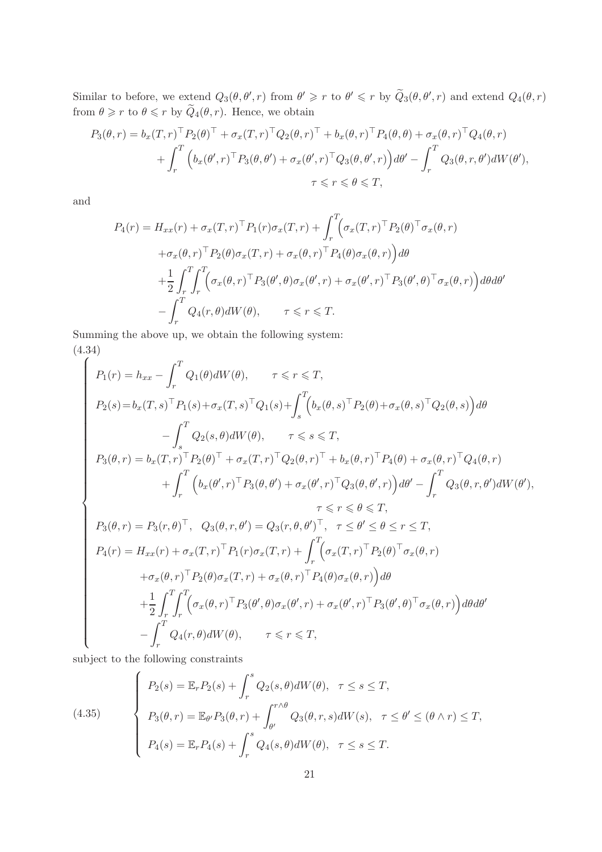Similar to before, we extend  $Q_3(\theta, \theta', r)$  from  $\theta' \geq r$  to  $\theta' \leq r$  by  $\widetilde{Q}_3(\theta, \theta', r)$  and extend  $Q_4(\theta, r)$ from  $\theta \geq r$  to  $\theta \leq r$  by  $Q_4(\theta, r)$ . Hence, we obtain

$$
P_3(\theta, r) = b_x(T, r)^{\top} P_2(\theta)^{\top} + \sigma_x(T, r)^{\top} Q_2(\theta, r)^{\top} + b_x(\theta, r)^{\top} P_4(\theta, \theta) + \sigma_x(\theta, r)^{\top} Q_4(\theta, r)
$$
  
+ 
$$
\int_r^T \left( b_x(\theta', r)^{\top} P_3(\theta, \theta') + \sigma_x(\theta', r)^{\top} Q_3(\theta, \theta', r) \right) d\theta' - \int_r^T Q_3(\theta, r, \theta') dW(\theta'),
$$
  

$$
\tau \leq r \leq \theta \leq T,
$$

and

$$
P_4(r) = H_{xx}(r) + \sigma_x(T,r)^{\top} P_1(r) \sigma_x(T,r) + \int_r^T \left(\sigma_x(T,r)^{\top} P_2(\theta)^{\top} \sigma_x(\theta,r) + \sigma_x(\theta,r)^{\top} P_2(\theta) \sigma_x(T,r) + \sigma_x(\theta,r)^{\top} P_4(\theta) \sigma_x(\theta,r)\right) d\theta
$$
  
+ 
$$
\frac{1}{2} \int_r^T \int_r^T \left(\sigma_x(\theta,r)^{\top} P_3(\theta',\theta) \sigma_x(\theta',r) + \sigma_x(\theta',r)^{\top} P_3(\theta',\theta)^{\top} \sigma_x(\theta,r)\right) d\theta d\theta'
$$
  
- 
$$
\int_r^T Q_4(r,\theta) dW(\theta), \qquad \tau \leq r \leq T.
$$

Summing the above up, we obtain the following system: (4.34)

<span id="page-20-0"></span>
$$
\left\{\n\begin{aligned}\nP_1(r) &= h_{xx} - \int_r^T Q_1(\theta) dW(\theta), \qquad \tau \leq r \leq T, \\
P_2(s) &= b_x(T, s)^\top P_1(s) + \sigma_x(T, s)^\top Q_1(s) + \int_s^T \Big(b_x(\theta, s)^\top P_2(\theta) + \sigma_x(\theta, s)^\top Q_2(\theta, s)\Big) d\theta \\
&\quad - \int_s^T Q_2(s, \theta) dW(\theta), \qquad \tau \leq s \leq T, \\
P_3(\theta, r) &= b_x(T, r)^\top P_2(\theta)^\top + \sigma_x(T, r)^\top Q_2(\theta, r)^\top + b_x(\theta, r)^\top P_4(\theta) + \sigma_x(\theta, r)^\top Q_4(\theta, r) \\
&\quad + \int_r^T \Big(b_x(\theta', r)^\top P_3(\theta, \theta') + \sigma_x(\theta', r)^\top Q_3(\theta, \theta', r)\Big) d\theta' - \int_r^T Q_3(\theta, r, \theta') dW(\theta'), \\
&\quad \tau \leq r \leq \theta \leq T, \\
P_3(\theta, r) &= P_3(r, \theta)^\top, \quad Q_3(\theta, r, \theta') = Q_3(r, \theta, \theta')^\top, \quad \tau \leq \theta' \leq \theta \leq r \leq T, \\
P_4(r) &= H_{xx}(r) + \sigma_x(T, r)^\top P_1(r) \sigma_x(T, r) + \int_r^T \Big(\sigma_x(T, r)^\top P_2(\theta)^\top \sigma_x(\theta, r) \\
&\quad + \sigma_x(\theta, r)^\top P_2(\theta) \sigma_x(T, r) + \sigma_x(\theta, r)^\top P_4(\theta) \sigma_x(\theta, r) \Big) d\theta \\
&\quad + \frac{1}{2} \int_r^T \int_r^T \Big(\sigma_x(\theta, r)^\top P_3(\theta', \theta) \sigma_x(\theta', r) + \sigma_x(\theta', r)^\top P_3(\theta', \theta)^\top \sigma_x(\theta, r) \Big) d\theta d\theta' \\
&\quad - \int_r^T Q_4(r, \theta) dW(\theta), \qquad \tau \leq r \leq T,\n\end{aligned}\n\right.
$$

subject to the following constraints

<span id="page-20-1"></span>(4.35)  

$$
\begin{cases}\nP_2(s) = \mathbb{E}_r P_2(s) + \int_r^s Q_2(s,\theta) dW(\theta), & \tau \le s \le T, \\
P_3(\theta, r) = \mathbb{E}_{\theta'} P_3(\theta, r) + \int_{\theta'}^{r \wedge \theta} Q_3(\theta, r, s) dW(s), & \tau \le \theta' \le (\theta \wedge r) \le T, \\
P_4(s) = \mathbb{E}_r P_4(s) + \int_r^s Q_4(s,\theta) dW(\theta), & \tau \le s \le T.\n\end{cases}
$$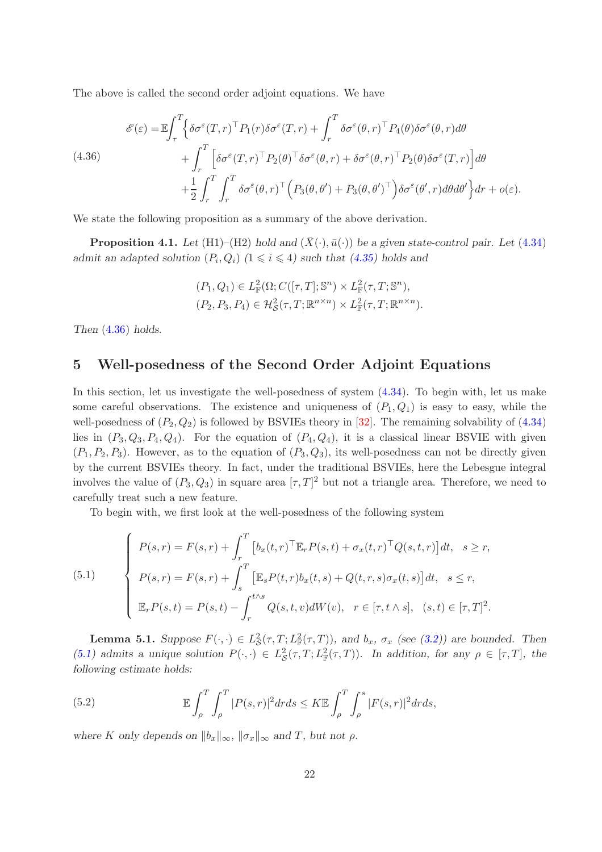The above is called the second order adjoint equations. We have

<span id="page-21-0"></span>(4.36)  
\n
$$
\mathcal{E}(\varepsilon) = \mathbb{E} \int_{\tau}^{T} \left\{ \delta \sigma^{\varepsilon}(T, r)^{\top} P_{1}(r) \delta \sigma^{\varepsilon}(T, r) + \int_{r}^{T} \delta \sigma^{\varepsilon}(\theta, r)^{\top} P_{4}(\theta) \delta \sigma^{\varepsilon}(\theta, r) d\theta \right. \\ \left. + \int_{r}^{T} \left[ \delta \sigma^{\varepsilon}(T, r)^{\top} P_{2}(\theta)^{\top} \delta \sigma^{\varepsilon}(\theta, r) + \delta \sigma^{\varepsilon}(\theta, r)^{\top} P_{2}(\theta) \delta \sigma^{\varepsilon}(T, r) \right] d\theta \right. \\ \left. + \frac{1}{2} \int_{r}^{T} \int_{r}^{T} \delta \sigma^{\varepsilon}(\theta, r)^{\top} \left( P_{3}(\theta, \theta') + P_{3}(\theta, \theta')^{\top} \right) \delta \sigma^{\varepsilon}(\theta', r) d\theta d\theta' \right\} dr + o(\varepsilon).
$$

We state the following proposition as a summary of the above derivation.

<span id="page-21-4"></span>**Proposition 4.1.** Let (H1)–(H2) hold and  $(\bar{X}(\cdot), \bar{u}(\cdot))$  be a given state-control pair. Let [\(4.34\)](#page-20-0) admit an adapted solution  $(P_i, Q_i)$   $(1 \leq i \leq 4)$  such that  $(4.35)$  holds and

$$
(P_1, Q_1) \in L^2_{\mathbb{F}}(\Omega; C([\tau, T]; \mathbb{S}^n) \times L^2_{\mathbb{F}}(\tau, T; \mathbb{S}^n),
$$
  

$$
(P_2, P_3, P_4) \in \mathcal{H}^2_{\mathcal{S}}(\tau, T; \mathbb{R}^{n \times n}) \times L^2_{\mathbb{F}}(\tau, T; \mathbb{R}^{n \times n}).
$$

Then [\(4.36\)](#page-21-0) holds.

## 5 Well-posedness of the Second Order Adjoint Equations

In this section, let us investigate the well-posedness of system [\(4.34\)](#page-20-0). To begin with, let us make some careful observations. The existence and uniqueness of  $(P_1, Q_1)$  is easy to easy, while the well-posedness of  $(P_2, Q_2)$  is followed by BSVIEs theory in [\[32\]](#page-43-8). The remaining solvability of  $(4.34)$ lies in  $(P_3, Q_3, P_4, Q_4)$ . For the equation of  $(P_4, Q_4)$ , it is a classical linear BSVIE with given  $(P_1, P_2, P_3)$ . However, as to the equation of  $(P_3, Q_3)$ , its well-posedness can not be directly given by the current BSVIEs theory. In fact, under the traditional BSVIEs, here the Lebesgue integral involves the value of  $(P_3, Q_3)$  in square area  $[\tau, T]^2$  but not a triangle area. Therefore, we need to carefully treat such a new feature.

To begin with, we first look at the well-posedness of the following system

<span id="page-21-1"></span>(5.1)  

$$
\begin{cases}\nP(s,r) = F(s,r) + \int_r^T \left[ b_x(t,r)^\top \mathbb{E}_r P(s,t) + \sigma_x(t,r)^\top Q(s,t,r) \right] dt, & s \geq r, \\
P(s,r) = F(s,r) + \int_s^T \left[ \mathbb{E}_s P(t,r) b_x(t,s) + Q(t,r,s) \sigma_x(t,s) \right] dt, & s \leq r, \\
\mathbb{E}_r P(s,t) = P(s,t) - \int_r^{t \wedge s} Q(s,t,v) dW(v), & r \in [\tau, t \wedge s], \ (s,t) \in [\tau, T]^2.\n\end{cases}
$$

<span id="page-21-3"></span>**Lemma 5.1.** Suppose  $F(\cdot, \cdot) \in L^2_{\mathcal{S}}(\tau, T; L^2_{\mathbb{F}}(\tau, T))$ , and  $b_x$ ,  $\sigma_x$  (see [\(3.2\)](#page-5-1)) are bounded. Then [\(5.1\)](#page-21-1) admits a unique solution  $P(\cdot, \cdot) \in L^2_{\mathcal{S}}(\tau, T; L^2_{\mathbb{F}}(\tau, T))$ . In addition, for any  $\rho \in [\tau, T]$ , the following estimate holds:

<span id="page-21-2"></span>(5.2) 
$$
\mathbb{E}\int_{\rho}^{T}\int_{\rho}^{T}|P(s,r)|^{2}drds \leq K\mathbb{E}\int_{\rho}^{T}\int_{\rho}^{s}|F(s,r)|^{2}drds,
$$

where K only depends on  $||b_x||_{\infty}$ ,  $||\sigma_x||_{\infty}$  and T, but not  $\rho$ .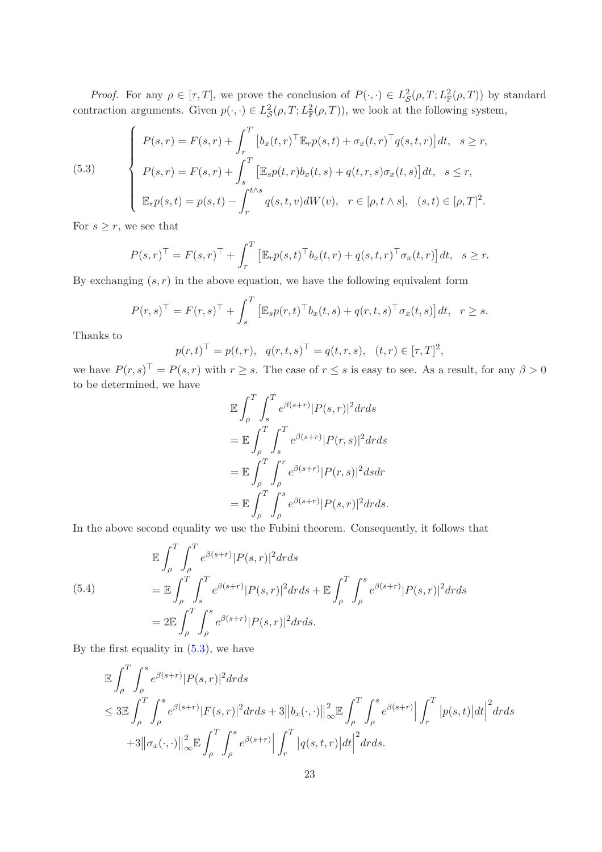*Proof.* For any  $\rho \in [\tau, T]$ , we prove the conclusion of  $P(\cdot, \cdot) \in L^2_{\mathcal{S}}(\rho, T; L^2_{\mathbb{F}}(\rho, T))$  by standard contraction arguments. Given  $p(\cdot, \cdot) \in L^2_{\mathcal{S}}(\rho, T; L^2_{\mathbb{F}}(\rho, T))$ , we look at the following system,

<span id="page-22-0"></span>(5.3)  

$$
\begin{cases}\nP(s,r) = F(s,r) + \int_r^T \left[ b_x(t,r)^\top \mathbb{E}_r p(s,t) + \sigma_x(t,r)^\top q(s,t,r) \right] dt, & s \ge r, \\
P(s,r) = F(s,r) + \int_s^T \left[ \mathbb{E}_s p(t,r) b_x(t,s) + q(t,r,s) \sigma_x(t,s) \right] dt, & s \le r, \\
\mathbb{E}_r p(s,t) = p(s,t) - \int_r^{t \wedge s} q(s,t,v) dW(v), & r \in [\rho, t \wedge s], \ (s,t) \in [\rho, T]^2.\n\end{cases}
$$

For  $s \geq r$ , we see that

$$
P(s,r)^{\top} = F(s,r)^{\top} + \int_{r}^{T} \left[ \mathbb{E}_{r} p(s,t)^{\top} b_{x}(t,r) + q(s,t,r)^{\top} \sigma_{x}(t,r) \right] dt, \quad s \geq r.
$$

By exchanging  $(s, r)$  in the above equation, we have the following equivalent form

$$
P(r,s)^{\top} = F(r,s)^{\top} + \int_s^T \left[ \mathbb{E}_s p(r,t)^{\top} b_x(t,s) + q(r,t,s)^{\top} \sigma_x(t,s) \right] dt, \quad r \geq s.
$$

Thanks to

$$
p(r,t)^{\top} = p(t,r), q(r,t,s)^{\top} = q(t,r,s), (t,r) \in [\tau, T]^2,
$$

we have  $P(r, s)^{\top} = P(s, r)$  with  $r \geq s$ . The case of  $r \leq s$  is easy to see. As a result, for any  $\beta > 0$ to be determined, we have

$$
\mathbb{E} \int_{\rho}^{T} \int_{s}^{T} e^{\beta(s+r)} |P(s,r)|^2 dr ds
$$
  
\n
$$
= \mathbb{E} \int_{\rho}^{T} \int_{s}^{T} e^{\beta(s+r)} |P(r,s)|^2 dr ds
$$
  
\n
$$
= \mathbb{E} \int_{\rho}^{T} \int_{\rho}^{r} e^{\beta(s+r)} |P(r,s)|^2 ds dr
$$
  
\n
$$
= \mathbb{E} \int_{\rho}^{T} \int_{\rho}^{s} e^{\beta(s+r)} |P(s,r)|^2 dr ds.
$$

In the above second equality we use the Fubini theorem. Consequently, it follows that

<span id="page-22-1"></span>(5.4)  
\n
$$
\mathbb{E} \int_{\rho}^{T} \int_{\rho}^{T} e^{\beta(s+r)} |P(s,r)|^2 dr ds
$$
\n
$$
= \mathbb{E} \int_{\rho}^{T} \int_{s}^{T} e^{\beta(s+r)} |P(s,r)|^2 dr ds + \mathbb{E} \int_{\rho}^{T} \int_{\rho}^{s} e^{\beta(s+r)} |P(s,r)|^2 dr ds
$$
\n
$$
= 2 \mathbb{E} \int_{\rho}^{T} \int_{\rho}^{s} e^{\beta(s+r)} |P(s,r)|^2 dr ds.
$$

By the first equality in  $(5.3)$ , we have

$$
\mathbb{E} \int_{\rho}^{T} \int_{\rho}^{s} e^{\beta(s+r)} |P(s,r)|^2 dr ds
$$
\n
$$
\leq 3 \mathbb{E} \int_{\rho}^{T} \int_{\rho}^{s} e^{\beta(s+r)} |F(s,r)|^2 dr ds + 3 ||b_x(\cdot,\cdot)||_{\infty}^2 \mathbb{E} \int_{\rho}^{T} \int_{\rho}^{s} e^{\beta(s+r)} \Big| \int_{r}^{T} |p(s,t)| dt \Big|^2 dr ds
$$
\n
$$
+ 3 ||\sigma_x(\cdot,\cdot)||_{\infty}^2 \mathbb{E} \int_{\rho}^{T} \int_{\rho}^{s} e^{\beta(s+r)} \Big| \int_{r}^{T} |q(s,t,r)| dt \Big|^2 dr ds.
$$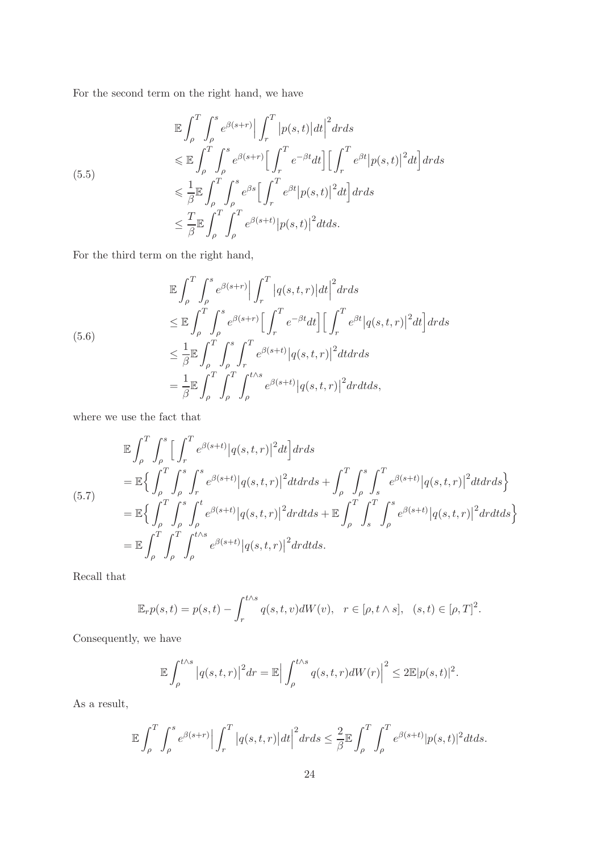For the second term on the right hand, we have

<span id="page-23-0"></span>
$$
\mathbb{E} \int_{\rho}^{T} \int_{\rho}^{s} e^{\beta(s+r)} \Big| \int_{r}^{T} |p(s,t)| dt \Big|^{2} dr ds
$$
\n
$$
\leq \mathbb{E} \int_{\rho}^{T} \int_{\rho}^{s} e^{\beta(s+r)} \Big[ \int_{r}^{T} e^{-\beta t} dt \Big] \Big[ \int_{r}^{T} e^{\beta t} |p(s,t)|^{2} dt \Big] dr ds
$$
\n
$$
\leq \frac{1}{\beta} \mathbb{E} \int_{\rho}^{T} \int_{\rho}^{s} e^{\beta s} \Big[ \int_{r}^{T} e^{\beta t} |p(s,t)|^{2} dt \Big] dr ds
$$
\n
$$
\leq \frac{T}{\beta} \mathbb{E} \int_{\rho}^{T} \int_{\rho}^{T} e^{\beta(s+t)} |p(s,t)|^{2} dt ds.
$$

For the third term on the right hand,

<span id="page-23-1"></span>
$$
\mathbb{E} \int_{\rho}^{T} \int_{\rho}^{s} e^{\beta(s+r)} \Big| \int_{r}^{T} \Big| q(s,t,r) \Big| dt \Big|^{2} dr ds
$$
\n
$$
\leq \mathbb{E} \int_{\rho}^{T} \int_{\rho}^{s} e^{\beta(s+r)} \Big[ \int_{r}^{T} e^{-\beta t} dt \Big] \Big[ \int_{r}^{T} e^{\beta t} \Big| q(s,t,r) \Big|^{2} dt \Big] dr ds
$$
\n
$$
\leq \frac{1}{\beta} \mathbb{E} \int_{\rho}^{T} \int_{\rho}^{s} \int_{r}^{T} e^{\beta(s+t)} \Big| q(s,t,r) \Big|^{2} dt dr ds
$$
\n
$$
= \frac{1}{\beta} \mathbb{E} \int_{\rho}^{T} \int_{\rho}^{T} \int_{\rho}^{t \wedge s} e^{\beta(s+t)} \Big| q(s,t,r) \Big|^{2} dr dt ds,
$$

where we use the fact that

$$
\mathbb{E} \int_{\rho}^{T} \int_{\rho}^{s} \Big[ \int_{r}^{T} e^{\beta(s+t)} |q(s,t,r)|^{2} dt \Big] dr ds \n= \mathbb{E} \Big\{ \int_{\rho}^{T} \int_{\rho}^{s} \int_{r}^{s} e^{\beta(s+t)} |q(s,t,r)|^{2} dt dr ds + \int_{\rho}^{T} \int_{\rho}^{s} \int_{s}^{T} e^{\beta(s+t)} |q(s,t,r)|^{2} dt dr ds \Big\} \n= \mathbb{E} \Big\{ \int_{\rho}^{T} \int_{\rho}^{s} \int_{\rho}^{t} e^{\beta(s+t)} |q(s,t,r)|^{2} dr dt ds + \mathbb{E} \int_{\rho}^{T} \int_{s}^{T} \int_{\rho}^{s} e^{\beta(s+t)} |q(s,t,r)|^{2} dr dt ds \Big\} \n= \mathbb{E} \int_{\rho}^{T} \int_{\rho}^{T} \int_{\rho}^{t \wedge s} e^{\beta(s+t)} |q(s,t,r)|^{2} dr dt ds.
$$

Recall that

$$
\mathbb{E}_r p(s,t) = p(s,t) - \int_r^{t \wedge s} q(s,t,v)dW(v), \quad r \in [\rho, t \wedge s], \quad (s,t) \in [\rho, T]^2.
$$

Consequently, we have

$$
\mathbb{E}\int_{\rho}^{t\wedge s} \left|q(s,t,r)\right|^2 dr = \mathbb{E}\left|\int_{\rho}^{t\wedge s} q(s,t,r)dW(r)\right|^2 \leq 2\mathbb{E}|p(s,t)|^2.
$$

As a result,

$$
\mathbb{E}\int_{\rho}^{T}\int_{\rho}^{s}e^{\beta(s+r)}\Big|\int_{r}^{T}\big|q(s,t,r)\big|dt\Big|^{2}drds\leq\frac{2}{\beta}\mathbb{E}\int_{\rho}^{T}\int_{\rho}^{T}e^{\beta(s+t)}|p(s,t)|^{2}dtds.
$$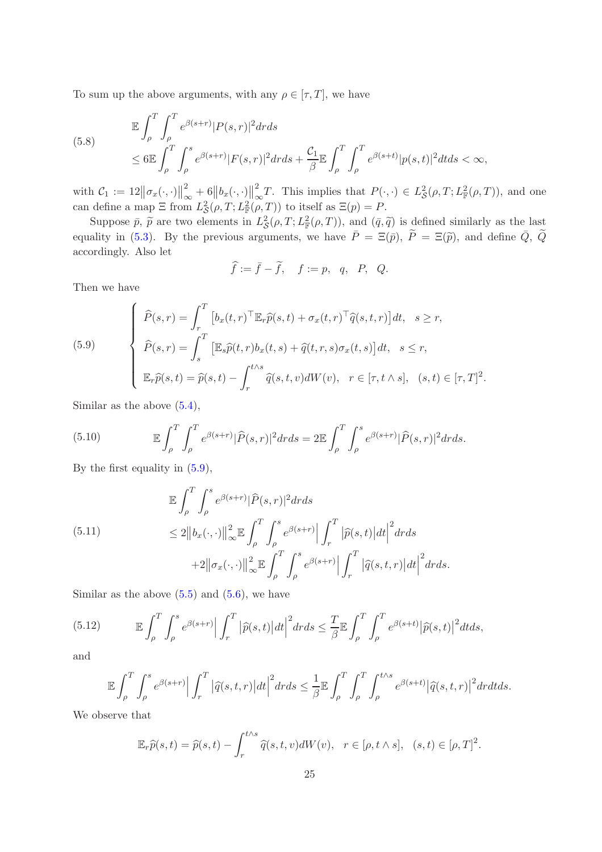To sum up the above arguments, with any  $\rho \in [\tau, T]$ , we have

<span id="page-24-4"></span>(5.8) 
$$
\mathbb{E} \int_{\rho}^{T} \int_{\rho}^{T} e^{\beta(s+r)} |P(s,r)|^2 dr ds
$$
  
 
$$
\leq 6 \mathbb{E} \int_{\rho}^{T} \int_{\rho}^{s} e^{\beta(s+r)} |F(s,r)|^2 dr ds + \frac{C_1}{\beta} \mathbb{E} \int_{\rho}^{T} \int_{\rho}^{T} e^{\beta(s+t)} |p(s,t)|^2 dt ds < \infty,
$$

with  $\mathcal{C}_1 := 12 \big\|\sigma_x(\cdot,\cdot)\big\|_{\circ}^2$  $\frac{2}{\infty}+6||b_x(\cdot,\cdot)||^2_{\circ}$  $\int_{-\infty}^2 T$ . This implies that  $P(\cdot, \cdot) \in L^2_{\mathcal{S}}(\rho, T; L^2_{\mathbb{F}}(\rho, T))$ , and one can define a map  $\Xi$  from  $L^2_{\mathcal{S}}(\rho, T; L^2_{\mathbb{F}}(\rho, T))$  to itself as  $\Xi(p) = P$ .

Suppose  $\bar{p}$ ,  $\tilde{p}$  are two elements in  $L^2_{\mathcal{S}}(\rho,T;L^2_{\mathbb{F}}(\rho,T))$ , and  $(\bar{q},\tilde{q})$  is defined similarly as the last equality in [\(5.3\)](#page-22-0). By the previous arguments, we have  $\overline{P} = \Xi(\overline{p})$ ,  $\widetilde{P} = \Xi(\widetilde{p})$ , and define  $\overline{Q}$ ,  $\widetilde{Q}$ accordingly. Also let

$$
\widehat{f} := \overline{f} - \widetilde{f}, \quad f := p, \quad q, \quad P, \quad Q.
$$

Then we have

<span id="page-24-0"></span>(5.9)  

$$
\begin{cases}\n\widehat{P}(s,r) = \int_r^T \left[ b_x(t,r)^\top \mathbb{E}_r \widehat{p}(s,t) + \sigma_x(t,r)^\top \widehat{q}(s,t,r) \right] dt, \quad s \ge r, \\
\widehat{P}(s,r) = \int_s^T \left[ \mathbb{E}_s \widehat{p}(t,r) b_x(t,s) + \widehat{q}(t,r,s) \sigma_x(t,s) \right] dt, \quad s \le r, \\
\mathbb{E}_r \widehat{p}(s,t) = \widehat{p}(s,t) - \int_r^{t \wedge s} \widehat{q}(s,t,v) dW(v), \quad r \in [\tau, t \wedge s], \quad (s,t) \in [\tau, T]^2.\n\end{cases}
$$

Similar as the above [\(5.4\)](#page-22-1),

<span id="page-24-1"></span>(5.10) 
$$
\mathbb{E}\int_{\rho}^{T}\int_{\rho}^{T}e^{\beta(s+r)}|\widehat{P}(s,r)|^{2}drds = 2\mathbb{E}\int_{\rho}^{T}\int_{\rho}^{s}e^{\beta(s+r)}|\widehat{P}(s,r)|^{2}drds.
$$

By the first equality in [\(5.9\)](#page-24-0),

<span id="page-24-2"></span>(5.11)  
\n
$$
\mathbb{E} \int_{\rho}^{T} \int_{\rho}^{s} e^{\beta(s+r)} |\widehat{P}(s,r)|^{2} dr ds
$$
\n
$$
\leq 2 \left\| b_{x}(\cdot, \cdot) \right\|_{\infty}^{2} \mathbb{E} \int_{\rho}^{T} \int_{\rho}^{s} e^{\beta(s+r)} \left| \int_{r}^{T} |\widehat{p}(s,t)| dt \right|^{2} dr ds
$$
\n
$$
+ 2 \left\| \sigma_{x}(\cdot, \cdot) \right\|_{\infty}^{2} \mathbb{E} \int_{\rho}^{T} \int_{\rho}^{s} e^{\beta(s+r)} \left| \int_{r}^{T} |\widehat{q}(s,t,r)| dt \right|^{2} dr ds.
$$

Similar as the above  $(5.5)$  and  $(5.6)$ , we have

(5.12) 
$$
\mathbb{E}\int_{\rho}^{T}\int_{\rho}^{s}e^{\beta(s+r)}\Big|\int_{r}^{T}\big|\widehat{p}(s,t)\big|dt\Big|^{2}drds\leq \frac{T}{\beta}\mathbb{E}\int_{\rho}^{T}\int_{\rho}^{T}e^{\beta(s+t)}\big|\widehat{p}(s,t)\big|^{2}dtds,
$$

and

<span id="page-24-3"></span>
$$
\mathbb{E}\int_{\rho}^T\int_{\rho}^s e^{\beta(s+r)}\Big|\int_r^T\big|\widehat{q}(s,t,r)\big|dt\Big|^2drds\leq \frac{1}{\beta}\mathbb{E}\int_{\rho}^T\int_{\rho}^T\int_{\rho}^{t\wedge s}e^{\beta(s+t)}\big|\widehat{q}(s,t,r)\big|^2drdtds.
$$

We observe that

$$
\mathbb{E}_r \widehat{p}(s,t) = \widehat{p}(s,t) - \int_r^{t \wedge s} \widehat{q}(s,t,v) dW(v), \quad r \in [\rho, t \wedge s], \quad (s,t) \in [\rho, T]^2.
$$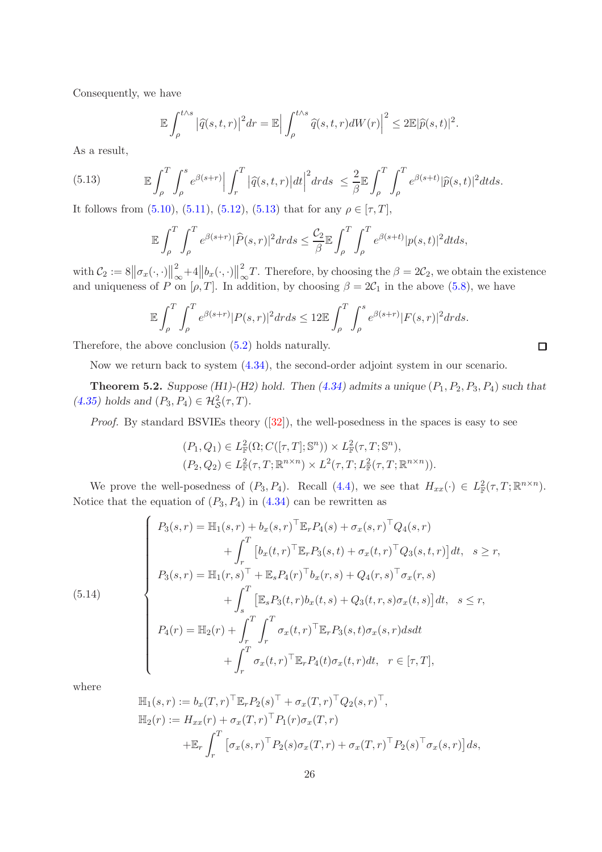Consequently, we have

$$
\mathbb{E}\int_{\rho}^{t\wedge s} \left|\widehat{q}(s,t,r)\right|^2 dr = \mathbb{E}\left|\int_{\rho}^{t\wedge s} \widehat{q}(s,t,r)dW(r)\right|^2 \leq 2\mathbb{E}|\widehat{p}(s,t)|^2.
$$

As a result,

(5.13) 
$$
\mathbb{E}\int_{\rho}^{T}\int_{\rho}^{s}e^{\beta(s+r)}\Big|\int_{r}^{T}\big|\widehat{q}(s,t,r)\big|dt\Big|^{2}drds \leq \frac{2}{\beta}\mathbb{E}\int_{\rho}^{T}\int_{\rho}^{T}e^{\beta(s+t)}|\widehat{p}(s,t)|^{2}dtds.
$$

It follows from [\(5.10\)](#page-24-1), [\(5.11\)](#page-24-2), [\(5.12\)](#page-24-3), [\(5.13\)](#page-25-0) that for any  $\rho \in [\tau, T]$ ,

<span id="page-25-0"></span>
$$
\mathbb{E}\int_{\rho}^{T}\int_{\rho}^{T}e^{\beta(s+r)}|\widehat{P}(s,r)|^{2}drds \leq \frac{\mathcal{C}_{2}}{\beta}\mathbb{E}\int_{\rho}^{T}\int_{\rho}^{T}e^{\beta(s+t)}|p(s,t)|^{2}dtds,
$$

with  $\mathcal{C}_2 := 8 \big\| \sigma_x(\cdot, \cdot) \big\|_{\infty}^2$  $\int_{-\infty}^{\infty} +4||b_x(\cdot,\cdot)||_{\infty}^2$  $\int_{-\infty}^{\infty} T$ . Therefore, by choosing the  $\beta = 2\mathcal{C}_2$ , we obtain the existence and uniqueness of P on  $[\rho, T]$ . In addition, by choosing  $\beta = 2C_1$  in the above [\(5.8\)](#page-24-4), we have

$$
\mathbb{E}\int_{\rho}^{T}\int_{\rho}^{T}e^{\beta(s+r)}|P(s,r)|^{2}drds \leq 12\mathbb{E}\int_{\rho}^{T}\int_{\rho}^{s}e^{\beta(s+r)}|F(s,r)|^{2}drds.
$$

 $\Box$ 

Therefore, the above conclusion [\(5.2\)](#page-21-2) holds naturally.

Now we return back to system [\(4.34\)](#page-20-0), the second-order adjoint system in our scenario.

<span id="page-25-1"></span>**Theorem 5.2.** Suppose (H1)-(H2) hold. Then  $(4.34)$  admits a unique  $(P_1, P_2, P_3, P_4)$  such that [\(4.35\)](#page-20-1) holds and  $(P_3, P_4) \in \mathcal{H}_{\mathcal{S}}^2(\tau, T)$ .

*Proof.*By standard BSVIEs theory  $([32])$  $([32])$  $([32])$ , the well-posedness in the spaces is easy to see

$$
(P_1, Q_1) \in L^2_{\mathbb{F}}(\Omega; C([\tau, T]; \mathbb{S}^n)) \times L^2_{\mathbb{F}}(\tau, T; \mathbb{S}^n),
$$
  

$$
(P_2, Q_2) \in L^2_{\mathbb{F}}(\tau, T; \mathbb{R}^{n \times n}) \times L^2(\tau, T; L^2_{\mathbb{F}}(\tau, T; \mathbb{R}^{n \times n})).
$$

We prove the well-posedness of  $(P_3, P_4)$ . Recall  $(4.4)$ , we see that  $H_{xx}(\cdot) \in L^2_{\mathbb{F}}(\tau, T; \mathbb{R}^{n \times n})$ . Notice that the equation of  $(P_3, P_4)$  in  $(4.34)$  can be rewritten as

(5.14)  
\n
$$
\begin{cases}\nP_3(s,r) = \mathbb{H}_1(s,r) + b_x(s,r)^\top \mathbb{E}_r P_4(s) + \sigma_x(s,r)^\top Q_4(s,r) \\
+ \int_r^T \left[ b_x(t,r)^\top \mathbb{E}_r P_3(s,t) + \sigma_x(t,r)^\top Q_3(s,t,r) \right] dt, \quad s \geq r, \\
P_3(s,r) = \mathbb{H}_1(r,s)^\top + \mathbb{E}_s P_4(r)^\top b_x(r,s) + Q_4(r,s)^\top \sigma_x(r,s) \\
+ \int_s^T \left[ \mathbb{E}_s P_3(t,r) b_x(t,s) + Q_3(t,r,s) \sigma_x(t,s) \right] dt, \quad s \leq r, \\
P_4(r) = \mathbb{H}_2(r) + \int_r^T \int_r^T \sigma_x(t,r)^\top \mathbb{E}_r P_3(s,t) \sigma_x(s,r) ds dt \\
+ \int_r^T \sigma_x(t,r)^\top \mathbb{E}_r P_4(t) \sigma_x(t,r) dt, \quad r \in [\tau, T],\n\end{cases}
$$

where

$$
\mathbb{H}_1(s,r) := b_x(T,r)^\top \mathbb{E}_r P_2(s)^\top + \sigma_x(T,r)^\top Q_2(s,r)^\top,
$$
  
\n
$$
\mathbb{H}_2(r) := H_{xx}(r) + \sigma_x(T,r)^\top P_1(r) \sigma_x(T,r)
$$
  
\n
$$
+ \mathbb{E}_r \int_r^T \left[ \sigma_x(s,r)^\top P_2(s) \sigma_x(T,r) + \sigma_x(T,r)^\top P_2(s)^\top \sigma_x(s,r) \right] ds,
$$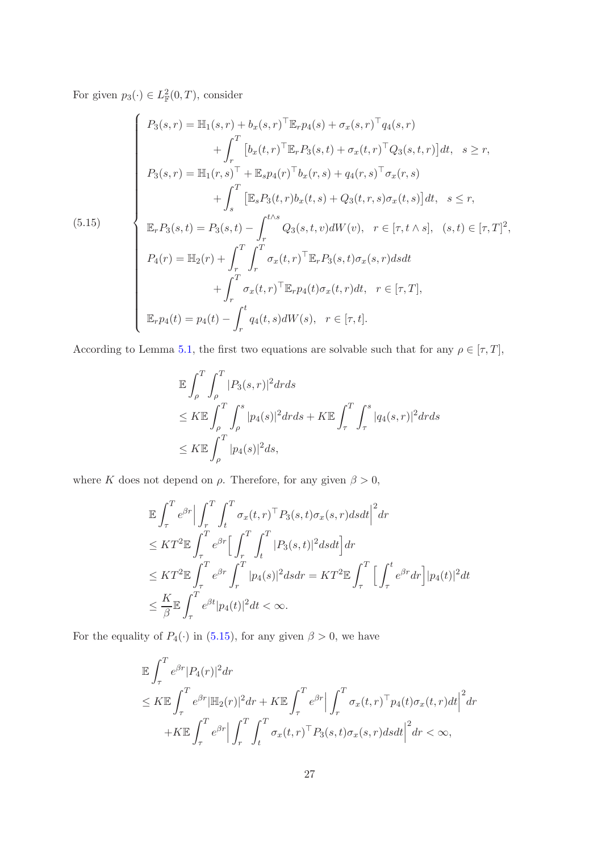For given  $p_3(\cdot) \in L^2_{\mathbb{F}}(0,T)$ , consider

<span id="page-26-0"></span>(5.15)  
\n
$$
\begin{cases}\nP_3(s,r) = \mathbb{H}_1(s,r) + b_x(s,r)^\top \mathbb{E}_r p_4(s) + \sigma_x(s,r)^\top q_4(s,r) \\
+ \int_r^T \left[ b_x(t,r)^\top \mathbb{E}_r P_3(s,t) + \sigma_x(t,r)^\top Q_3(s,t,r) \right] dt, \quad s \geq r, \\
P_3(s,r) = \mathbb{H}_1(r,s)^\top + \mathbb{E}_s p_4(r)^\top b_x(r,s) + q_4(r,s)^\top \sigma_x(r,s) \\
+ \int_s^T \left[ \mathbb{E}_s P_3(t,r) b_x(t,s) + Q_3(t,r,s) \sigma_x(t,s) \right] dt, \quad s \leq r, \\
\mathbb{E}_r P_3(s,t) = P_3(s,t) - \int_r^{t \wedge s} Q_3(s,t,v) dW(v), \quad r \in [\tau, t \wedge s], \quad (s,t) \in [\tau, T]^2, \\
P_4(r) = \mathbb{H}_2(r) + \int_r^T \int_r^T \sigma_x(t,r)^\top \mathbb{E}_r P_3(s,t) \sigma_x(s,r) ds dt \\
+ \int_r^T \sigma_x(t,r)^\top \mathbb{E}_r p_4(t) \sigma_x(t,r) dt, \quad r \in [\tau, T], \\
\mathbb{E}_r p_4(t) = p_4(t) - \int_r^t q_4(t,s) dW(s), \quad r \in [\tau, t].\n\end{cases}
$$

According to Lemma [5.1,](#page-21-3) the first two equations are solvable such that for any  $\rho \in [\tau, T]$ ,

$$
\mathbb{E} \int_{\rho}^{T} \int_{\rho}^{T} |P_3(s,r)|^2 dr ds
$$
  
\n
$$
\leq K \mathbb{E} \int_{\rho}^{T} \int_{\rho}^{s} |p_4(s)|^2 dr ds + K \mathbb{E} \int_{\tau}^{T} \int_{\tau}^{s} |q_4(s,r)|^2 dr ds
$$
  
\n
$$
\leq K \mathbb{E} \int_{\rho}^{T} |p_4(s)|^2 ds,
$$

where K does not depend on  $\rho$ . Therefore, for any given  $\beta > 0$ ,

$$
\mathbb{E} \int_{\tau}^{T} e^{\beta r} \Big| \int_{r}^{T} \int_{t}^{T} \sigma_{x}(t, r)^{\top} P_{3}(s, t) \sigma_{x}(s, r) ds dt \Big|^{2} dr
$$
\n
$$
\leq K T^{2} \mathbb{E} \int_{\tau}^{T} e^{\beta r} \Big[ \int_{r}^{T} \int_{t}^{T} |P_{3}(s, t)|^{2} ds dt \Big] dr
$$
\n
$$
\leq K T^{2} \mathbb{E} \int_{\tau}^{T} e^{\beta r} \int_{r}^{T} |p_{4}(s)|^{2} ds dr = K T^{2} \mathbb{E} \int_{\tau}^{T} \Big[ \int_{\tau}^{t} e^{\beta r} dr \Big] |p_{4}(t)|^{2} dt
$$
\n
$$
\leq \frac{K}{\beta} \mathbb{E} \int_{\tau}^{T} e^{\beta t} |p_{4}(t)|^{2} dt < \infty.
$$

For the equality of  $P_4(\cdot)$  in [\(5.15\)](#page-26-0), for any given  $\beta > 0$ , we have

$$
\mathbb{E} \int_{\tau}^{T} e^{\beta r} |P_4(r)|^2 dr
$$
\n
$$
\leq K \mathbb{E} \int_{\tau}^{T} e^{\beta r} |\mathbb{H}_2(r)|^2 dr + K \mathbb{E} \int_{\tau}^{T} e^{\beta r} \Big| \int_{r}^{T} \sigma_x(t, r)^\top p_4(t) \sigma_x(t, r) dt \Big|^2 dr
$$
\n
$$
+ K \mathbb{E} \int_{\tau}^{T} e^{\beta r} \Big| \int_{r}^{T} \int_{t}^{T} \sigma_x(t, r)^\top p_3(s, t) \sigma_x(s, r) ds dt \Big|^2 dr < \infty,
$$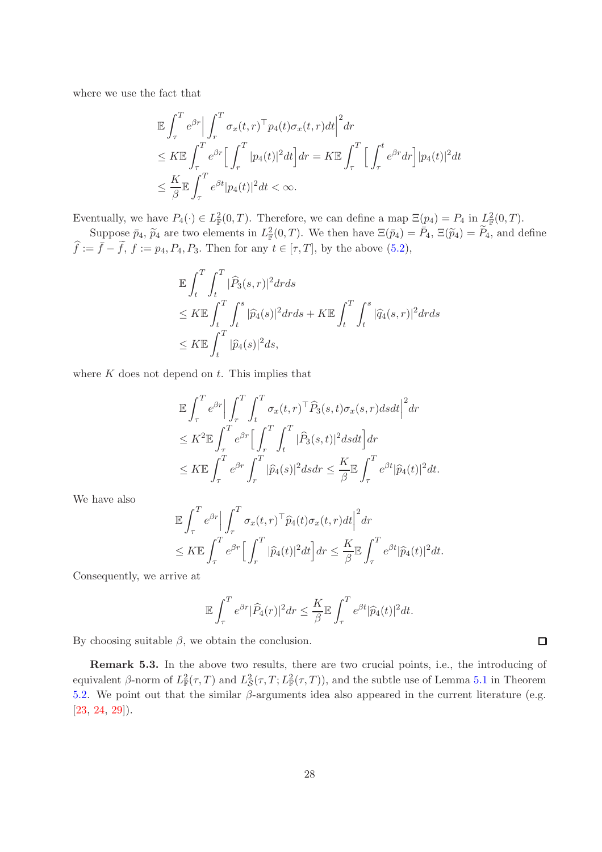where we use the fact that

$$
\mathbb{E} \int_{\tau}^{T} e^{\beta r} \Big| \int_{r}^{T} \sigma_x(t, r)^{\top} p_4(t) \sigma_x(t, r) dt \Big|^2 dr
$$
  
\n
$$
\leq K \mathbb{E} \int_{\tau}^{T} e^{\beta r} \Big[ \int_{r}^{T} |p_4(t)|^2 dt \Big] dr = K \mathbb{E} \int_{\tau}^{T} \Big[ \int_{\tau}^{t} e^{\beta r} dr \Big] |p_4(t)|^2 dt
$$
  
\n
$$
\leq \frac{K}{\beta} \mathbb{E} \int_{\tau}^{T} e^{\beta t} |p_4(t)|^2 dt < \infty.
$$

Eventually, we have  $P_4(\cdot) \in L^2_{\mathbb{F}}(0,T)$ . Therefore, we can define a map  $\Xi(p_4) = P_4$  in  $L^2_{\mathbb{F}}(0,T)$ .

Suppose  $\bar{p}_4$ ,  $\tilde{p}_4$  are two elements in  $L^2_{\mathbb{F}}(0,T)$ . We then have  $\Xi(\bar{p}_4) = \bar{P}_4$ ,  $\Xi(\tilde{p}_4) = \tilde{P}_4$ , and define  $\widehat{f} := \overline{f} - \widetilde{f},$   $f := p_4, P_4, P_3$ . Then for any  $t \in [\tau, T]$ , by the above [\(5.2\)](#page-21-2),

$$
\mathbb{E} \int_t^T \int_t^T |\widehat{P}_3(s,r)|^2 dr ds
$$
  
\n
$$
\leq K \mathbb{E} \int_t^T \int_t^s |\widehat{p}_4(s)|^2 dr ds + K \mathbb{E} \int_t^T \int_t^s |\widehat{q}_4(s,r)|^2 dr ds
$$
  
\n
$$
\leq K \mathbb{E} \int_t^T |\widehat{p}_4(s)|^2 ds,
$$

where  $K$  does not depend on  $t$ . This implies that

$$
\mathbb{E} \int_{\tau}^{T} e^{\beta r} \Big| \int_{r}^{T} \int_{t}^{T} \sigma_{x}(t, r)^{\top} \widehat{P}_{3}(s, t) \sigma_{x}(s, r) ds dt \Big|^{2} dr
$$
\n
$$
\leq K^{2} \mathbb{E} \int_{\tau}^{T} e^{\beta r} \Big[ \int_{r}^{T} \int_{t}^{T} |\widehat{P}_{3}(s, t)|^{2} ds dt \Big] dr
$$
\n
$$
\leq K \mathbb{E} \int_{\tau}^{T} e^{\beta r} \int_{r}^{T} |\widehat{p}_{4}(s)|^{2} ds dr \leq \frac{K}{\beta} \mathbb{E} \int_{\tau}^{T} e^{\beta t} |\widehat{p}_{4}(t)|^{2} dt.
$$

We have also

$$
\mathbb{E} \int_{\tau}^{T} e^{\beta r} \Big| \int_{r}^{T} \sigma_x(t, r)^{\top} \widehat{p}_4(t) \sigma_x(t, r) dt \Big|^2 dr \n\leq K \mathbb{E} \int_{\tau}^{T} e^{\beta r} \Big[ \int_{r}^{T} |\widehat{p}_4(t)|^2 dt \Big] dr \leq \frac{K}{\beta} \mathbb{E} \int_{\tau}^{T} e^{\beta t} |\widehat{p}_4(t)|^2 dt.
$$

Consequently, we arrive at

$$
\mathbb{E}\int_{\tau}^{T}e^{\beta r}|\widehat{P}_4(r)|^2dr \leq \frac{K}{\beta}\mathbb{E}\int_{\tau}^{T}e^{\beta t}|\widehat{p}_4(t)|^2dt.
$$

By choosing suitable  $\beta$ , we obtain the conclusion.

Remark 5.3. In the above two results, there are two crucial points, i.e., the introducing of equivalent β-norm of  $L^2_{\mathbb{F}}(\tau,T)$  and  $L^2_{\mathcal{S}}(\tau,T;L^2_{\mathbb{F}}(\tau,T))$ , and the subtle use of Lemma [5.1](#page-21-3) in Theorem [5.2.](#page-25-1) We point out that the similar  $\beta$ -arguments idea also appeared in the current literature (e.g.  $[23, 24, 29]$  $[23, 24, 29]$  $[23, 24, 29]$  $[23, 24, 29]$  $[23, 24, 29]$ .

 $\Box$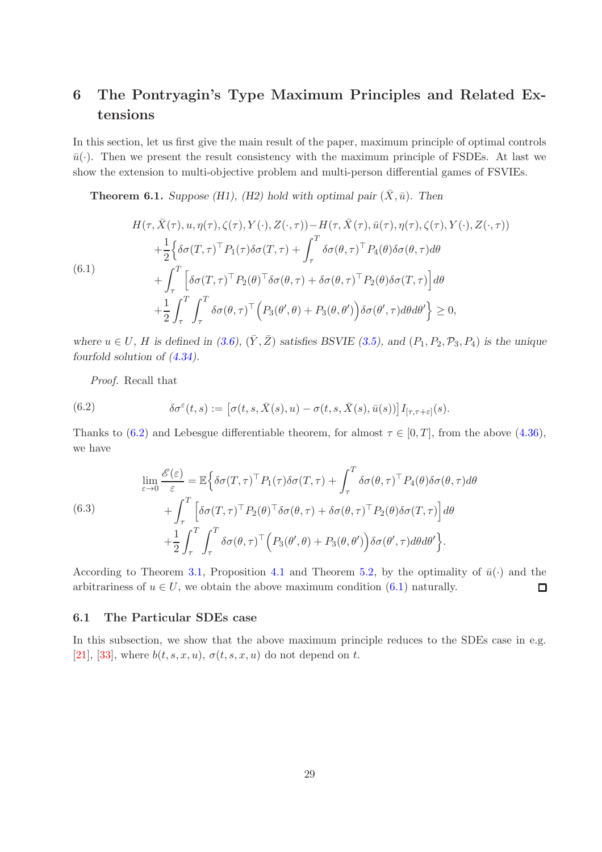## 6 The Pontryagin's Type Maximum Principles and Related Extensions

In this section, let us first give the main result of the paper, maximum principle of optimal controls  $\bar{u}(\cdot)$ . Then we present the result consistency with the maximum principle of FSDEs. At last we show the extension to multi-objective problem and multi-person differential games of FSVIEs.

**Theorem 6.1.** Suppose (H1), (H2) hold with optimal pair  $(\bar{X}, \bar{u})$ . Then

<span id="page-28-1"></span>
$$
H(\tau, \bar{X}(\tau), u, \eta(\tau), \zeta(\tau), Y(\cdot), Z(\cdot, \tau)) - H(\tau, \bar{X}(\tau), \bar{u}(\tau), \eta(\tau), \zeta(\tau), Y(\cdot), Z(\cdot, \tau))
$$
  
+ 
$$
\frac{1}{2} \Big\{ \delta \sigma(T, \tau)^{\top} P_1(\tau) \delta \sigma(T, \tau) + \int_{\tau}^{T} \delta \sigma(\theta, \tau)^{\top} P_4(\theta) \delta \sigma(\theta, \tau) d\theta
$$
  
(6.1)  
+ 
$$
\int_{\tau}^{T} \Big[ \delta \sigma(T, \tau)^{\top} P_2(\theta)^{\top} \delta \sigma(\theta, \tau) + \delta \sigma(\theta, \tau)^{\top} P_2(\theta) \delta \sigma(T, \tau) \Big] d\theta
$$
  
+ 
$$
\frac{1}{2} \int_{\tau}^{T} \int_{\tau}^{T} \delta \sigma(\theta, \tau)^{\top} \Big( P_3(\theta', \theta) + P_3(\theta, \theta') \Big) \delta \sigma(\theta', \tau) d\theta d\theta' \Big\} \ge 0,
$$

where  $u \in U$ , H is defined in [\(3.6\)](#page-6-2),  $(\bar{Y}, \bar{Z})$  satisfies BSVIE [\(3.5\)](#page-6-3), and (P<sub>1</sub>, P<sub>2</sub>, P<sub>3</sub>, P<sub>4</sub>) is the unique fourfold solution of [\(4.34\)](#page-20-0).

<span id="page-28-0"></span>Proof. Recall that

(6.2) 
$$
\delta \sigma^{\varepsilon}(t,s) := \left[\sigma(t,s,\bar{X}(s),u) - \sigma(t,s,\bar{X}(s),\bar{u}(s))\right] I_{[\tau,\tau+\varepsilon]}(s).
$$

Thanks to [\(6.2\)](#page-28-0) and Lebesgue differentiable theorem, for almost  $\tau \in [0, T]$ , from the above [\(4.36\)](#page-21-0), we have

(6.3)  
\n
$$
\lim_{\varepsilon \to 0} \frac{\mathscr{E}(\varepsilon)}{\varepsilon} = \mathbb{E} \Big\{ \delta \sigma(T, \tau)^{\top} P_1(\tau) \delta \sigma(T, \tau) + \int_{\tau}^{T} \delta \sigma(\theta, \tau)^{\top} P_4(\theta) \delta \sigma(\theta, \tau) d\theta \n+ \int_{\tau}^{T} \Big[ \delta \sigma(T, \tau)^{\top} P_2(\theta)^{\top} \delta \sigma(\theta, \tau) + \delta \sigma(\theta, \tau)^{\top} P_2(\theta) \delta \sigma(T, \tau) \Big] d\theta \n+ \frac{1}{2} \int_{\tau}^{T} \int_{\tau}^{T} \delta \sigma(\theta, \tau)^{\top} \Big( P_3(\theta', \theta) + P_3(\theta, \theta') \Big) \delta \sigma(\theta', \tau) d\theta d\theta' \Big\}.
$$

According to Theorem [3.1,](#page-6-4) Proposition [4.1](#page-21-4) and Theorem [5.2,](#page-25-1) by the optimality of  $\bar{u}(\cdot)$  and the arbitrariness of  $u \in U$ , we obtain the above maximum condition [\(6.1\)](#page-28-1) naturally.  $\Box$ 

### 6.1 The Particular SDEs case

In this subsection, we show that the above maximum principle reduces to the SDEs case in e.g. [\[21\]](#page-43-2), [\[33\]](#page-43-3), where  $b(t, s, x, u)$ ,  $\sigma(t, s, x, u)$  do not depend on t.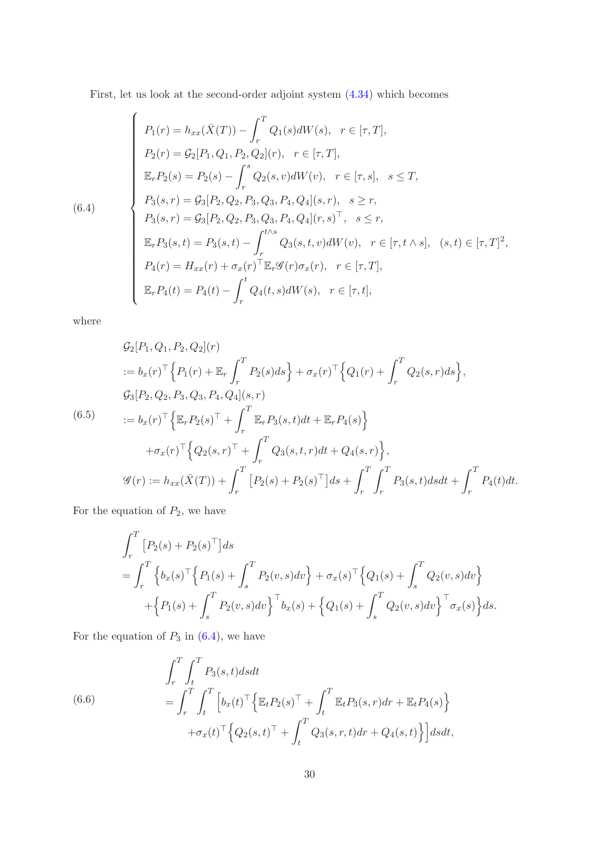First, let us look at the second-order adjoint system [\(4.34\)](#page-20-0) which becomes

<span id="page-29-0"></span>(6.4)  
\n
$$
\begin{cases}\nP_1(r) = h_{xx}(\bar{X}(T)) - \int_r^T Q_1(s)dW(s), \quad r \in [\tau, T], \\
P_2(r) = \mathcal{G}_2[P_1, Q_1, P_2, Q_2](r), \quad r \in [\tau, T], \\
\mathbb{E}_r P_2(s) = P_2(s) - \int_r^s Q_2(s, v)dW(v), \quad r \in [\tau, s], \quad s \le T, \\
P_3(s, r) = \mathcal{G}_3[P_2, Q_2, P_3, Q_3, P_4, Q_4](s, r), \quad s \ge r, \\
P_3(s, r) = \mathcal{G}_3[P_2, Q_2, P_3, Q_3, P_4, Q_4](r, s)^\top, \quad s \le r, \\
\mathbb{E}_r P_3(s, t) = P_3(s, t) - \int_r^{t \wedge s} Q_3(s, t, v)dW(v), \quad r \in [\tau, t \wedge s], \quad (s, t) \in [\tau, T]^2, \\
P_4(r) = H_{xx}(r) + \sigma_x(r)^\top \mathbb{E}_r \mathcal{G}(r) \sigma_x(r), \quad r \in [\tau, T], \\
\mathbb{E}_r P_4(t) = P_4(t) - \int_r^t Q_4(t, s)dW(s), \quad r \in [\tau, t],\n\end{cases}
$$

where

<span id="page-29-1"></span>
$$
G_2[P_1, Q_1, P_2, Q_2](r)
$$
  
\n
$$
:= b_x(r)^{\top} \Big\{ P_1(r) + \mathbb{E}_r \int_r^T P_2(s) ds \Big\} + \sigma_x(r)^{\top} \Big\{ Q_1(r) + \int_r^T Q_2(s, r) ds \Big\},
$$
  
\n
$$
G_3[P_2, Q_2, P_3, Q_3, P_4, Q_4](s, r)
$$
  
\n
$$
:= b_x(r)^{\top} \Big\{ \mathbb{E}_r P_2(s)^{\top} + \int_r^T \mathbb{E}_r P_3(s, t) dt + \mathbb{E}_r P_4(s) \Big\}
$$
  
\n
$$
+ \sigma_x(r)^{\top} \Big\{ Q_2(s, r)^{\top} + \int_r^T Q_3(s, t, r) dt + Q_4(s, r) \Big\},
$$
  
\n
$$
\mathcal{G}(r) := h_{xx}(\bar{X}(T)) + \int_r^T [P_2(s) + P_2(s)^{\top}] ds + \int_r^T \int_r^T P_3(s, t) ds dt + \int_r^T P_4(t) dt.
$$

For the equation of  $P_2$ , we have

$$
\int_{r}^{T} [P_2(s) + P_2(s)^\top] ds
$$
  
= 
$$
\int_{r}^{T} \left\{ b_x(s)^\top \left\{ P_1(s) + \int_{s}^{T} P_2(v, s) dv \right\} + \sigma_x(s)^\top \left\{ Q_1(s) + \int_{s}^{T} Q_2(v, s) dv \right\} + \left\{ P_1(s) + \int_{s}^{T} P_2(v, s) dv \right\}^\top b_x(s) + \left\{ Q_1(s) + \int_{s}^{T} Q_2(v, s) dv \right\}^\top \sigma_x(s) \right\} ds.
$$

For the equation of  $P_3$  in  $(6.4)$ , we have

(6.6) 
$$
\int_{r}^{T} \int_{t}^{T} P_{3}(s,t) ds dt
$$

$$
= \int_{r}^{T} \int_{t}^{T} \left[ b_{x}(t)^{\top} \left\{ \mathbb{E}_{t} P_{2}(s)^{\top} + \int_{t}^{T} \mathbb{E}_{t} P_{3}(s,r) dr + \mathbb{E}_{t} P_{4}(s) \right\} + \sigma_{x}(t)^{\top} \left\{ Q_{2}(s,t)^{\top} + \int_{t}^{T} Q_{3}(s,r,t) dr + Q_{4}(s,t) \right\} \right] ds dt,
$$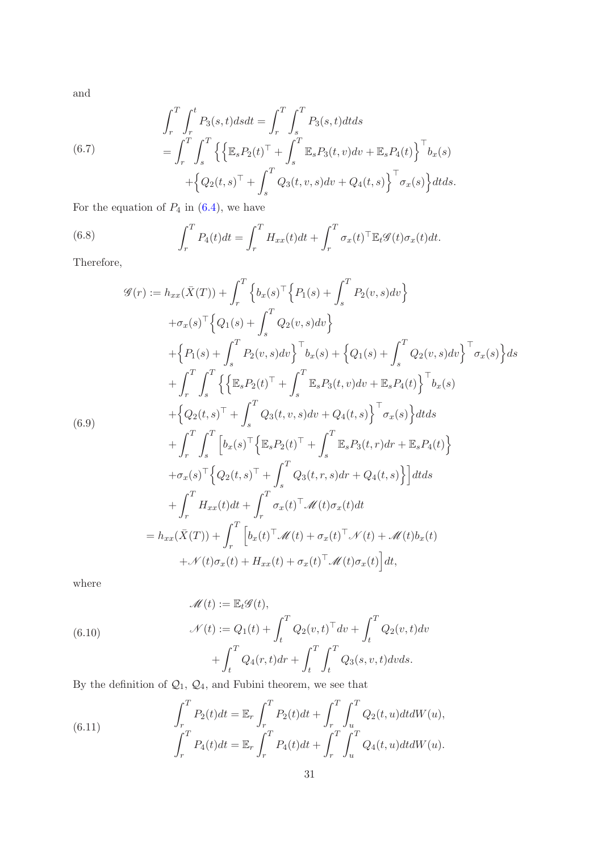and

(6.7) 
$$
\int_{r}^{T} \int_{r}^{t} P_{3}(s,t) ds dt = \int_{r}^{T} \int_{s}^{T} P_{3}(s,t) dt ds \n= \int_{r}^{T} \int_{s}^{T} \left\{ \left\{ \mathbb{E}_{s} P_{2}(t)^{\top} + \int_{s}^{T} \mathbb{E}_{s} P_{3}(t,v) dv + \mathbb{E}_{s} P_{4}(t) \right\}^{\top} b_{x}(s) + \left\{ Q_{2}(t,s)^{\top} + \int_{s}^{T} Q_{3}(t,v,s) dv + Q_{4}(t,s) \right\}^{\top} \sigma_{x}(s) \right\} dt ds.
$$

For the equation of  $P_4$  in [\(6.4\)](#page-29-0), we have

(6.8) 
$$
\int_r^T P_4(t)dt = \int_r^T H_{xx}(t)dt + \int_r^T \sigma_x(t)^{\top} \mathbb{E}_t \mathscr{G}(t) \sigma_x(t)dt.
$$

Therefore,

<span id="page-30-2"></span>
$$
\mathcal{G}(r) := h_{xx}(\bar{X}(T)) + \int_{r}^{T} \left\{ b_x(s)^\top \left\{ P_1(s) + \int_{s}^{T} P_2(v, s) dv \right\} \right\}
$$
  
\n
$$
+ \sigma_x(s)^\top \left\{ Q_1(s) + \int_{s}^{T} Q_2(v, s) dv \right\}
$$
  
\n
$$
+ \left\{ P_1(s) + \int_{s}^{T} P_2(v, s) dv \right\}^\top b_x(s) + \left\{ Q_1(s) + \int_{s}^{T} Q_2(v, s) dv \right\}^\top \sigma_x(s) \right\} ds
$$
  
\n
$$
+ \int_{r}^{T} \int_{s}^{T} \left\{ \left\{ \mathbb{E}_{s} P_2(t)^\top + \int_{s}^{T} \mathbb{E}_{s} P_3(t, v) dv + \mathbb{E}_{s} P_4(t) \right\}^\top b_x(s)
$$
  
\n(6.9)  
\n
$$
+ \left\{ Q_2(t, s)^\top + \int_{s}^{T} Q_3(t, v, s) dv + Q_4(t, s) \right\}^\top \sigma_x(s) \right\} dt ds
$$
  
\n
$$
+ \int_{r}^{T} \int_{s}^{T} \left[ b_x(s)^\top \left\{ \mathbb{E}_{s} P_2(t)^\top + \int_{s}^{T} \mathbb{E}_{s} P_3(t, r) dr + \mathbb{E}_{s} P_4(t) \right\} \right.
$$
  
\n
$$
+ \sigma_x(s)^\top \left\{ Q_2(t, s)^\top + \int_{s}^{T} Q_3(t, r, s) dr + Q_4(t, s) \right\} \right] dt ds
$$
  
\n
$$
+ \int_{r}^{T} H_{xx}(t) dt + \int_{r}^{T} \sigma_x(t)^\top \mathcal{M}(t) \sigma_x(t) dt
$$
  
\n
$$
= h_{xx}(\bar{X}(T)) + \int_{r}^{T} \left[ b_x(t)^\top \mathcal{M}(t) + \sigma_x(t)^\top \mathcal{M}(t) + \mathcal{M}(t) b_x(t) \right.
$$

where

<span id="page-30-1"></span>(6.10)  
\n
$$
\mathcal{M}(t) := \mathbb{E}_t \mathcal{G}(t),
$$
\n
$$
\mathcal{N}(t) := Q_1(t) + \int_t^T Q_2(v, t)^\top dv + \int_t^T Q_2(v, t) dv
$$
\n
$$
+ \int_t^T Q_4(r, t) dr + \int_t^T \int_t^T Q_3(s, v, t) dv ds.
$$

By the definition of  $\mathcal{Q}_1,~\mathcal{Q}_4,$  and Fubini theorem, we see that

<span id="page-30-0"></span>(6.11) 
$$
\int_{r}^{T} P_{2}(t)dt = \mathbb{E}_{r} \int_{r}^{T} P_{2}(t)dt + \int_{r}^{T} \int_{u}^{T} Q_{2}(t, u)dt dW(u),
$$

$$
\int_{r}^{T} P_{4}(t)dt = \mathbb{E}_{r} \int_{r}^{T} P_{4}(t)dt + \int_{r}^{T} \int_{u}^{T} Q_{4}(t, u)dt dW(u).
$$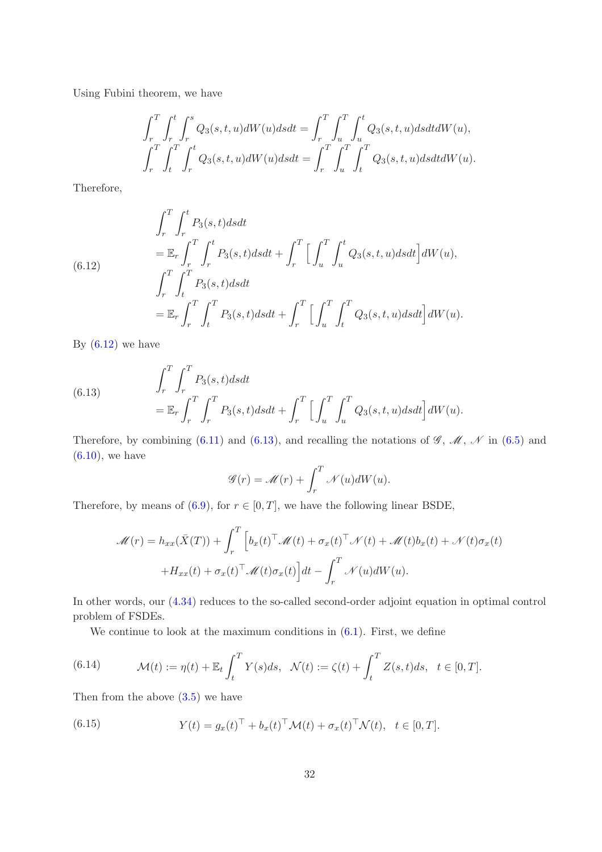Using Fubini theorem, we have

$$
\int_{r}^{T} \int_{r}^{t} \int_{r}^{s} Q_{3}(s, t, u) dW(u) ds dt = \int_{r}^{T} \int_{u}^{T} \int_{u}^{t} Q_{3}(s, t, u) ds dt dW(u),
$$
  

$$
\int_{r}^{T} \int_{t}^{T} \int_{r}^{t} Q_{3}(s, t, u) dW(u) ds dt = \int_{r}^{T} \int_{u}^{T} \int_{t}^{T} Q_{3}(s, t, u) ds dt dW(u).
$$

Therefore,

<span id="page-31-0"></span>(6.12)  
\n
$$
\int_{r}^{T} \int_{r}^{t} P_{3}(s,t) ds dt
$$
\n
$$
= \mathbb{E}_{r} \int_{r}^{T} \int_{r}^{t} P_{3}(s,t) ds dt + \int_{r}^{T} \Big[ \int_{u}^{T} \int_{u}^{t} Q_{3}(s,t,u) ds dt \Big] dW(u),
$$
\n
$$
\int_{r}^{T} \int_{t}^{T} P_{3}(s,t) ds dt
$$
\n
$$
= \mathbb{E}_{r} \int_{r}^{T} \int_{t}^{T} P_{3}(s,t) ds dt + \int_{r}^{T} \Big[ \int_{u}^{T} \int_{t}^{T} Q_{3}(s,t,u) ds dt \Big] dW(u).
$$

By  $(6.12)$  we have

<span id="page-31-1"></span>(6.13) 
$$
\int_{r}^{T} \int_{r}^{T} P_{3}(s, t) ds dt = \mathbb{E}_{r} \int_{r}^{T} \int_{r}^{T} P_{3}(s, t) ds dt + \int_{r}^{T} \left[ \int_{u}^{T} \int_{u}^{T} Q_{3}(s, t, u) ds dt \right] dW(u).
$$

Therefore, by combining [\(6.11\)](#page-30-0) and [\(6.13\)](#page-31-1), and recalling the notations of  $\mathscr{G}, \mathscr{M}, \mathscr{N}$  in [\(6.5\)](#page-29-1) and  $(6.10)$ , we have

$$
\mathscr{G}(r) = \mathscr{M}(r) + \int_r^T \mathscr{N}(u) dW(u).
$$

Therefore, by means of [\(6.9\)](#page-30-2), for  $r \in [0, T]$ , we have the following linear BSDE,

$$
\mathcal{M}(r) = h_{xx}(\bar{X}(T)) + \int_r^T \left[ b_x(t)^\top \mathcal{M}(t) + \sigma_x(t)^\top \mathcal{N}(t) + \mathcal{M}(t) b_x(t) + \mathcal{N}(t) \sigma_x(t) \right. \\ \left. + H_{xx}(t) + \sigma_x(t)^\top \mathcal{M}(t) \sigma_x(t) \right] dt - \int_r^T \mathcal{N}(u) dW(u).
$$

In other words, our [\(4.34\)](#page-20-0) reduces to the so-called second-order adjoint equation in optimal control problem of FSDEs.

We continue to look at the maximum conditions in  $(6.1)$ . First, we define

(6.14) 
$$
\mathcal{M}(t) := \eta(t) + \mathbb{E}_t \int_t^T Y(s)ds, \quad \mathcal{N}(t) := \zeta(t) + \int_t^T Z(s,t)ds, \quad t \in [0,T].
$$

Then from the above  $(3.5)$  we have

(6.15) 
$$
Y(t) = g_x(t)^\top + b_x(t)^\top \mathcal{M}(t) + \sigma_x(t)^\top \mathcal{N}(t), \quad t \in [0, T].
$$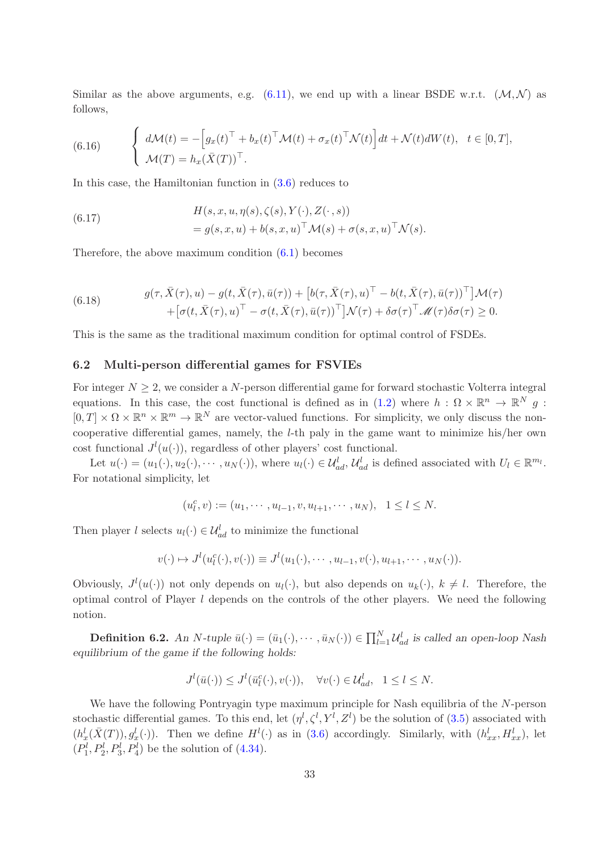Similar as the above arguments, e.g.  $(6.11)$ , we end up with a linear BSDE w.r.t.  $(\mathcal{M}, \mathcal{N})$  as follows,

(6.16) 
$$
\begin{cases} d\mathcal{M}(t) = -\left[g_x(t)^\top + b_x(t)^\top \mathcal{M}(t) + \sigma_x(t)^\top \mathcal{N}(t)\right]dt + \mathcal{N}(t)dW(t), & t \in [0, T],\\ \mathcal{M}(T) = h_x(\bar{X}(T))^\top. \end{cases}
$$

In this case, the Hamiltonian function in [\(3.6\)](#page-6-2) reduces to

(6.17) 
$$
H(s, x, u, \eta(s), \zeta(s), Y(\cdot), Z(\cdot, s))
$$

$$
= g(s, x, u) + b(s, x, u)^{\top} \mathcal{M}(s) + \sigma(s, x, u)^{\top} \mathcal{N}(s).
$$

Therefore, the above maximum condition [\(6.1\)](#page-28-1) becomes

(6.18) 
$$
g(\tau, \bar{X}(\tau), u) - g(t, \bar{X}(\tau), \bar{u}(\tau)) + \left[b(\tau, \bar{X}(\tau), u)^\top - b(t, \bar{X}(\tau), \bar{u}(\tau))^\top\right] \mathcal{M}(\tau) + \left[\sigma(t, \bar{X}(\tau), u)^\top - \sigma(t, \bar{X}(\tau), \bar{u}(\tau))^\top\right] \mathcal{N}(\tau) + \delta \sigma(\tau)^\top \mathcal{M}(\tau) \delta \sigma(\tau) \geq 0.
$$

This is the same as the traditional maximum condition for optimal control of FSDEs.

### 6.2 Multi-person differential games for FSVIEs

For integer  $N \geq 2$ , we consider a N-person differential game for forward stochastic Volterra integral equations. In this case, the cost functional is defined as in [\(1.2\)](#page-0-1) where  $h: \Omega \times \mathbb{R}^n \to \mathbb{R}^N$  g:  $[0,T] \times \Omega \times \mathbb{R}^n \times \mathbb{R}^m \to \mathbb{R}^N$  are vector-valued functions. For simplicity, we only discuss the noncooperative differential games, namely, the l-th paly in the game want to minimize his/her own cost functional  $J^l(u(\cdot))$ , regardless of other players' cost functional.

Let  $u(\cdot) = (u_1(\cdot), u_2(\cdot), \cdots, u_N(\cdot)),$  where  $u_l(\cdot) \in \mathcal{U}_{ad}^l$ ,  $\mathcal{U}_{ad}^l$  is defined associated with  $U_l \in \mathbb{R}^{m_l}$ . For notational simplicity, let

$$
(u_l^c, v) := (u_1, \cdots, u_{l-1}, v, u_{l+1}, \cdots, u_N), \quad 1 \le l \le N.
$$

Then player l selects  $u_l(\cdot) \in \mathcal{U}_{ad}^l$  to minimize the functional

$$
v(\cdot) \mapsto J^l(u_l^c(\cdot), v(\cdot)) \equiv J^l(u_1(\cdot), \cdots, u_{l-1}, v(\cdot), u_{l+1}, \cdots, u_N(\cdot)).
$$

Obviously,  $J^l(u(\cdot))$  not only depends on  $u_l(\cdot)$ , but also depends on  $u_k(\cdot)$ ,  $k \neq l$ . Therefore, the optimal control of Player  $l$  depends on the controls of the other players. We need the following notion.

**Definition 6.2.** An N-tuple  $\bar{u}(\cdot) = (\bar{u}_1(\cdot), \cdots, \bar{u}_N(\cdot)) \in \prod_{l=1}^N \mathcal{U}_{ad}^l$  is called an open-loop Nash equilibrium of the game if the following holds:

$$
J^{l}(\bar{u}(\cdot)) \leq J^{l}(\bar{u}_{l}^{c}(\cdot), v(\cdot)), \quad \forall v(\cdot) \in \mathcal{U}_{ad}^{l}, \quad 1 \leq l \leq N.
$$

We have the following Pontryagin type maximum principle for Nash equilibria of the N-person stochastic differential games. To this end, let  $(\eta^l, \zeta^l, Y^l, Z^l)$  be the solution of  $(3.5)$  associated with  $(h_x^l(\bar{X}(T)), g_x^l(\cdot))$ . Then we define  $H^l(\cdot)$  as in [\(3.6\)](#page-6-2) accordingly. Similarly, with  $(h_{xx}^l, H_{xx}^l)$ , let  $(P_1^l, P_2^l, P_3^l, P_4^l)$  be the solution of  $(4.34)$ .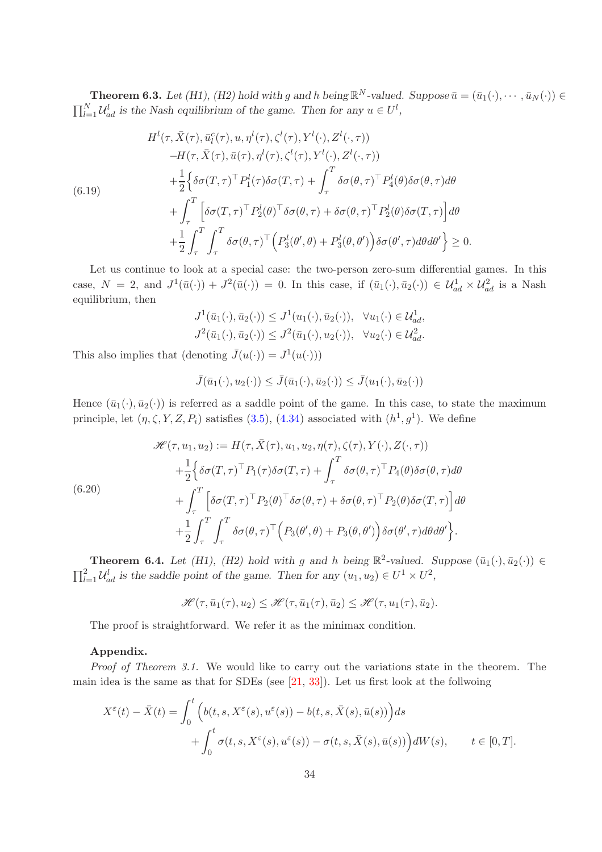**Theorem 6.3.** Let (H1), (H2) hold with g and h being  $\mathbb{R}^N$ -valued. Suppose  $\bar{u} = (\bar{u}_1(\cdot), \cdots, \bar{u}_N(\cdot)) \in$  $\prod_{l=1}^{N} \mathcal{U}_{ad}^{l}$  is the Nash equilibrium of the game. Then for any  $u \in U^{l}$ ,

$$
H^{l}(\tau, \bar{X}(\tau), \bar{u}_{l}^{c}(\tau), u, \eta^{l}(\tau), \zeta^{l}(\tau), Y^{l}(\cdot), Z^{l}(\cdot, \tau))
$$
  
\n
$$
-H(\tau, \bar{X}(\tau), \bar{u}(\tau), \eta^{l}(\tau), \zeta^{l}(\tau), Y^{l}(\cdot), Z^{l}(\cdot, \tau))
$$
  
\n
$$
+\frac{1}{2}\Big\{\delta\sigma(T, \tau)^{\top} P_{1}^{l}(\tau)\delta\sigma(T, \tau) + \int_{\tau}^{T} \delta\sigma(\theta, \tau)^{\top} P_{4}^{l}(\theta)\delta\sigma(\theta, \tau)d\theta
$$
  
\n
$$
+\int_{\tau}^{T} \Big[\delta\sigma(T, \tau)^{\top} P_{2}^{l}(\theta)^{\top}\delta\sigma(\theta, \tau) + \delta\sigma(\theta, \tau)^{\top} P_{2}^{l}(\theta)\delta\sigma(T, \tau)\Big]d\theta
$$
  
\n
$$
+\frac{1}{2}\int_{\tau}^{T} \int_{\tau}^{T} \delta\sigma(\theta, \tau)^{\top} (P_{3}^{l}(\theta', \theta) + P_{3}^{l}(\theta, \theta')) \delta\sigma(\theta', \tau)d\theta d\theta'\Big\} \geq 0.
$$

Let us continue to look at a special case: the two-person zero-sum differential games. In this case,  $N = 2$ , and  $J^1(\bar{u}(\cdot)) + J^2(\bar{u}(\cdot)) = 0$ . In this case, if  $(\bar{u}_1(\cdot), \bar{u}_2(\cdot)) \in \mathcal{U}_{ad}^1 \times \mathcal{U}_{ad}^2$  is a Nash equilibrium, then

$$
J^{1}(\bar{u}_{1}(\cdot), \bar{u}_{2}(\cdot)) \leq J^{1}(u_{1}(\cdot), \bar{u}_{2}(\cdot)), \quad \forall u_{1}(\cdot) \in \mathcal{U}_{ad}^{1},
$$
  

$$
J^{2}(\bar{u}_{1}(\cdot), \bar{u}_{2}(\cdot)) \leq J^{2}(\bar{u}_{1}(\cdot), u_{2}(\cdot)), \quad \forall u_{2}(\cdot) \in \mathcal{U}_{ad}^{2}.
$$

This also implies that (denoting  $\bar{J}(u(\cdot)) = J^1(u(\cdot)))$ 

$$
\bar{J}(\bar{u}_1(\cdot),u_2(\cdot))\leq \bar{J}(\bar{u}_1(\cdot),\bar{u}_2(\cdot))\leq \bar{J}(u_1(\cdot),\bar{u}_2(\cdot))
$$

Hence  $(\bar{u}_1(\cdot), \bar{u}_2(\cdot))$  is referred as a saddle point of the game. In this case, to state the maximum principle, let  $(\eta, \zeta, Y, Z, P_i)$  satisfies [\(3.5\)](#page-6-3), [\(4.34\)](#page-20-0) associated with  $(h^1, g^1)$ . We define

$$
\mathcal{H}(\tau, u_1, u_2) := H(\tau, \bar{X}(\tau), u_1, u_2, \eta(\tau), \zeta(\tau), Y(\cdot), Z(\cdot, \tau)) \n+ \frac{1}{2} \Big\{ \delta \sigma(T, \tau)^{\top} P_1(\tau) \delta \sigma(T, \tau) + \int_{\tau}^{T} \delta \sigma(\theta, \tau)^{\top} P_4(\theta) \delta \sigma(\theta, \tau) d\theta \n+ \int_{\tau}^{T} \Big[ \delta \sigma(T, \tau)^{\top} P_2(\theta)^{\top} \delta \sigma(\theta, \tau) + \delta \sigma(\theta, \tau)^{\top} P_2(\theta) \delta \sigma(T, \tau) \Big] d\theta \n+ \frac{1}{2} \int_{\tau}^{T} \int_{\tau}^{T} \delta \sigma(\theta, \tau)^{\top} \Big( P_3(\theta', \theta) + P_3(\theta, \theta') \Big) \delta \sigma(\theta', \tau) d\theta d\theta' \Big\}.
$$

**Theorem 6.4.** Let (H1), (H2) hold with g and h being  $\mathbb{R}^2$ -valued. Suppose  $(\bar{u}_1(\cdot), \bar{u}_2(\cdot)) \in$  $\prod_{l=1}^{2} \mathcal{U}_{ad}^{l}$  is the saddle point of the game. Then for any  $(u_1, u_2) \in U^1 \times U^2$ ,

$$
\mathscr{H}(\tau,\bar{u}_1(\tau),u_2) \leq \mathscr{H}(\tau,\bar{u}_1(\tau),\bar{u}_2) \leq \mathscr{H}(\tau,u_1(\tau),\bar{u}_2).
$$

The proof is straightforward. We refer it as the minimax condition.

#### Appendix.

Proof of Theorem 3.1. We would like to carry out the variations state in the theorem. The main idea is the same as that for SDEs (see [\[21,](#page-43-2) [33\]](#page-43-3)). Let us first look at the follwoing

$$
X^{\varepsilon}(t) - \bar{X}(t) = \int_0^t \left( b(t, s, X^{\varepsilon}(s), u^{\varepsilon}(s)) - b(t, s, \bar{X}(s), \bar{u}(s)) \right) ds
$$
  
+ 
$$
\int_0^t \sigma(t, s, X^{\varepsilon}(s), u^{\varepsilon}(s)) - \sigma(t, s, \bar{X}(s), \bar{u}(s)) \Big) dW(s), \qquad t \in [0, T].
$$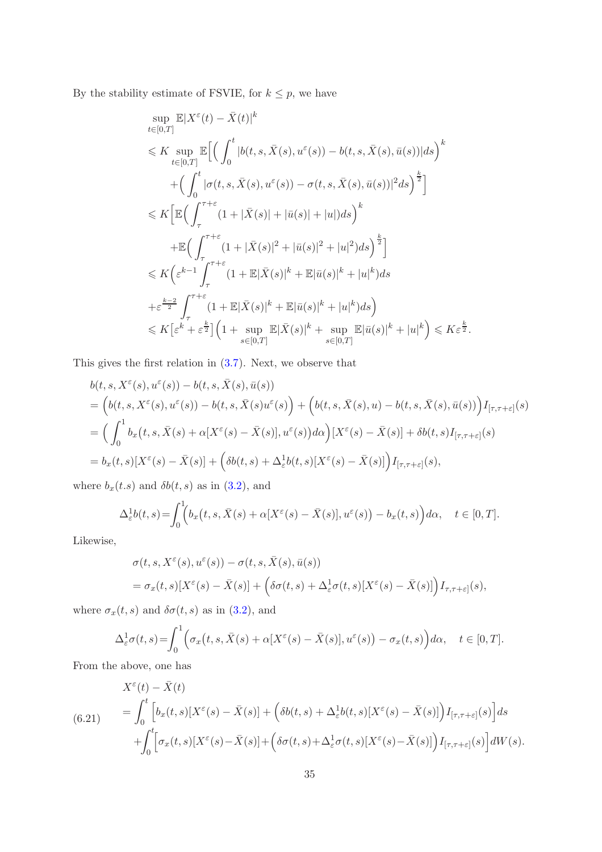By the stability estimate of FSVIE, for  $k\leq p,$  we have

$$
\sup_{t\in[0,T]} \mathbb{E}|X^{\varepsilon}(t) - \bar{X}(t)|^{k}
$$
\n
$$
\leq K \sup_{t\in[0,T]} \mathbb{E}\Big[\Big(\int_{0}^{t} |b(t,s,\bar{X}(s),u^{\varepsilon}(s)) - b(t,s,\bar{X}(s),\bar{u}(s))|ds\Big)^{k}
$$
\n
$$
+ \Big(\int_{0}^{t} |\sigma(t,s,\bar{X}(s),u^{\varepsilon}(s)) - \sigma(t,s,\bar{X}(s),\bar{u}(s))|^{2}ds\Big)^{\frac{k}{2}}\Big]
$$
\n
$$
\leq K \Big[\mathbb{E}\Big(\int_{\tau}^{\tau+\varepsilon} (1+|\bar{X}(s)|+|\bar{u}(s)|+|u|)ds\Big)^{k}
$$
\n
$$
+ \mathbb{E}\Big(\int_{\tau}^{\tau+\varepsilon} (1+|\bar{X}(s)|^{2}+|\bar{u}(s)|^{2}+|u|^{2})ds\Big)^{\frac{k}{2}}\Big]
$$
\n
$$
\leq K \Big(\varepsilon^{k-1} \int_{\tau}^{\tau+\varepsilon} (1+ \mathbb{E}|\bar{X}(s)|^{k} + \mathbb{E}|\bar{u}(s)|^{k} + |u|^{k})ds
$$
\n
$$
+ \varepsilon^{\frac{k-2}{2}} \int_{\tau}^{\tau+\varepsilon} (1+ \mathbb{E}|\bar{X}(s)|^{k} + \mathbb{E}|\bar{u}(s)|^{k} + |u|^{k})ds\Big)
$$
\n
$$
\leq K \Big[\varepsilon^{k} + \varepsilon^{\frac{k}{2}}\Big] \Big(1 + \sup_{s \in [0,T]} \mathbb{E}|\bar{X}(s)|^{k} + \sup_{s \in [0,T]} \mathbb{E}|\bar{u}(s)|^{k} + |u|^{k}\Big) \leq K \varepsilon^{\frac{k}{2}}.
$$

This gives the first relation in [\(3.7\)](#page-6-0). Next, we observe that

$$
b(t, s, X^{\varepsilon}(s), u^{\varepsilon}(s)) - b(t, s, \bar{X}(s), \bar{u}(s))
$$
  
= 
$$
\left(b(t, s, X^{\varepsilon}(s), u^{\varepsilon}(s)) - b(t, s, \bar{X}(s)u^{\varepsilon}(s)\right) + \left(b(t, s, \bar{X}(s), u) - b(t, s, \bar{X}(s), \bar{u}(s))\right)I_{[\tau, \tau + \varepsilon]}(s)
$$
  
= 
$$
\left(\int_{0}^{1} b_{x}\left(t, s, \bar{X}(s) + \alpha[X^{\varepsilon}(s) - \bar{X}(s)], u^{\varepsilon}(s)\right) d\alpha\right) [X^{\varepsilon}(s) - \bar{X}(s)] + \delta b(t, s)I_{[\tau, \tau + \varepsilon]}(s)
$$
  
= 
$$
b_{x}(t, s)[X^{\varepsilon}(s) - \bar{X}(s)] + \left(\delta b(t, s) + \Delta_{\varepsilon}^{1} b(t, s)[X^{\varepsilon}(s) - \bar{X}(s)]\right)I_{[\tau, \tau + \varepsilon]}(s),
$$

where  $b_x(t.s)$  and  $\delta b(t, s)$  as in  $(3.2)$ , and

$$
\Delta_{\varepsilon}^1 b(t,s) = \int_0^1 \Bigl( b_x(t,s,\bar{X}(s) + \alpha [X^{\varepsilon}(s) - \bar{X}(s)], u^{\varepsilon}(s)) - b_x(t,s) \Bigr) d\alpha, \quad t \in [0,T].
$$

Likewise,

$$
\sigma(t,s,X^{\varepsilon}(s),u^{\varepsilon}(s)) - \sigma(t,s,\bar{X}(s),\bar{u}(s))
$$
  
=  $\sigma_x(t,s)[X^{\varepsilon}(s) - \bar{X}(s)] + (\delta\sigma(t,s) + \Delta_{\varepsilon}^1 \sigma(t,s)[X^{\varepsilon}(s) - \bar{X}(s)])I_{\tau,\tau+\varepsilon]}(s),$ 

where  $\sigma_x(t, s)$  and  $\delta\sigma(t, s)$  as in [\(3.2\)](#page-5-1), and

$$
\Delta_{\varepsilon}^1 \sigma(t,s) = \int_0^1 \Big( \sigma_x(t,s,\bar{X}(s) + \alpha[X^{\varepsilon}(s) - \bar{X}(s)], u^{\varepsilon}(s)) - \sigma_x(t,s) \Big) d\alpha, \quad t \in [0,T].
$$

From the above, one has

$$
X^{\varepsilon}(t) - \bar{X}(t)
$$
\n
$$
= \int_{0}^{t} \left[ b_{x}(t,s)[X^{\varepsilon}(s) - \bar{X}(s)] + \left( \delta b(t,s) + \Delta_{\varepsilon}^{1} b(t,s)[X^{\varepsilon}(s) - \bar{X}(s)] \right) I_{[\tau,\tau+\varepsilon]}(s) \right] ds
$$
\n
$$
+ \int_{0}^{t} \left[ \sigma_{x}(t,s)[X^{\varepsilon}(s) - \bar{X}(s)] + \left( \delta \sigma(t,s) + \Delta_{\varepsilon}^{1} \sigma(t,s)[X^{\varepsilon}(s) - \bar{X}(s)] \right) I_{[\tau,\tau+\varepsilon]}(s) \right] dW(s).
$$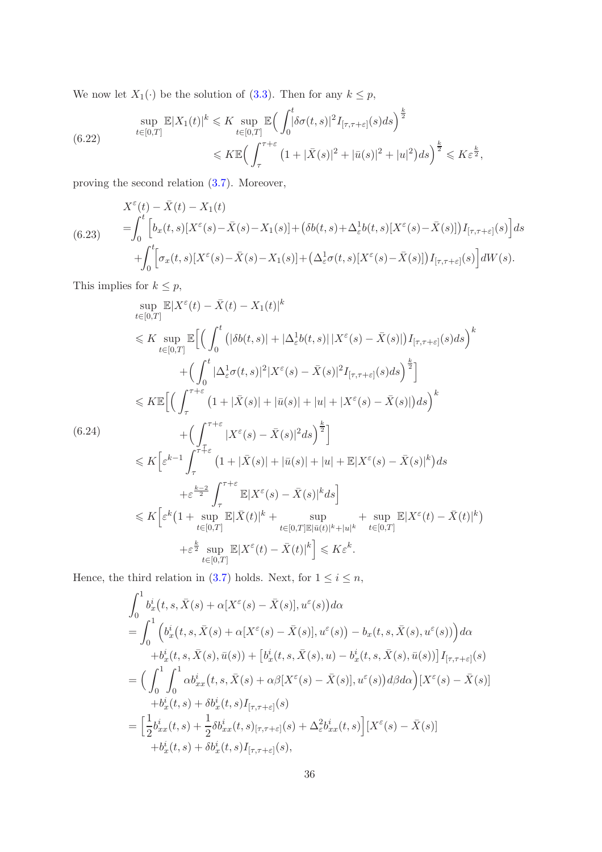We now let  $X_1(\cdot)$  be the solution of [\(3.3\)](#page-5-0). Then for any  $k \leq p$ ,

(6.22) 
$$
\sup_{t \in [0,T]} \mathbb{E}|X_1(t)|^k \leq K \sup_{t \in [0,T]} \mathbb{E}\Big(\int_0^t |\delta \sigma(t,s)|^2 I_{[\tau,\tau+\varepsilon]}(s) ds\Big)^{\frac{k}{2}} \leq K \mathbb{E}\Big(\int_\tau^{\tau+\varepsilon} \left(1+|\bar{X}(s)|^2+|\bar{u}(s)|^2+|u|^2\right) ds\Big)^{\frac{k}{2}} \leq K \varepsilon^{\frac{k}{2}},
$$

proving the second relation [\(3.7\)](#page-6-0). Moreover,

$$
X^{\varepsilon}(t) - \bar{X}(t) - X_1(t)
$$
\n
$$
= \int_0^t \left[ b_x(t,s)[X^{\varepsilon}(s) - \bar{X}(s) - X_1(s)] + (\delta b(t,s) + \Delta_{\varepsilon}^1 b(t,s)[X^{\varepsilon}(s) - \bar{X}(s)]] I_{[\tau,\tau+\varepsilon]}(s) \right] ds
$$
\n
$$
+ \int_0^t \left[ \sigma_x(t,s)[X^{\varepsilon}(s) - \bar{X}(s) - X_1(s)] + (\Delta_{\varepsilon}^1 \sigma(t,s)[X^{\varepsilon}(s) - \bar{X}(s)]] I_{[\tau,\tau+\varepsilon]}(s) \right] dW(s).
$$

This implies for  $k \leq p$ ,

$$
\sup_{t\in[0,T]} \mathbb{E}|X^{\varepsilon}(t) - \bar{X}(t) - X_{1}(t)|^{k}
$$
\n
$$
\leq K \sup_{t\in[0,T]} \mathbb{E}\Big[\Big(\int_{0}^{t} \big(|\delta b(t,s)| + |\Delta_{\varepsilon}^{1}b(t,s)| |X^{\varepsilon}(s) - \bar{X}(s)|\big)I_{[\tau,\tau+\varepsilon]}(s)ds\Big)^{k}
$$
\n
$$
+ \Big(\int_{0}^{t} |\Delta_{\varepsilon}^{1}\sigma(t,s)|^{2} |X^{\varepsilon}(s) - \bar{X}(s)|^{2}I_{[\tau,\tau+\varepsilon]}(s)ds\Big)^{\frac{k}{2}}\Big]
$$
\n
$$
\leq K \mathbb{E}\Big[\Big(\int_{\tau}^{\tau+\varepsilon} (1 + |\bar{X}(s)| + |\bar{u}(s)| + |u| + |X^{\varepsilon}(s) - \bar{X}(s)|)ds\Big)^{k}
$$
\n(6.24)\n
$$
+ \Big(\int_{\tau}^{\tau+\varepsilon} |X^{\varepsilon}(s) - \bar{X}(s)|^{2}ds\Big)^{\frac{k}{2}}\Big]
$$
\n
$$
\leq K \Big[\varepsilon^{k-1} \int_{\tau}^{\tau+\varepsilon} (1 + |\bar{X}(s)| + |\bar{u}(s)| + |u| + \mathbb{E}|X^{\varepsilon}(s) - \bar{X}(s)|^{k}\Big)ds
$$
\n
$$
+ \varepsilon^{\frac{k-2}{2}} \int_{\tau}^{\tau+\varepsilon} \mathbb{E}|X^{\varepsilon}(s) - \bar{X}(s)|^{k}ds\Big]
$$
\n
$$
\leq K \Big[\varepsilon^{k} (1 + \sup_{t\in[0,T]} \mathbb{E}|\bar{X}(t)|^{k} + \sup_{t\in[0,T] \mathbb{E}|\bar{u}(t)|^{k} + |u|^{k}} + \sup_{t\in[0,T]} \mathbb{E}|X^{\varepsilon}(t) - \bar{X}(t)|^{k}\Big)
$$
\n
$$
+ \varepsilon^{\frac{k}{2}} \sup_{t\in[0,T]} \mathbb{E}|X^{\varepsilon}(t) - \bar{X}(t)|^{k}\Big] \leq K\varepsilon^{k}.
$$

Hence, the third relation in [\(3.7\)](#page-6-0) holds. Next, for  $1 \leq i \leq n$ ,

$$
\int_{0}^{1} b_{x}^{i}(t,s,\bar{X}(s) + \alpha[X^{\varepsilon}(s) - \bar{X}(s)], u^{\varepsilon}(s)) d\alpha
$$
\n=
$$
\int_{0}^{1} \left( b_{x}^{i}(t,s,\bar{X}(s) + \alpha[X^{\varepsilon}(s) - \bar{X}(s)], u^{\varepsilon}(s)) - b_{x}(t,s,\bar{X}(s),u^{\varepsilon}(s)) \right) d\alpha
$$
\n
$$
+ b_{x}^{i}(t,s,\bar{X}(s),\bar{u}(s)) + [b_{x}^{i}(t,s,\bar{X}(s),u) - b_{x}^{i}(t,s,\bar{X}(s),\bar{u}(s))] I_{[\tau,\tau+\varepsilon]}(s)
$$
\n=
$$
\Big(\int_{0}^{1} \int_{0}^{1} \alpha b_{xx}^{i}(t,s,\bar{X}(s) + \alpha\beta[X^{\varepsilon}(s) - \bar{X}(s)], u^{\varepsilon}(s)) d\beta d\alpha \Big)[X^{\varepsilon}(s) - \bar{X}(s)]
$$
\n
$$
+ b_{x}^{i}(t,s) + \delta b_{x}^{i}(t,s) I_{[\tau,\tau+\varepsilon]}(s)
$$
\n=
$$
\Big[\frac{1}{2}b_{xx}^{i}(t,s) + \frac{1}{2}\delta b_{xx}^{i}(t,s)_{[\tau,\tau+\varepsilon]}(s) + \Delta_{\varepsilon}^{2}b_{xx}^{i}(t,s)\Big][X^{\varepsilon}(s) - \bar{X}(s)]
$$
\n
$$
+ b_{x}^{i}(t,s) + \delta b_{x}^{i}(t,s) I_{[\tau,\tau+\varepsilon]}(s),
$$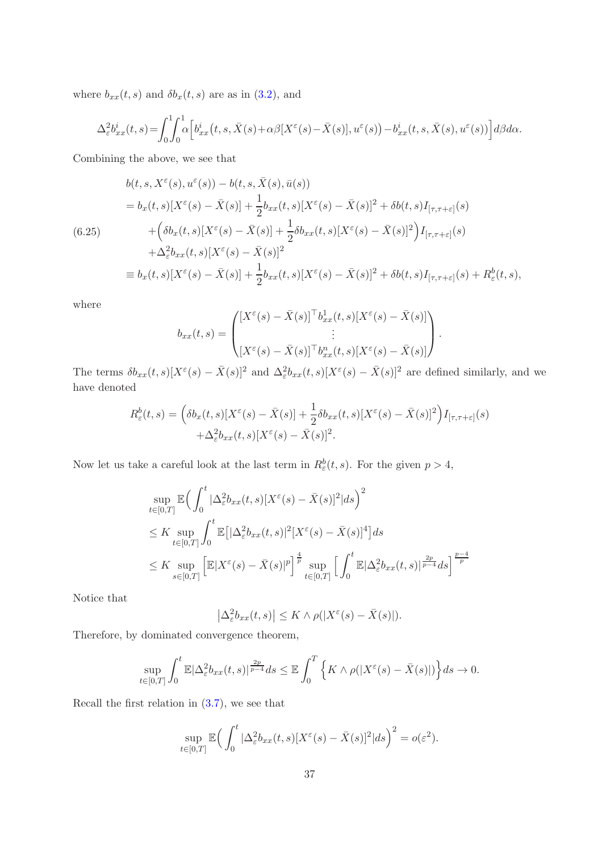where  $b_{xx}(t, s)$  and  $\delta b_x(t, s)$  are as in [\(3.2\)](#page-5-1), and

$$
\Delta_{\varepsilon}^{2}b_{xx}^{i}(t,s) = \int_{0}^{1} \int_{0}^{1} \alpha \Big[ b_{xx}^{i}(t,s,\bar{X}(s) + \alpha\beta [X^{\varepsilon}(s) - \bar{X}(s)], u^{\varepsilon}(s)) - b_{xx}^{i}(t,s,\bar{X}(s),u^{\varepsilon}(s)) \Big] d\beta d\alpha.
$$

Combining the above, we see that

$$
b(t,s,X^{\varepsilon}(s),u^{\varepsilon}(s)) - b(t,s,\bar{X}(s),\bar{u}(s))
$$
  
\n
$$
= b_x(t,s)[X^{\varepsilon}(s) - \bar{X}(s)] + \frac{1}{2}b_{xx}(t,s)[X^{\varepsilon}(s) - \bar{X}(s)]^2 + \delta b(t,s)I_{[\tau,\tau+\varepsilon]}(s)
$$
  
\n
$$
+ \left(\delta b_x(t,s)[X^{\varepsilon}(s) - \bar{X}(s)] + \frac{1}{2}\delta b_{xx}(t,s)[X^{\varepsilon}(s) - \bar{X}(s)]^2\right)I_{[\tau,\tau+\varepsilon]}(s)
$$
  
\n
$$
+ \Delta_{\varepsilon}^2 b_{xx}(t,s)[X^{\varepsilon}(s) - \bar{X}(s)]^2
$$
  
\n
$$
\equiv b_x(t,s)[X^{\varepsilon}(s) - \bar{X}(s)] + \frac{1}{2}b_{xx}(t,s)[X^{\varepsilon}(s) - \bar{X}(s)]^2 + \delta b(t,s)I_{[\tau,\tau+\varepsilon]}(s) + R_{\varepsilon}^b(t,s),
$$

where

$$
b_{xx}(t,s) = \begin{pmatrix} [X^{\varepsilon}(s) - \bar{X}(s)]^{\top} b_{xx}^{1}(t,s) [X^{\varepsilon}(s) - \bar{X}(s)] \\ \vdots \\ [X^{\varepsilon}(s) - \bar{X}(s)]^{\top} b_{xx}^{n}(t,s) [X^{\varepsilon}(s) - \bar{X}(s)] \end{pmatrix}
$$

.

The terms  $\delta b_{xx}(t,s)[X^{\varepsilon}(s) - \bar{X}(s)]^2$  and  $\Delta_{\varepsilon}^2 b_{xx}(t,s)[X^{\varepsilon}(s) - \bar{X}(s)]^2$  are defined similarly, and we have denoted

$$
R_{\varepsilon}^{b}(t,s) = \left( \delta b_{x}(t,s)[X^{\varepsilon}(s) - \bar{X}(s)] + \frac{1}{2} \delta b_{xx}(t,s)[X^{\varepsilon}(s) - \bar{X}(s)]^{2} \right) I_{[\tau,\tau+\varepsilon]}(s) + \Delta_{\varepsilon}^{2} b_{xx}(t,s)[X^{\varepsilon}(s) - \bar{X}(s)]^{2}.
$$

Now let us take a careful look at the last term in  $R^b_{\varepsilon}(t, s)$ . For the given  $p > 4$ ,

$$
\sup_{t \in [0,T]} \mathbb{E} \Big( \int_0^t |\Delta_{\varepsilon}^2 b_{xx}(t,s)|X^{\varepsilon}(s) - \bar{X}(s)|^2|ds \Big)^2
$$
\n
$$
\leq K \sup_{t \in [0,T]} \int_0^t \mathbb{E} \big[ |\Delta_{\varepsilon}^2 b_{xx}(t,s)|^2 |X^{\varepsilon}(s) - \bar{X}(s)|^4 \big] ds
$$
\n
$$
\leq K \sup_{s \in [0,T]} \Big[ \mathbb{E} |X^{\varepsilon}(s) - \bar{X}(s)|^p \Big]^{\frac{4}{p}} \sup_{t \in [0,T]} \Big[ \int_0^t \mathbb{E} |\Delta_{\varepsilon}^2 b_{xx}(t,s)|^{\frac{2p}{p-4}} ds \Big]^{\frac{p-4}{p}}
$$

Notice that

$$
\left|\Delta_{\varepsilon}^{2}b_{xx}(t,s)\right| \leq K \wedge \rho(|X^{\varepsilon}(s) - \bar{X}(s)|).
$$

Therefore, by dominated convergence theorem,

$$
\sup_{t\in[0,T]}\int_0^t\mathbb{E}|\Delta_{\varepsilon}^2b_{xx}(t,s)|^{\frac{2p}{p-4}}ds\leq \mathbb{E}\int_0^T\Big\{K\wedge\rho(|X^{\varepsilon}(s)-\bar{X}(s)|)\Big\}ds\to 0.
$$

Recall the first relation in [\(3.7\)](#page-6-0), we see that

$$
\sup_{t\in[0,T]}\mathbb{E}\Big(\int_0^t |\Delta_{\varepsilon}^2 b_{xx}(t,s)|X^{\varepsilon}(s)-\bar{X}(s)|^2|ds\Big)^2=o(\varepsilon^2).
$$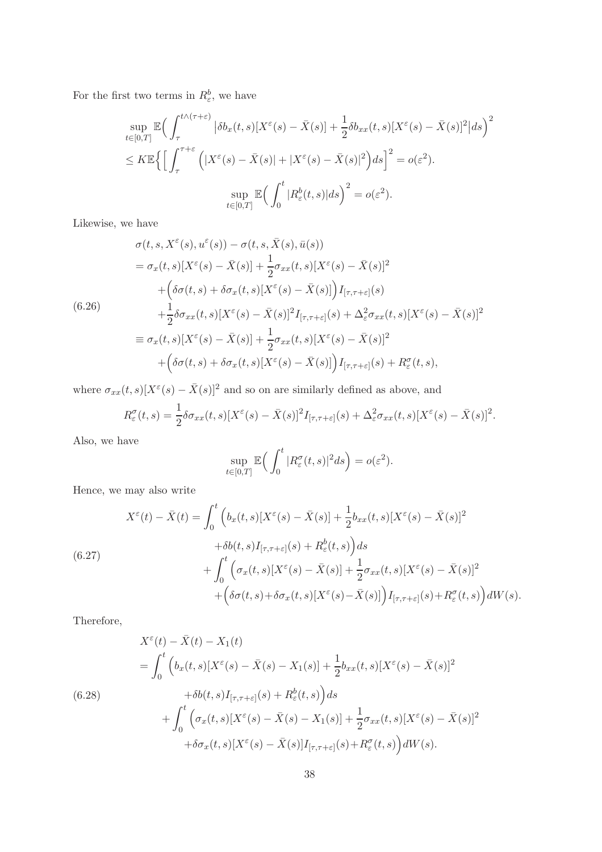For the first two terms in  $R^b_{\varepsilon}$ , we have

$$
\sup_{t \in [0,T]} \mathbb{E} \Big( \int_{\tau}^{t \wedge (\tau + \varepsilon)} |\delta b_x(t,s)[X^{\varepsilon}(s) - \bar{X}(s)] + \frac{1}{2} \delta b_{xx}(t,s)[X^{\varepsilon}(s) - \bar{X}(s)]^2|ds \Big)^2
$$
  

$$
\leq K \mathbb{E} \Big\{ \Big[ \int_{\tau}^{\tau + \varepsilon} \Big( |X^{\varepsilon}(s) - \bar{X}(s)| + |X^{\varepsilon}(s) - \bar{X}(s)|^2 \Big) ds \Big]^2 = o(\varepsilon^2).
$$
  

$$
\sup_{t \in [0,T]} \mathbb{E} \Big( \int_0^t |R^b_{\varepsilon}(t,s)|ds \Big)^2 = o(\varepsilon^2).
$$

Likewise, we have

$$
\sigma(t, s, X^{\varepsilon}(s), u^{\varepsilon}(s)) - \sigma(t, s, \bar{X}(s), \bar{u}(s))
$$
\n
$$
= \sigma_x(t, s)[X^{\varepsilon}(s) - \bar{X}(s)] + \frac{1}{2}\sigma_{xx}(t, s)[X^{\varepsilon}(s) - \bar{X}(s)]^2
$$
\n
$$
+ \left(\delta\sigma(t, s) + \delta\sigma_x(t, s)[X^{\varepsilon}(s) - \bar{X}(s)]\right)I_{[\tau, \tau + \varepsilon]}(s)
$$
\n(6.26)\n
$$
+ \frac{1}{2}\delta\sigma_{xx}(t, s)[X^{\varepsilon}(s) - \bar{X}(s)]^2I_{[\tau, \tau + \varepsilon]}(s) + \Delta_{\varepsilon}^2\sigma_{xx}(t, s)[X^{\varepsilon}(s) - \bar{X}(s)]^2
$$
\n
$$
\equiv \sigma_x(t, s)[X^{\varepsilon}(s) - \bar{X}(s)] + \frac{1}{2}\sigma_{xx}(t, s)[X^{\varepsilon}(s) - \bar{X}(s)]^2
$$
\n
$$
+ \left(\delta\sigma(t, s) + \delta\sigma_x(t, s)[X^{\varepsilon}(s) - \bar{X}(s)]\right)I_{[\tau, \tau + \varepsilon]}(s) + R_{\varepsilon}^{\sigma}(t, s),
$$

where  $\sigma_{xx}(t,s)[X^{\varepsilon}(s) - \bar{X}(s)]^2$  and so on are similarly defined as above, and

$$
R_{\varepsilon}^{\sigma}(t,s) = \frac{1}{2}\delta\sigma_{xx}(t,s)[X^{\varepsilon}(s) - \bar{X}(s)]^{2}I_{[\tau,\tau+\varepsilon]}(s) + \Delta_{\varepsilon}^{2}\sigma_{xx}(t,s)[X^{\varepsilon}(s) - \bar{X}(s)]^{2}.
$$

Also, we have

$$
\sup_{t\in[0,T]}\mathbb{E}\Big(\int_0^t |R_{\varepsilon}^{\sigma}(t,s)|^2 ds\Big) = o(\varepsilon^2).
$$

Hence, we may also write

$$
X^{\varepsilon}(t) - \bar{X}(t) = \int_0^t \left( b_x(t,s)[X^{\varepsilon}(s) - \bar{X}(s)] + \frac{1}{2}b_{xx}(t,s)[X^{\varepsilon}(s) - \bar{X}(s)]^2 \right. \\ \left. + \delta b(t,s)I_{[\tau,\tau+\varepsilon]}(s) + R^b_{\varepsilon}(t,s)\right)ds \\ + \int_0^t \left( \sigma_x(t,s)[X^{\varepsilon}(s) - \bar{X}(s)] + \frac{1}{2}\sigma_{xx}(t,s)[X^{\varepsilon}(s) - \bar{X}(s)]^2 \right. \\ \left. + \left( \delta \sigma(t,s) + \delta \sigma_x(t,s)[X^{\varepsilon}(s) - \bar{X}(s)] \right) I_{[\tau,\tau+\varepsilon]}(s) + R^{\sigma}_{\varepsilon}(t,s) \right) dW(s).
$$

Therefore,

<span id="page-37-0"></span>
$$
X^{\varepsilon}(t) - \bar{X}(t) - X_1(t)
$$
  
= 
$$
\int_0^t \left( b_x(t,s)[X^{\varepsilon}(s) - \bar{X}(s) - X_1(s)] + \frac{1}{2}b_{xx}(t,s)[X^{\varepsilon}(s) - \bar{X}(s)]^2 + \delta b(t,s)I_{[\tau,\tau+\varepsilon]}(s) + R^b_{\varepsilon}(t,s) \right) ds
$$
  
+ 
$$
\int_0^t \left( \sigma_x(t,s)[X^{\varepsilon}(s) - \bar{X}(s) - X_1(s)] + \frac{1}{2} \sigma_{xx}(t,s)[X^{\varepsilon}(s) - \bar{X}(s)]^2 + \delta \sigma_x(t,s)[X^{\varepsilon}(s) - \bar{X}(s)]I_{[\tau,\tau+\varepsilon]}(s) + R^{\sigma}_{\varepsilon}(t,s) \right) dW(s).
$$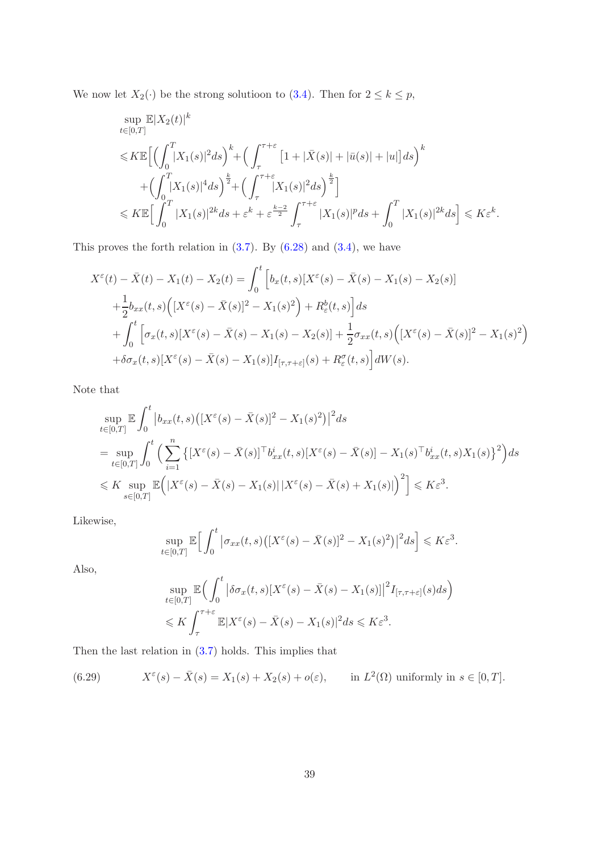We now let  $X_2(\cdot)$  be the strong solutioon to  $(3.4)$ . Then for  $2 \le k \le p$ ,

$$
\sup_{t\in[0,T]}\mathbb{E}|X_2(t)|^k
$$
\n
$$
\leqslant K\mathbb{E}\Big[\Big(\int_0^T |X_1(s)|^2 ds\Big)^k + \Big(\int_\tau^{\tau+\varepsilon} \left[1+|\bar{X}(s)|+|\bar{u}(s)|+|u|\right]ds\Big)^k
$$
\n
$$
+ \Big(\int_0^T |X_1(s)|^4 ds\Big)^{\frac{k}{2}} + \Big(\int_\tau^{\tau+\varepsilon} |X_1(s)|^2 ds\Big)^{\frac{k}{2}}\Big]
$$
\n
$$
\leqslant K\mathbb{E}\Big[\int_0^T |X_1(s)|^{2k} ds + \varepsilon^k + \varepsilon^{\frac{k-2}{2}} \int_\tau^{\tau+\varepsilon} |X_1(s)|^p ds + \int_0^T |X_1(s)|^{2k} ds\Big] \leqslant K\varepsilon^k.
$$

This proves the forth relation in  $(3.7)$ . By  $(6.28)$  and  $(3.4)$ , we have

$$
X^{\varepsilon}(t) - \bar{X}(t) - X_1(t) - X_2(t) = \int_0^t \left[ b_x(t, s) [X^{\varepsilon}(s) - \bar{X}(s) - X_1(s) - X_2(s)] + \frac{1}{2} b_{xx}(t, s) \left( [X^{\varepsilon}(s) - \bar{X}(s)]^2 - X_1(s)^2 \right) + R^b_{\varepsilon}(t, s) \right] ds
$$
  
+ 
$$
\int_0^t \left[ \sigma_x(t, s) [X^{\varepsilon}(s) - \bar{X}(s) - X_1(s) - X_2(s)] + \frac{1}{2} \sigma_{xx}(t, s) \left( [X^{\varepsilon}(s) - \bar{X}(s)]^2 - X_1(s)^2 \right) + \delta \sigma_x(t, s) [X^{\varepsilon}(s) - \bar{X}(s) - X_1(s)] I_{[\tau, \tau + \varepsilon]}(s) + R^{\sigma}_{\varepsilon}(t, s) \right] dW(s).
$$

Note that

$$
\sup_{t \in [0,T]} \mathbb{E} \int_0^t \left| b_{xx}(t,s) \left( [X^{\varepsilon}(s) - \bar{X}(s)]^2 - X_1(s)^2 \right) \right|^2 ds
$$
\n
$$
= \sup_{t \in [0,T]} \int_0^t \left( \sum_{i=1}^n \left\{ [X^{\varepsilon}(s) - \bar{X}(s)]^\top b_{xx}^i(t,s) [X^{\varepsilon}(s) - \bar{X}(s)] - X_1(s)^\top b_{xx}^i(t,s) X_1(s) \right\}^2 \right) ds
$$
\n
$$
\leq K \sup_{s \in [0,T]} \mathbb{E} \left( |X^{\varepsilon}(s) - \bar{X}(s) - X_1(s)| |X^{\varepsilon}(s) - \bar{X}(s) + X_1(s)| \right)^2 \leq K \varepsilon^3.
$$

Likewise,

$$
\sup_{t\in[0,T]}\mathbb{E}\Big[\int_0^t\big|\sigma_{xx}(t,s)\big(\big[X^{\varepsilon}(s)-\bar{X}(s)\big]^2-X_1(s)^2\big)\big|^2ds\Big]\leqslant K\varepsilon^3.
$$

Also,

$$
\sup_{t \in [0,T]} \mathbb{E} \Big( \int_0^t \big| \delta \sigma_x(t,s) [X^{\varepsilon}(s) - \bar{X}(s) - X_1(s)] \big|^2 I_{[\tau,\tau+\varepsilon]}(s) ds \Big)
$$
  
\$\leqslant K \int\_{\tau}^{\tau+\varepsilon} \mathbb{E} |X^{\varepsilon}(s) - \bar{X}(s) - X\_1(s)|^2 ds \leqslant K \varepsilon^3.

Then the last relation in [\(3.7\)](#page-6-0) holds. This implies that

(6.29) 
$$
X^{\varepsilon}(s) - \bar{X}(s) = X_1(s) + X_2(s) + o(\varepsilon), \quad \text{in } L^2(\Omega) \text{ uniformly in } s \in [0, T].
$$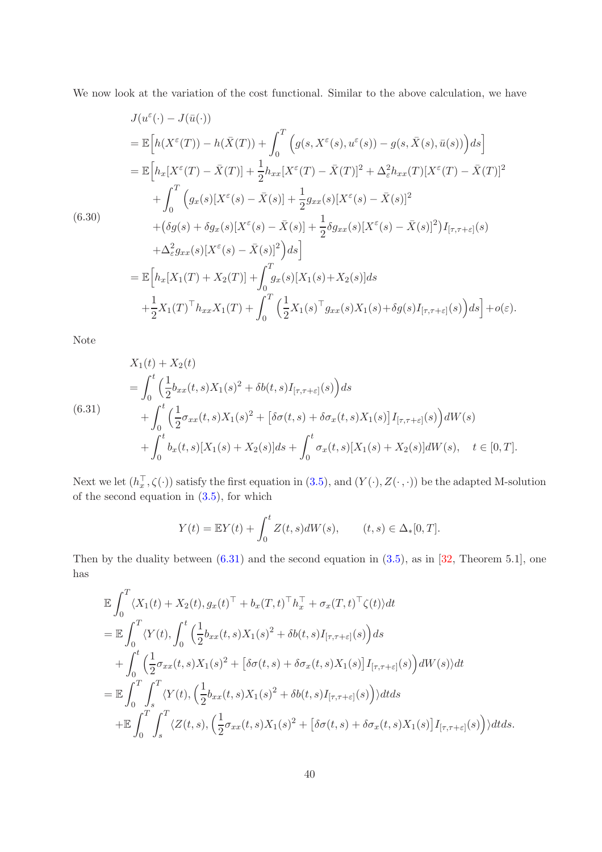We now look at the variation of the cost functional. Similar to the above calculation, we have

$$
J(u^{\varepsilon}(\cdot) - J(\bar{u}(\cdot))
$$
  
\n
$$
= \mathbb{E}\Big[h(X^{\varepsilon}(T)) - h(\bar{X}(T)) + \int_{0}^{T}\Big(g(s,X^{\varepsilon}(s),u^{\varepsilon}(s)) - g(s,\bar{X}(s),\bar{u}(s))\Big)ds\Big]
$$
  
\n
$$
= \mathbb{E}\Big[h_{x}[X^{\varepsilon}(T) - \bar{X}(T)] + \frac{1}{2}h_{xx}[X^{\varepsilon}(T) - \bar{X}(T)]^{2} + \Delta_{\varepsilon}^{2}h_{xx}(T)[X^{\varepsilon}(T) - \bar{X}(T)]^{2}
$$
  
\n
$$
+ \int_{0}^{T}\Big(g_{x}(s)[X^{\varepsilon}(s) - \bar{X}(s)] + \frac{1}{2}g_{xx}(s)[X^{\varepsilon}(s) - \bar{X}(s)]^{2}
$$
  
\n
$$
+ (\delta g(s) + \delta g_{x}(s)[X^{\varepsilon}(s) - \bar{X}(s)] + \frac{1}{2}\delta g_{xx}(s)[X^{\varepsilon}(s) - \bar{X}(s)]^{2}\Big)I_{[\tau,\tau+\varepsilon]}(s)
$$
  
\n
$$
+ \Delta_{\varepsilon}^{2}g_{xx}(s)[X^{\varepsilon}(s) - \bar{X}(s)]^{2}\Big)ds\Big]
$$
  
\n
$$
= \mathbb{E}\Big[h_{x}[X_{1}(T) + X_{2}(T)] + \int_{0}^{T}\int_{x}g_{x}(s)[X_{1}(s) + X_{2}(s)]ds
$$
  
\n
$$
+ \frac{1}{2}X_{1}(T)^{\top}h_{xx}X_{1}(T) + \int_{0}^{T}\Big(\frac{1}{2}X_{1}(s)^{\top}g_{xx}(s)X_{1}(s) + \delta g(s)I_{[\tau,\tau+\varepsilon]}(s)\Big)ds\Big] + o(\varepsilon).
$$

Note

<span id="page-39-0"></span>
$$
X_1(t) + X_2(t)
$$
  
=  $\int_0^t \left(\frac{1}{2}b_{xx}(t,s)X_1(s)^2 + \delta b(t,s)I_{[\tau,\tau+\varepsilon]}(s)\right)ds$   
(6.31)  
 $+ \int_0^t \left(\frac{1}{2}\sigma_{xx}(t,s)X_1(s)^2 + [\delta\sigma(t,s) + \delta\sigma_x(t,s)X_1(s)]I_{[\tau,\tau+\varepsilon]}(s)\right)dW(s)$   
 $+ \int_0^t b_x(t,s)[X_1(s) + X_2(s)]ds + \int_0^t \sigma_x(t,s)[X_1(s) + X_2(s)]dW(s), \quad t \in [0,T].$ 

Next we let  $(h_x^{\top}, \zeta(\cdot))$  satisfy the first equation in  $(3.5)$ , and  $(Y(\cdot), Z(\cdot, \cdot))$  be the adapted M-solution of the second equation in [\(3.5\)](#page-6-3), for which

$$
Y(t) = \mathbb{E}Y(t) + \int_0^t Z(t, s)dW(s), \qquad (t, s) \in \Delta_*[0, T].
$$

Then by the duality between  $(6.31)$  and the second equation in  $(3.5)$ , as in  $[32,$  Theorem 5.1], one has

$$
\mathbb{E} \int_0^T \langle X_1(t) + X_2(t), g_x(t)^\top + b_x(T, t)^\top h_x^\top + \sigma_x(T, t)^\top \zeta(t) \rangle dt \n= \mathbb{E} \int_0^T \langle Y(t), \int_0^t \left( \frac{1}{2} b_{xx}(t, s) X_1(s)^2 + \delta b(t, s) I_{[\tau, \tau + \varepsilon]}(s) \right) ds \n+ \int_0^t \left( \frac{1}{2} \sigma_{xx}(t, s) X_1(s)^2 + \left[ \delta \sigma(t, s) + \delta \sigma_x(t, s) X_1(s) \right] I_{[\tau, \tau + \varepsilon]}(s) \right) dW(s) \rangle dt \n= \mathbb{E} \int_0^T \int_s^T \langle Y(t), \left( \frac{1}{2} b_{xx}(t, s) X_1(s)^2 + \delta b(t, s) I_{[\tau, \tau + \varepsilon]}(s) \right) \rangle dt ds \n+ \mathbb{E} \int_0^T \int_s^T \langle Z(t, s), \left( \frac{1}{2} \sigma_{xx}(t, s) X_1(s)^2 + \left[ \delta \sigma(t, s) + \delta \sigma_x(t, s) X_1(s) \right] I_{[\tau, \tau + \varepsilon]}(s) \right) \rangle dt ds.
$$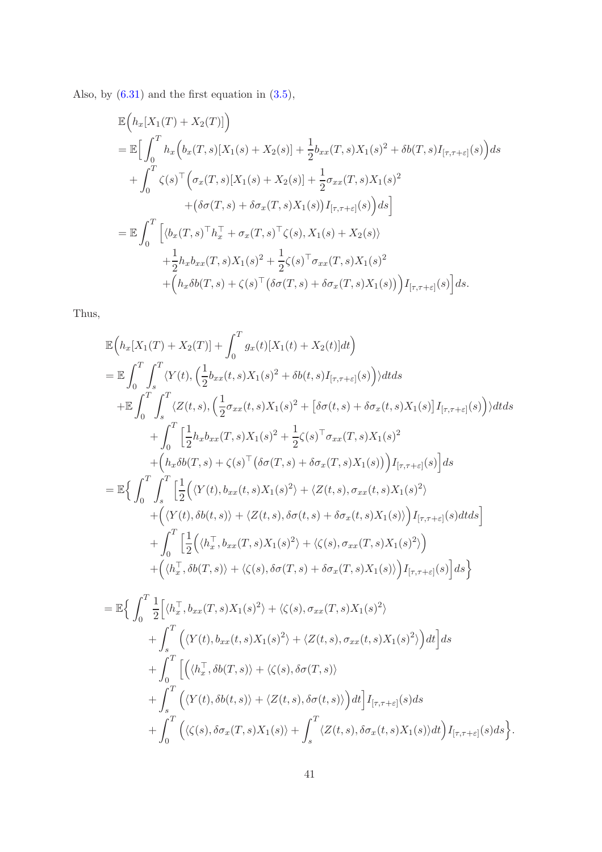Also, by [\(6.31\)](#page-39-0) and the first equation in [\(3.5\)](#page-6-3),

$$
\mathbb{E}\Big(h_{x}[X_{1}(T) + X_{2}(T)]\Big) \n= \mathbb{E}\Big[\int_{0}^{T} h_{x}\Big(b_{x}(T,s)[X_{1}(s) + X_{2}(s)] + \frac{1}{2}b_{xx}(T,s)X_{1}(s)^{2} + \delta b(T,s)I_{[\tau,\tau+\varepsilon]}(s)\Big)ds \n+ \int_{0}^{T} \zeta(s)^{\top}\Big(\sigma_{x}(T,s)[X_{1}(s) + X_{2}(s)] + \frac{1}{2}\sigma_{xx}(T,s)X_{1}(s)^{2} \n+ (\delta\sigma(T,s) + \delta\sigma_{x}(T,s)X_{1}(s))I_{[\tau,\tau+\varepsilon]}(s)\Big)ds\Big] \n= \mathbb{E}\int_{0}^{T}\Big[\langle b_{x}(T,s)^{\top}h_{x}^{\top} + \sigma_{x}(T,s)^{\top}\zeta(s), X_{1}(s) + X_{2}(s)\rangle \n+ \frac{1}{2}h_{x}b_{xx}(T,s)X_{1}(s)^{2} + \frac{1}{2}\zeta(s)^{\top}\sigma_{xx}(T,s)X_{1}(s)^{2} \n+ (h_{x}\delta b(T,s) + \zeta(s)^{\top}(\delta\sigma(T,s) + \delta\sigma_{x}(T,s)X_{1}(s))\Big)I_{[\tau,\tau+\varepsilon]}(s)\Big]ds.
$$

Thus,

$$
\mathbb{E}\Big(h_x[X_1(T) + X_2(T)] + \int_0^T g_x(t)[X_1(t) + X_2(t)]dt\Big)
$$
\n
$$
= \mathbb{E}\int_0^T \int_s^T \langle Y(t), \left(\frac{1}{2}b_{xx}(t,s)X_1(s)^2 + \delta b(t,s)I_{[\tau,\tau+\varepsilon]}(s)\right) \rangle dt ds
$$
\n
$$
+ \mathbb{E}\int_0^T \int_s^T \langle Z(t,s), \left(\frac{1}{2}\sigma_{xx}(t,s)X_1(s)^2 + \left[\delta\sigma(t,s) + \delta\sigma_x(t,s)X_1(s)\right]I_{[\tau,\tau+\varepsilon]}(s)\right) \rangle dt ds
$$
\n
$$
+ \int_0^T \left[\frac{1}{2}h_x b_{xx}(T,s)X_1(s)^2 + \frac{1}{2}\zeta(s)^\top \sigma_{xx}(T,s)X_1(s)^2 + (h_x\delta b(T,s) + \zeta(s)^\top (\delta\sigma(T,s) + \delta\sigma_x(T,s)X_1(s)))\right]I_{[\tau,\tau+\varepsilon]}(s)\Big] ds
$$
\n
$$
= \mathbb{E}\Big\{\int_0^T \int_s^T \left[\frac{1}{2}\Big(\langle Y(t), b_{xx}(t,s)X_1(s)^2 \rangle + \langle Z(t,s), \sigma_{xx}(t,s)X_1(s)^2 \rangle + (\langle Y(t), \delta b(t,s) \rangle + \langle Z(t,s), \delta\sigma(t,s) + \delta\sigma_x(t,s)X_1(s) \rangle\Big)I_{[\tau,\tau+\varepsilon]}(s)dt ds\Big] + \int_0^T \left[\frac{1}{2}\Big(\langle h_x^\top, b_{xx}(T,s)X_1(s)^2 \rangle + \langle \zeta(s), \sigma_{xx}(T,s)X_1(s)^2 \rangle\Big) + (\langle h_x^\top, \delta b(T,s) \rangle + \langle \zeta(s), \delta\sigma(T,s) + \delta\sigma_x(T,s)X_1(s) \rangle\Big)I_{[\tau,\tau+\varepsilon]}(s)\Big] ds\Big\}
$$

$$
= \mathbb{E}\Big\{\int_0^T \frac{1}{2}\Big[\langle h_x^\top, b_{xx}(T,s)X_1(s)^2\rangle + \langle \zeta(s), \sigma_{xx}(T,s)X_1(s)^2\rangle \Big\}+ \int_s^T \Big(\langle Y(t), b_{xx}(t,s)X_1(s)^2\rangle + \langle Z(t,s), \sigma_{xx}(t,s)X_1(s)^2\rangle\Big)dt\Big]ds+ \int_0^T \Big[\Big(\langle h_x^\top, \delta b(T,s)\rangle + \langle \zeta(s), \delta \sigma(T,s)\rangle \Big)+ \int_s^T \Big(\langle Y(t), \delta b(t,s)\rangle + \langle Z(t,s), \delta \sigma(t,s)\rangle\Big)dt\Big]I_{[\tau,\tau+\varepsilon]}(s)ds+ \int_0^T \Big(\langle \zeta(s), \delta \sigma_x(T,s)X_1(s)\rangle + \int_s^T \langle Z(t,s), \delta \sigma_x(t,s)X_1(s)\rangle dt\Big)I_{[\tau,\tau+\varepsilon]}(s)ds\Big\}.
$$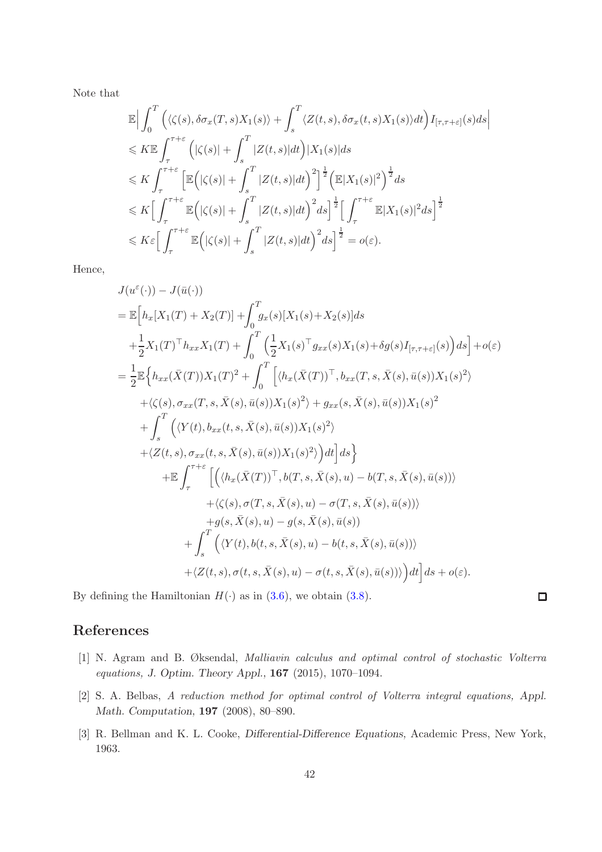Note that

$$
\mathbb{E}\Big|\int_{0}^{T}\Big(\langle\zeta(s),\delta\sigma_{x}(T,s)X_{1}(s)\rangle+\int_{s}^{T}\langle Z(t,s),\delta\sigma_{x}(t,s)X_{1}(s)\rangle dt\Big)I_{[\tau,\tau+\varepsilon]}(s)ds\Big|
$$
  
\n
$$
\leqslant K\mathbb{E}\int_{\tau}^{\tau+\varepsilon}\Big(|\zeta(s)|+\int_{s}^{T}|Z(t,s)|dt\Big)|X_{1}(s)|ds
$$
  
\n
$$
\leqslant K\int_{\tau}^{\tau+\varepsilon}\Big[\mathbb{E}\Big(|\zeta(s)|+\int_{s}^{T}|Z(t,s)|dt\Big)^{2}\Big]^{\frac{1}{2}}\Big(\mathbb{E}|X_{1}(s)|^{2}\Big)^{\frac{1}{2}}ds
$$
  
\n
$$
\leqslant K\Big[\int_{\tau}^{\tau+\varepsilon}\mathbb{E}\Big(|\zeta(s)|+\int_{s}^{T}|Z(t,s)|dt\Big)^{2}ds\Big]^{\frac{1}{2}}\Big[\int_{\tau}^{\tau+\varepsilon}\mathbb{E}|X_{1}(s)|^{2}ds\Big]^{\frac{1}{2}}
$$
  
\n
$$
\leqslant K\varepsilon\Big[\int_{\tau}^{\tau+\varepsilon}\mathbb{E}\Big(|\zeta(s)|+\int_{s}^{T}|Z(t,s)|dt\Big)^{2}ds\Big]^{\frac{1}{2}}=o(\varepsilon).
$$

Hence,

$$
J(u^{\varepsilon}(\cdot)) - J(\bar{u}(\cdot))
$$
  
\n
$$
= \mathbb{E}\Big[h_{x}[X_{1}(T) + X_{2}(T)] + \int_{0}^{T} g_{x}(s)[X_{1}(s) + X_{2}(s)]ds
$$
  
\n
$$
+ \frac{1}{2}X_{1}(T)^{\top}h_{xx}X_{1}(T) + \int_{0}^{T}\Big(\frac{1}{2}X_{1}(s)^{\top} g_{xx}(s)X_{1}(s) + \delta g(s)I_{[\tau,\tau+\varepsilon]}(s)\Big)ds\Big] + o(\varepsilon)
$$
  
\n
$$
= \frac{1}{2}\mathbb{E}\Big\{h_{xx}(\bar{X}(T))X_{1}(T)^{2} + \int_{0}^{T}\Big[\langle h_{x}(\bar{X}(T))^{\top}, b_{xx}(T, s, \bar{X}(s), \bar{u}(s))X_{1}(s)^{2}\rangle
$$
  
\n
$$
+ \langle \zeta(s), \sigma_{xx}(T, s, \bar{X}(s), \bar{u}(s))X_{1}(s)^{2}\rangle + g_{xx}(s, \bar{X}(s), \bar{u}(s))X_{1}(s)^{2}
$$
  
\n
$$
+ \int_{s}^{T}\Big(\langle Y(t), b_{xx}(t, s, \bar{X}(s), \bar{u}(s))X_{1}(s)^{2}\rangle\Big)dt\Big]ds\Big\}
$$
  
\n
$$
+ \mathbb{E}\int_{\tau}^{\tau+\varepsilon}\Big[\Big(\langle h_{x}(\bar{X}(T))^{\top}, b(T, s, \bar{X}(s), u) - b(T, s, \bar{X}(s), \bar{u}(s))\rangle
$$
  
\n
$$
+ \langle \zeta(s), \sigma(T, s, \bar{X}(s), u) - \sigma(T, s, \bar{X}(s), \bar{u}(s))\rangle
$$
  
\n
$$
+ g(s, \bar{X}(s), u) - g(s, \bar{X}(s), \bar{u}(s))\Big)
$$
  
\n
$$
+ \int_{s}^{T}\Big(\langle Y(t), b(t, s, \bar{X}(s), u) - b(t, s, \bar{X}(s), \bar{u}(s))\rangle\Big)dt\Big]ds + o(\varepsilon).
$$

By defining the Hamiltonian  $H(\cdot)$  as in [\(3.6\)](#page-6-2), we obtain [\(3.8\)](#page-6-5).

## $\Box$

## <span id="page-41-2"></span>References

- [1] N. Agram and B. Øksendal, Malliavin calculus and optimal control of stochastic Volterra equations, J. Optim. Theory Appl., 167 (2015), 1070–1094.
- <span id="page-41-1"></span>[2] S. A. Belbas, A reduction method for optimal control of Volterra integral equations, Appl. Math. Computation, 197 (2008), 80–890.
- <span id="page-41-0"></span>[3] R. Bellman and K. L. Cooke, Differential-Difference Equations, Academic Press, New York, 1963.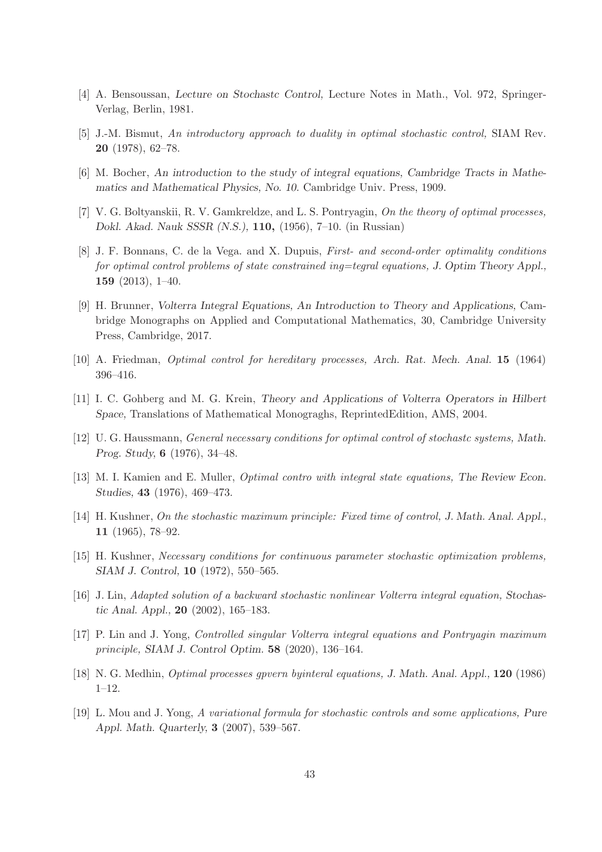- <span id="page-42-5"></span><span id="page-42-3"></span>[4] A. Bensoussan, Lecture on Stochastc Control, Lecture Notes in Math., Vol. 972, Springer-Verlag, Berlin, 1981.
- <span id="page-42-6"></span>[5] J.-M. Bismut, An introductory approach to duality in optimal stochastic control, SIAM Rev. 20 (1978), 62–78.
- <span id="page-42-0"></span>[6] M. Bocher, An introduction to the study of integral equations, Cambridge Tracts in Mathematics and Mathematical Physics, No. 10. Cambridge Univ. Press, 1909.
- [7] V. G. Boltyanskii, R. V. Gamkreldze, and L. S. Pontryagin, On the theory of optimal processes, Dokl. Akad. Nauk SSSR (N.S.), 110, (1956), 7–10. (in Russian)
- [8] J. F. Bonnans, C. de la Vega. and X. Dupuis, First- and second-order optimality conditions for optimal control problems of state constrained ing=tegral equations, J. Optim Theory Appl., 159 (2013), 1–40.
- <span id="page-42-8"></span>[9] H. Brunner, Volterra Integral Equations, An Introduction to Theory and Applications, Cambridge Monographs on Applied and Computational Mathematics, 30, Cambridge University Press, Cambridge, 2017.
- <span id="page-42-9"></span><span id="page-42-7"></span>[10] A. Friedman, Optimal control for hereditary processes, Arch. Rat. Mech. Anal. 15 (1964) 396–416.
- <span id="page-42-4"></span>[11] I. C. Gohberg and M. G. Krein, Theory and Applications of Volterra Operators in Hilbert Space, Translations of Mathematical Monograghs, ReprintedEdition, AMS, 2004.
- <span id="page-42-10"></span>[12] U. G. Haussmann, General necessary conditions for optimal control of stochastc systems, Math. Prog. Study, 6 (1976), 34–48.
- <span id="page-42-1"></span>[13] M. I. Kamien and E. Muller, Optimal contro with integral state equations, The Review Econ. Studies, 43 (1976), 469–473.
- <span id="page-42-2"></span>[14] H. Kushner, On the stochastic maximum principle: Fixed time of control, J. Math. Anal. Appl., 11 (1965), 78–92.
- <span id="page-42-13"></span>[15] H. Kushner, Necessary conditions for continuous parameter stochastic optimization problems, SIAM J. Control, 10 (1972), 550–565.
- <span id="page-42-12"></span>[16] J. Lin, Adapted solution of a backward stochastic nonlinear Volterra integral equation, Stochastic Anal. Appl., 20 (2002), 165–183.
- <span id="page-42-11"></span>[17] P. Lin and J. Yong, Controlled singular Volterra integral equations and Pontryagin maximum principle, SIAM J. Control Optim. 58 (2020), 136–164.
- <span id="page-42-14"></span>[18] N. G. Medhin, Optimal processes gpvern byinteral equations, J. Math. Anal. Appl., 120 (1986) 1–12.
- [19] L. Mou and J. Yong, A variational formula for stochastic controls and some applications, Pure Appl. Math. Quarterly, 3 (2007), 539–567.